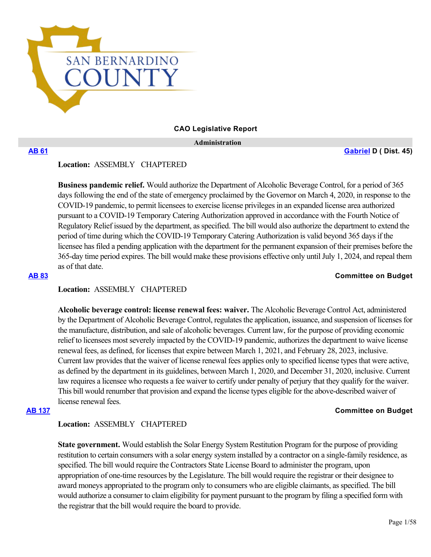

### **CAO Legislative Report**

 **Administration**

**[AB 61](https://ctweb.capitoltrack.com/public/publishbillinfo.aspx?bi=g5wHfu0fziAygNn7L5A2oz5QdykDiLW554q%2FGu0WUKY5tlTji2dAmBAruLxeTlra) [Gabriel](https://a45.asmdc.org/) D ( Dist. 45)**

## **Location:**  ASSEMBLY CHAPTERED

**Business pandemic relief.** Would authorize the Department of Alcoholic Beverage Control, for a period of 365 days following the end of the state of emergency proclaimed by the Governor on March 4, 2020, in response to the COVID-19 pandemic, to permit licensees to exercise license privileges in an expanded license area authorized pursuant to a COVID-19 Temporary Catering Authorization approved in accordance with the Fourth Notice of Regulatory Relief issued by the department, as specified. The bill would also authorize the department to extend the period of time during which the COVID-19 Temporary Catering Authorization is valid beyond 365 days if the licensee has filed a pending application with the department for the permanent expansion of their premises before the 365-day time period expires. The bill would make these provisions effective only until July 1, 2024, and repeal them as of that date.

#### **[AB 83](https://ctweb.capitoltrack.com/public/publishbillinfo.aspx?bi=bKgUK7VAR4QQxU0BKzJL4EXb0w%2B3x%2BVCWv%2BVeTw3gfDJsLXsMMzdh9519nBRSdGo) Committee on Budget**

## **Location:**  ASSEMBLY CHAPTERED

**Alcoholic beverage control: license renewal fees: waiver.** The Alcoholic Beverage Control Act, administered by the Department of Alcoholic Beverage Control, regulates the application, issuance, and suspension of licenses for the manufacture, distribution, and sale of alcoholic beverages. Current law, for the purpose of providing economic relief to licensees most severely impacted by the COVID-19 pandemic, authorizes the department to waive license renewal fees, as defined, for licenses that expire between March 1, 2021, and February 28, 2023, inclusive. Current law provides that the waiver of license renewal fees applies only to specified license types that were active, as defined by the department in its guidelines, between March 1, 2020, and December 31, 2020, inclusive. Current law requires a licensee who requests a fee waiver to certify under penalty of perjury that they qualify for the waiver. This bill would renumber that provision and expand the license types eligible for the above-described waiver of license renewal fees.

### **[AB 137](https://ctweb.capitoltrack.com/public/publishbillinfo.aspx?bi=EnNZOk4k1fY87at3lkLDkhkRlcGN%2FvmhVI8%2FJi1pwtF8CG8U8ySy5gcnxbiXoF8V) Committee on Budget**

## **Location:**  ASSEMBLY CHAPTERED

**State government.** Would establish the Solar Energy System Restitution Program for the purpose of providing restitution to certain consumers with a solar energy system installed by a contractor on a single-family residence, as specified. The bill would require the Contractors State License Board to administer the program, upon appropriation of one-time resources by the Legislature. The bill would require the registrar or their designee to award moneys appropriated to the program only to consumers who are eligible claimants, as specified. The bill would authorize a consumer to claim eligibility for payment pursuant to the program by filing a specified form with the registrar that the bill would require the board to provide.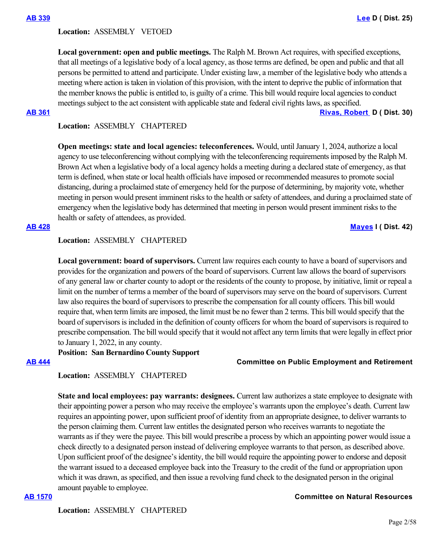### **Location:**  ASSEMBLY VETOED

**Local government: open and public meetings.** The Ralph M. Brown Act requires, with specified exceptions, that all meetings of a legislative body of a local agency, as those terms are defined, be open and public and that all persons be permitted to attend and participate. Under existing law, a member of the legislative body who attends a meeting where action is taken in violation of this provision, with the intent to deprive the public of information that the member knows the public is entitled to, is guilty of a crime. This bill would require local agencies to conduct meetings subject to the act consistent with applicable state and federal civil rights laws, as specified.

**[AB 361](https://ctweb.capitoltrack.com/public/publishbillinfo.aspx?bi=x31iogdOG0BUmljsBZEo7i9JHe0W%2Fhc3%2B%2Bdlva6nxjBe7YJLnCPAcNm00YIgh5vg) [Rivas, Robert](https://a30.asmdc.org/)  D ( Dist. 30)**

## **Location:**  ASSEMBLY CHAPTERED

**Open meetings: state and local agencies: teleconferences.** Would, until January 1, 2024, authorize a local agency to use teleconferencing without complying with the teleconferencing requirements imposed by the Ralph M. Brown Act when a legislative body of a local agency holds a meeting during a declared state of emergency, as that term is defined, when state or local health officials have imposed or recommended measures to promote social distancing, during a proclaimed state of emergency held for the purpose of determining, by majority vote, whether meeting in person would present imminent risks to the health or safety of attendees, and during a proclaimed state of emergency when the legislative body has determined that meeting in person would present imminent risks to the health or safety of attendees, as provided.

### **[AB 428](https://ctweb.capitoltrack.com/public/publishbillinfo.aspx?bi=PYNy6fkde4LZWJO1su2WNTPirSkeh1bG2WIVEtCNMoNFo4LM%2Buu4a3nYpPswJhIT) [Mayes](https://www.assembly.ca.gov/assemblymemberchadmayes) I ( Dist. 42)**

## **Location:**  ASSEMBLY CHAPTERED

**Local government: board of supervisors.** Current law requires each county to have a board of supervisors and provides for the organization and powers of the board of supervisors. Current law allows the board of supervisors of any general law or charter county to adopt or the residents of the county to propose, by initiative, limit or repeal a limit on the number of terms a member of the board of supervisors may serve on the board of supervisors. Current law also requires the board of supervisors to prescribe the compensation for all county officers. This bill would require that, when term limits are imposed, the limit must be no fewer than 2 terms. This bill would specify that the board of supervisors is included in the definition of county officers for whom the board of supervisors is required to prescribe compensation. The bill would specify that it would not affect any term limits that were legally in effect prior to January 1, 2022, in any county.

**Position: San Bernardino County Support**

## **[AB 444](https://ctweb.capitoltrack.com/public/publishbillinfo.aspx?bi=lceoHXnYBjw6lj5pTLyOuCa9BueLJCjwIy4T5xKMuGnGhKkDE4E7%2Fque%2FLDIUZK%2B) Committee on Public Employment and Retirement**

## **Location:**  ASSEMBLY CHAPTERED

**State and local employees: pay warrants: designees.** Current law authorizes a state employee to designate with their appointing power a person who may receive the employee's warrants upon the employee's death. Current law requires an appointing power, upon sufficient proof of identity from an appropriate designee, to deliver warrants to the person claiming them. Current law entitles the designated person who receives warrants to negotiate the warrants as if they were the payee. This bill would prescribe a process by which an appointing power would issue a check directly to a designated person instead of delivering employee warrants to that person, as described above. Upon sufficient proof of the designee's identity, the bill would require the appointing power to endorse and deposit the warrant issued to a deceased employee back into the Treasury to the credit of the fund or appropriation upon which it was drawn, as specified, and then issue a revolving fund check to the designated person in the original amount payable to employee.

### **[AB 1570](https://ctweb.capitoltrack.com/public/publishbillinfo.aspx?bi=b6l%2F3a5RzgvoyktKvTlNICFagAODVNoowgS5Rv5qYkMJdmGJwrBV0f6%2FTusAbj%2FP) Committee on Natural Resources**

## **Location:**  ASSEMBLY CHAPTERED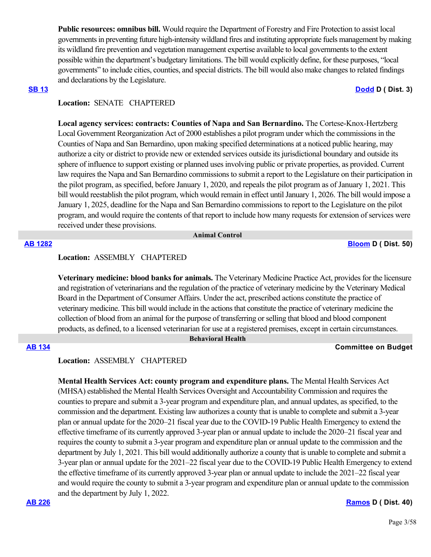**Public resources: omnibus bill.** Would require the Department of Forestry and Fire Protection to assist local governments in preventing future high-intensity wildland fires and instituting appropriate fuels management by making its wildland fire prevention and vegetation management expertise available to local governments to the extent possible within the department's budgetary limitations. The bill would explicitly define, for these purposes, "local governments" to include cities, counties, and special districts. The bill would also make changes to related findings and declarations by the Legislature.

#### **[SB 13](https://ctweb.capitoltrack.com/public/publishbillinfo.aspx?bi=e41ac8V4ODyR166c5JpO6QMbQOs04utP0JZJTK5ZFiRgfW0FSOF%2FzotzzKybeUm8) [Dodd](http://sd03.senate.ca.gov/) D ( Dist. 3)**

## **Location:**  SENATE CHAPTERED

**Local agency services: contracts: Counties of Napa and San Bernardino.** The Cortese-Knox-Hertzberg Local Government Reorganization Act of 2000 establishes a pilot program under which the commissions in the Counties of Napa and San Bernardino, upon making specified determinations at a noticed public hearing, may authorize a city or district to provide new or extended services outside its jurisdictional boundary and outside its sphere of influence to support existing or planned uses involving public or private properties, as provided. Current law requires the Napa and San Bernardino commissions to submit a report to the Legislature on their participation in the pilot program, as specified, before January 1, 2020, and repeals the pilot program as of January 1, 2021. This bill would reestablish the pilot program, which would remain in effect until January 1, 2026. The bill would impose a January 1, 2025, deadline for the Napa and San Bernardino commissions to report to the Legislature on the pilot program, and would require the contents of that report to include how many requests for extension of services were received under these provisions.

 **Animal Control**

**[AB 1282](https://ctweb.capitoltrack.com/public/publishbillinfo.aspx?bi=GlT5nEb9urBlU7BatShpXHz%2B0ooxE3oMSo20F6YbmNLfE3lhyGeDhoGdc3ealLzq) [Bloom](https://a50.asmdc.org/) D ( Dist. 50)**

### **Location:**  ASSEMBLY CHAPTERED

**Veterinary medicine: blood banks for animals.** The Veterinary Medicine Practice Act, provides for the licensure and registration of veterinarians and the regulation of the practice of veterinary medicine by the Veterinary Medical Board in the Department of Consumer Affairs. Under the act, prescribed actions constitute the practice of veterinary medicine. This bill would include in the actions that constitute the practice of veterinary medicine the collection of blood from an animal for the purpose of transferring or selling that blood and blood component products, as defined, to a licensed veterinarian for use at a registered premises, except in certain circumstances.  **Behavioral Health**

### **[AB 134](https://ctweb.capitoltrack.com/public/publishbillinfo.aspx?bi=mIo8sdnQL4dGAGWVgzHf8zwEDj7C3icu8wTLMuvE3x8kIeCrt0WzhePorTDq70Mm) Committee on Budget**

### **Location:**  ASSEMBLY CHAPTERED

**Mental Health Services Act: county program and expenditure plans.** The Mental Health Services Act (MHSA) established the Mental Health Services Oversight and Accountability Commission and requires the counties to prepare and submit a 3-year program and expenditure plan, and annual updates, as specified, to the commission and the department. Existing law authorizes a county that is unable to complete and submit a 3-year plan or annual update for the 2020–21 fiscal year due to the COVID-19 Public Health Emergency to extend the effective timeframe of its currently approved 3-year plan or annual update to include the 2020–21 fiscal year and requires the county to submit a 3-year program and expenditure plan or annual update to the commission and the department by July 1, 2021. This bill would additionally authorize a county that is unable to complete and submit a 3-year plan or annual update for the 2021–22 fiscal year due to the COVID-19 Public Health Emergency to extend the effective timeframe of its currently approved 3-year plan or annual update to include the 2021–22 fiscal year and would require the county to submit a 3-year program and expenditure plan or annual update to the commission and the department by July 1, 2022.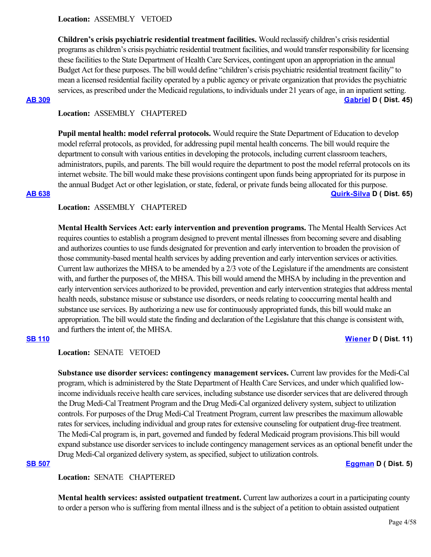**Children's crisis psychiatric residential treatment facilities.** Would reclassify children's crisis residential programs as children's crisis psychiatric residential treatment facilities, and would transfer responsibility for licensing these facilities to the State Department of Health Care Services, contingent upon an appropriation in the annual Budget Act for these purposes. The bill would define "children's crisis psychiatric residential treatment facility" to mean a licensed residential facility operated by a public agency or private organization that provides the psychiatric services, as prescribed under the Medicaid regulations, to individuals under 21 years of age, in an inpatient setting. **[AB 309](https://ctweb.capitoltrack.com/public/publishbillinfo.aspx?bi=UgOs8yJRyRazw%2FgGOVSrBKJMX8OrQgikV%2BZ%2FQkQSXtSawo7YyeSfOElxZFNYSoG9) [Gabriel](https://a45.asmdc.org/) D ( Dist. 45)**

## **Location:**  ASSEMBLY CHAPTERED

**Pupil mental health: model referral protocols.** Would require the State Department of Education to develop model referral protocols, as provided, for addressing pupil mental health concerns. The bill would require the department to consult with various entities in developing the protocols, including current classroom teachers, administrators, pupils, and parents. The bill would require the department to post the model referral protocols on its internet website. The bill would make these provisions contingent upon funds being appropriated for its purpose in the annual Budget Act or other legislation, or state, federal, or private funds being allocated for this purpose. **[AB 638](https://ctweb.capitoltrack.com/public/publishbillinfo.aspx?bi=EZieh9yFCiMRY8gnhyzvbRWX8OLTLa8O1UWI1yjdTpR1fJPGdcJ4X98Qre5Z3sCp) [Quirk-Silva](https://a65.asmdc.org/) D ( Dist. 65)**

## **Location:**  ASSEMBLY CHAPTERED

**Mental Health Services Act: early intervention and prevention programs.** The Mental Health Services Act requires counties to establish a program designed to prevent mental illnesses from becoming severe and disabling and authorizes counties to use funds designated for prevention and early intervention to broaden the provision of those community-based mental health services by adding prevention and early intervention services or activities. Current law authorizes the MHSA to be amended by a 2/3 vote of the Legislature if the amendments are consistent with, and further the purposes of, the MHSA. This bill would amend the MHSA by including in the prevention and early intervention services authorized to be provided, prevention and early intervention strategies that address mental health needs, substance misuse or substance use disorders, or needs relating to cooccurring mental health and substance use services. By authorizing a new use for continuously appropriated funds, this bill would make an appropriation. The bill would state the finding and declaration of the Legislature that this change is consistent with, and furthers the intent of, the MHSA.

## **[SB 110](https://ctweb.capitoltrack.com/public/publishbillinfo.aspx?bi=P%2FUz4%2Fe%2BnFMjmpFEY8MsLSHRRqwnTX8J9bMKTe54krqBzz%2F3EE3kPOcnaFJhO8PX) [Wiener](http://sd11.senate.ca.gov/) D ( Dist. 11)**

**Location:**  SENATE VETOED

**Substance use disorder services: contingency management services.** Current law provides for the Medi-Cal program, which is administered by the State Department of Health Care Services, and under which qualified lowincome individuals receive health care services, including substance use disorder services that are delivered through the Drug Medi-Cal Treatment Program and the Drug Medi-Cal organized delivery system, subject to utilization controls. For purposes of the Drug Medi-Cal Treatment Program, current law prescribes the maximum allowable rates for services, including individual and group rates for extensive counseling for outpatient drug-free treatment. The Medi-Cal program is, in part, governed and funded by federal Medicaid program provisions.This bill would expand substance use disorder services to include contingency management services as an optional benefit under the Drug Medi-Cal organized delivery system, as specified, subject to utilization controls.

## **[SB 507](https://ctweb.capitoltrack.com/public/publishbillinfo.aspx?bi=aWYt3zbPOYKeqosUw%2BUPrzsftPCb32XzF0PInLcgHowBD8e8bn2vqzR51ZCMLGC2) [Eggman](http://sd05.senate.ca.gov/) D ( Dist. 5)**

## **Location:**  SENATE CHAPTERED

**Mental health services: assisted outpatient treatment.** Current law authorizes a court in a participating county to order a person who is suffering from mental illness and is the subject of a petition to obtain assisted outpatient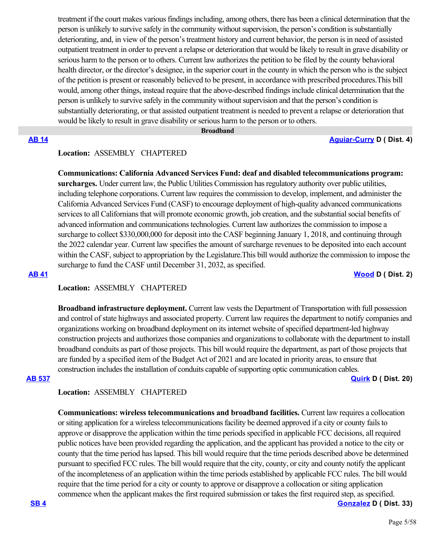treatment if the court makes various findings including, among others, there has been a clinical determination that the person is unlikely to survive safely in the community without supervision, the person's condition is substantially deteriorating, and, in view of the person's treatment history and current behavior, the person is in need of assisted outpatient treatment in order to prevent a relapse or deterioration that would be likely to result in grave disability or serious harm to the person or to others. Current law authorizes the petition to be filed by the county behavioral health director, or the director's designee, in the superior court in the county in which the person who is the subject of the petition is present or reasonably believed to be present, in accordance with prescribed procedures.This bill would, among other things, instead require that the above-described findings include clinical determination that the person is unlikely to survive safely in the community without supervision and that the person's condition is substantially deteriorating, or that assisted outpatient treatment is needed to prevent a relapse or deterioration that would be likely to result in grave disability or serious harm to the person or to others.

#### **Broadband**

**[AB 14](https://ctweb.capitoltrack.com/public/publishbillinfo.aspx?bi=PJ7%2BepUVd85X%2BCqlJ9X9fOZ57l7wspB6zHmRkbn4yMvYIGYbRAK5Yp%2BxoAPIXInF) [Aguiar-Curry](https://a04.asmdc.org/) D ( Dist. 4)**

## **Location:**  ASSEMBLY CHAPTERED

**Communications: California Advanced Services Fund: deaf and disabled telecommunications program: surcharges.** Under current law, the Public Utilities Commission has regulatory authority over public utilities, including telephone corporations. Current law requires the commission to develop, implement, and administer the California Advanced Services Fund (CASF) to encourage deployment of high-quality advanced communications services to all Californians that will promote economic growth, job creation, and the substantial social benefits of advanced information and communications technologies. Current law authorizes the commission to impose a surcharge to collect \$330,000,000 for deposit into the CASF beginning January 1, 2018, and continuing through the 2022 calendar year. Current law specifies the amount of surcharge revenues to be deposited into each account within the CASF, subject to appropriation by the Legislature.This bill would authorize the commission to impose the surcharge to fund the CASF until December 31, 2032, as specified.

## **[AB 41](https://ctweb.capitoltrack.com/public/publishbillinfo.aspx?bi=xubHGJ5SGOauO7oFV%2F9R4QdsMFyNpwS4N%2BpyO7EraJyCbKcP8mxNBgAK6oPnHaP5) [Wood](https://a02.asmdc.org/) D ( Dist. 2)**

# **Location:**  ASSEMBLY CHAPTERED

**Broadband infrastructure deployment.** Current law vests the Department of Transportation with full possession and control of state highways and associated property. Current law requires the department to notify companies and organizations working on broadband deployment on its internet website of specified department-led highway construction projects and authorizes those companies and organizations to collaborate with the department to install broadband conduits as part of those projects. This bill would require the department, as part of those projects that are funded by a specified item of the Budget Act of 2021 and are located in priority areas, to ensure that construction includes the installation of conduits capable of supporting optic communication cables. **[AB 537](https://ctweb.capitoltrack.com/public/publishbillinfo.aspx?bi=n6ssUgO35gCzmkAn40AdCn1G4hKHO9TCt5NsD3JYXXN4Q06hFTRhQCzFeI%2FlQl9C) [Quirk](https://a20.asmdc.org/) D ( Dist. 20)**

## **Location:**  ASSEMBLY CHAPTERED

**Communications: wireless telecommunications and broadband facilities.** Current law requires a collocation or siting application for a wireless telecommunications facility be deemed approved if a city or county fails to approve or disapprove the application within the time periods specified in applicable FCC decisions, all required public notices have been provided regarding the application, and the applicant has provided a notice to the city or county that the time period has lapsed. This bill would require that the time periods described above be determined pursuant to specified FCC rules. The bill would require that the city, county, or city and county notify the applicant of the incompleteness of an application within the time periods established by applicable FCC rules. The bill would require that the time period for a city or county to approve or disapprove a collocation or siting application commence when the applicant makes the first required submission or takes the first required step, as specified.

**[SB 4](https://ctweb.capitoltrack.com/public/publishbillinfo.aspx?bi=n17IZrikIBh%2FzXsELpwcDw2Nyk6Lq31laZ7sm%2BE2WJVGCSNr6nIVEtjVwpqS2u28) [Gonzalez](https://sd33.senate.ca.gov/) D ( Dist. 33)**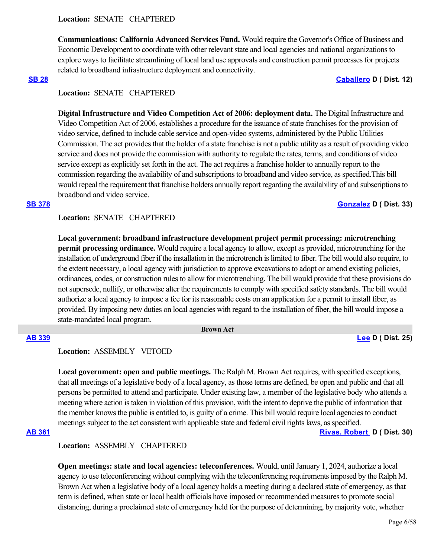**Communications: California Advanced Services Fund.** Would require the Governor's Office of Business and Economic Development to coordinate with other relevant state and local agencies and national organizations to explore ways to facilitate streamlining of local land use approvals and construction permit processes for projects related to broadband infrastructure deployment and connectivity.

### **[SB 28](https://ctweb.capitoltrack.com/public/publishbillinfo.aspx?bi=NP359BX%2B08%2BVSGivbyf4UmIq8rf0HIfNXwetd42%2FiD4MBo1JUps3F8zIDZzWCO%2BR) [Caballero](https://sd12.senate.ca.gov/) D ( Dist. 12)**

## **Location:**  SENATE CHAPTERED

**Digital Infrastructure and Video Competition Act of 2006: deployment data.** The Digital Infrastructure and Video Competition Act of 2006, establishes a procedure for the issuance of state franchises for the provision of video service, defined to include cable service and open-video systems, administered by the Public Utilities Commission. The act provides that the holder of a state franchise is not a public utility as a result of providing video service and does not provide the commission with authority to regulate the rates, terms, and conditions of video service except as explicitly set forth in the act. The act requires a franchise holder to annually report to the commission regarding the availability of and subscriptions to broadband and video service, as specified.This bill would repeal the requirement that franchise holders annually report regarding the availability of and subscriptions to broadband and video service.

### **[SB 378](https://ctweb.capitoltrack.com/public/publishbillinfo.aspx?bi=CqimZ3QB0FvYoDVtkDCMH8O9J4X0KhsRVJf9u9pbMJhwuTh064iRK4qprwz3uGqg) [Gonzalez](https://sd33.senate.ca.gov/) D ( Dist. 33)**

## **Location:**  SENATE CHAPTERED

**Local government: broadband infrastructure development project permit processing: microtrenching permit processing ordinance.** Would require a local agency to allow, except as provided, microtrenching for the installation of underground fiber if the installation in the microtrench is limited to fiber. The bill would also require, to the extent necessary, a local agency with jurisdiction to approve excavations to adopt or amend existing policies, ordinances, codes, or construction rules to allow for microtrenching. The bill would provide that these provisions do not supersede, nullify, or otherwise alter the requirements to comply with specified safety standards. The bill would authorize a local agency to impose a fee for its reasonable costs on an application for a permit to install fiber, as provided. By imposing new duties on local agencies with regard to the installation of fiber, the bill would impose a state-mandated local program.

#### **Brown Act**

**[AB 339](https://ctweb.capitoltrack.com/public/publishbillinfo.aspx?bi=ggPm0UOqkiznZ93e9FeBZPZrS3Kzaa3Fw%2FUJPhf2dQ5uke7%2FNTDlXRH%2Bc9EgG%2FOT) [Lee](https://a25.asmdc.org/) D ( Dist. 25)**

## **Location:**  ASSEMBLY VETOED

**Local government: open and public meetings.** The Ralph M. Brown Act requires, with specified exceptions, that all meetings of a legislative body of a local agency, as those terms are defined, be open and public and that all persons be permitted to attend and participate. Under existing law, a member of the legislative body who attends a meeting where action is taken in violation of this provision, with the intent to deprive the public of information that the member knows the public is entitled to, is guilty of a crime. This bill would require local agencies to conduct meetings subject to the act consistent with applicable state and federal civil rights laws, as specified.

## **[AB 361](https://ctweb.capitoltrack.com/public/publishbillinfo.aspx?bi=x31iogdOG0BUmljsBZEo7i9JHe0W%2Fhc3%2B%2Bdlva6nxjBe7YJLnCPAcNm00YIgh5vg) [Rivas, Robert](https://a30.asmdc.org/)  D ( Dist. 30)**

## **Location:**  ASSEMBLY CHAPTERED

**Open meetings: state and local agencies: teleconferences.** Would, until January 1, 2024, authorize a local agency to use teleconferencing without complying with the teleconferencing requirements imposed by the Ralph M. Brown Act when a legislative body of a local agency holds a meeting during a declared state of emergency, as that term is defined, when state or local health officials have imposed or recommended measures to promote social distancing, during a proclaimed state of emergency held for the purpose of determining, by majority vote, whether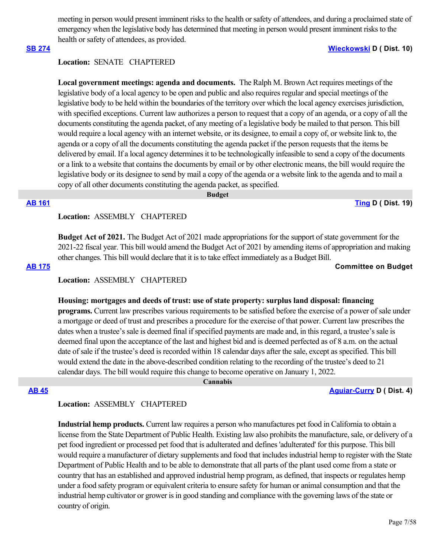meeting in person would present imminent risks to the health or safety of attendees, and during a proclaimed state of emergency when the legislative body has determined that meeting in person would present imminent risks to the health or safety of attendees, as provided.

### **[SB 274](https://ctweb.capitoltrack.com/public/publishbillinfo.aspx?bi=FybQeA7PycX7AXCWsCgIF8UNVwkinucPcWKklUkgbGE8gqsG81ihHdzvvjAryp4X) [Wieckowski](http://sd10.senate.ca.gov/) D ( Dist. 10)**

## **Location:**  SENATE CHAPTERED

Local government meetings: agenda and documents. The Ralph M. Brown Act requires meetings of the legislative body of a local agency to be open and public and also requires regular and special meetings of the legislative body to be held within the boundaries of the territory over which the local agency exercises jurisdiction, with specified exceptions. Current law authorizes a person to request that a copy of an agenda, or a copy of all the documents constituting the agenda packet, of any meeting of a legislative body be mailed to that person. This bill would require a local agency with an internet website, or its designee, to email a copy of, or website link to, the agenda or a copy of all the documents constituting the agenda packet if the person requests that the items be delivered by email. If a local agency determines it to be technologically infeasible to send a copy of the documents or a link to a website that contains the documents by email or by other electronic means, the bill would require the legislative body or its designee to send by mail a copy of the agenda or a website link to the agenda and to mail a copy of all other documents constituting the agenda packet, as specified.

#### **Budget**

**[AB 161](https://ctweb.capitoltrack.com/public/publishbillinfo.aspx?bi=6Ow%2FvaOkSaG3osPWiuGmKfrGwhwOPuBfXg11lOGZt%2FvCHwP5jZG3Uz0ej56kybYa) [Ting](https://a19.asmdc.org/) D ( Dist. 19)**

## **Location:**  ASSEMBLY CHAPTERED

**Budget Act of 2021.** The Budget Act of 2021 made appropriations for the support of state government for the 2021-22 fiscal year. This bill would amend the Budget Act of 2021 by amending items of appropriation and making other changes. This bill would declare that it is to take effect immediately as a Budget Bill.

**[AB 175](https://ctweb.capitoltrack.com/public/publishbillinfo.aspx?bi=X%2B6C1FX7Nv96BoogD8fT2T1Vq89lplA54uFH9USaIjLq4XPgcDMBYxqTQBYvOgv3) Committee on Budget**

## **Location:**  ASSEMBLY CHAPTERED

#### **Housing: mortgages and deeds of trust: use of state property: surplus land disposal: financing**

**programs.** Current law prescribes various requirements to be satisfied before the exercise of a power of sale under a mortgage or deed of trust and prescribes a procedure for the exercise of that power. Current law prescribes the dates when a trustee's sale is deemed final if specified payments are made and, in this regard, a trustee's sale is deemed final upon the acceptance of the last and highest bid and is deemed perfected as of 8 a.m. on the actual date of sale if the trustee's deed is recorded within 18 calendar days after the sale, except as specified. This bill would extend the date in the above-described condition relating to the recording of the trustee's deed to 21 calendar days. The bill would require this change to become operative on January 1, 2022.

 **Cannabis**

**[AB 45](https://ctweb.capitoltrack.com/public/publishbillinfo.aspx?bi=YYqSPshloJoO09BHii1JYMsC%2FmILTsqN3qizLENh1KsugYotfx7Hlu3rWu13YvSm) [Aguiar-Curry](https://a04.asmdc.org/) D ( Dist. 4)**

## **Location:**  ASSEMBLY CHAPTERED

**Industrial hemp products.** Current law requires a person who manufactures pet food in California to obtain a license from the State Department of Public Health. Existing law also prohibits the manufacture, sale, or delivery of a pet food ingredient or processed pet food that is adulterated and defines 'adulterated' for this purpose. This bill would require a manufacturer of dietary supplements and food that includes industrial hemp to register with the State Department of Public Health and to be able to demonstrate that all parts of the plant used come from a state or country that has an established and approved industrial hemp program, as defined, that inspects or regulates hemp under a food safety program or equivalent criteria to ensure safety for human or animal consumption and that the industrial hemp cultivator or grower is in good standing and compliance with the governing laws of the state or country of origin.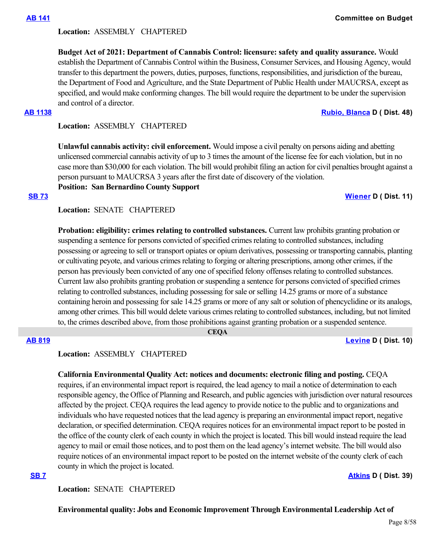### **Location:**  ASSEMBLY CHAPTERED

**Budget Act of 2021: Department of Cannabis Control: licensure: safety and quality assurance.** Would establish the Department of Cannabis Control within the Business, Consumer Services, and Housing Agency, would transfer to this department the powers, duties, purposes, functions, responsibilities, and jurisdiction of the bureau, the Department of Food and Agriculture, and the State Department of Public Health under MAUCRSA, except as specified, and would make conforming changes. The bill would require the department to be under the supervision and control of a director.

### **[AB 1138](https://ctweb.capitoltrack.com/public/publishbillinfo.aspx?bi=AA6hO6F%2FiTtdRUwmLI8rx%2BJyv%2FI3GtEcJ4FWuos5nE71voqc2C9LvAqLu478tY6%2F) [Rubio, Blanca](https://a48.asmdc.org/) D ( Dist. 48)**

**Location:**  ASSEMBLY CHAPTERED

**Unlawful cannabis activity: civil enforcement.** Would impose a civil penalty on persons aiding and abetting unlicensed commercial cannabis activity of up to 3 times the amount of the license fee for each violation, but in no case more than \$30,000 for each violation. The bill would prohibit filing an action for civil penalties brought against a person pursuant to MAUCRSA 3 years after the first date of discovery of the violation.

**Position: San Bernardino County Support**

#### **[SB 73](https://ctweb.capitoltrack.com/public/publishbillinfo.aspx?bi=EKlkc3nzeBJwyg6zD6AfVfpmj88W7kbrR%2F%2BDgSJtZvofZT4eOhw9ig4FUNLro62x) [Wiener](http://sd11.senate.ca.gov/) D ( Dist. 11)**

### **Location:**  SENATE CHAPTERED

**Probation: eligibility: crimes relating to controlled substances.** Current law prohibits granting probation or suspending a sentence for persons convicted of specified crimes relating to controlled substances, including possessing or agreeing to sell or transport opiates or opium derivatives, possessing or transporting cannabis, planting or cultivating peyote, and various crimes relating to forging or altering prescriptions, among other crimes, if the person has previously been convicted of any one of specified felony offenses relating to controlled substances. Current law also prohibits granting probation or suspending a sentence for persons convicted of specified crimes relating to controlled substances, including possessing for sale or selling 14.25 grams or more of a substance containing heroin and possessing for sale 14.25 grams or more of any salt or solution of phencyclidine or its analogs, among other crimes. This bill would delete various crimes relating to controlled substances, including, but not limited to, the crimes described above, from those prohibitions against granting probation or a suspended sentence.

 **CEQA**

## **[AB 819](https://ctweb.capitoltrack.com/public/publishbillinfo.aspx?bi=ggxEEAY9SengD3J5UnLCHEOHcmFE0nOXkDWQ3PpjL43EISzJHA9k0T9Jm5QWpO4A) [Levine](https://a10.asmdc.org/) D ( Dist. 10)**

**Location:**  ASSEMBLY CHAPTERED

**California Environmental Quality Act: notices and documents: electronic filing and posting.** CEQA

requires, if an environmental impact report is required, the lead agency to mail a notice of determination to each responsible agency, the Office of Planning and Research, and public agencies with jurisdiction over natural resources affected by the project. CEQA requires the lead agency to provide notice to the public and to organizations and individuals who have requested notices that the lead agency is preparing an environmental impact report, negative declaration, or specified determination. CEQA requires notices for an environmental impact report to be posted in the office of the county clerk of each county in which the project is located. This bill would instead require the lead agency to mail or email those notices, and to post them on the lead agency's internet website. The bill would also require notices of an environmental impact report to be posted on the internet website of the county clerk of each county in which the project is located.

**[SB 7](https://ctweb.capitoltrack.com/public/publishbillinfo.aspx?bi=UKWAK6FKq%2BRyHq3yyBuv2OOfjgJ9M5t4vPSgyp07CacRuEQt%2Fy8EHci7aKN%2Byber) [Atkins](http://sd39.senate.ca.gov/) D ( Dist. 39)**

**Location:**  SENATE CHAPTERED

**Environmental quality: Jobs and Economic Improvement Through Environmental Leadership Act of**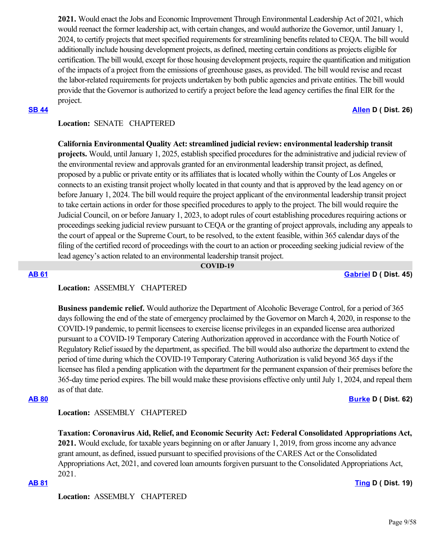**2021.** Would enact the Jobs and Economic Improvement Through Environmental Leadership Act of 2021, which would reenact the former leadership act, with certain changes, and would authorize the Governor, until January 1, 2024, to certify projects that meet specified requirements for streamlining benefits related to CEQA. The bill would additionally include housing development projects, as defined, meeting certain conditions as projects eligible for certification. The bill would, except for those housing development projects, require the quantification and mitigation of the impacts of a project from the emissions of greenhouse gases, as provided. The bill would revise and recast the labor-related requirements for projects undertaken by both public agencies and private entities. The bill would provide that the Governor is authorized to certify a project before the lead agency certifies the final EIR for the project.

**[SB 44](https://ctweb.capitoltrack.com/public/publishbillinfo.aspx?bi=2PFc%2FN3vEAgfsV8gCsTNrbCQ5V48Zz6Uxw0is7k6AYffv6Do3mLdEjMu2HKGSgbn) [Allen](http://sd26.senate.ca.gov/) D ( Dist. 26)**

## **Location:**  SENATE CHAPTERED

**California Environmental Quality Act: streamlined judicial review: environmental leadership transit projects.** Would, until January 1, 2025, establish specified procedures for the administrative and judicial review of the environmental review and approvals granted for an environmental leadership transit project, as defined, proposed by a public or private entity or its affiliates that is located wholly within the County of Los Angeles or connects to an existing transit project wholly located in that county and that is approved by the lead agency on or before January 1, 2024. The bill would require the project applicant of the environmental leadership transit project to take certain actions in order for those specified procedures to apply to the project. The bill would require the Judicial Council, on or before January 1, 2023, to adopt rules of court establishing procedures requiring actions or proceedings seeking judicial review pursuant to CEQA or the granting of project approvals, including any appeals to the court of appeal or the Supreme Court, to be resolved, to the extent feasible, within 365 calendar days of the filing of the certified record of proceedings with the court to an action or proceeding seeking judicial review of the lead agency's action related to an environmental leadership transit project.

### **COVID-19**

### **[AB 61](https://ctweb.capitoltrack.com/public/publishbillinfo.aspx?bi=g5wHfu0fziAygNn7L5A2oz5QdykDiLW554q%2FGu0WUKY5tlTji2dAmBAruLxeTlra) [Gabriel](https://a45.asmdc.org/) D ( Dist. 45)**

## **Location:**  ASSEMBLY CHAPTERED

**Business pandemic relief.** Would authorize the Department of Alcoholic Beverage Control, for a period of 365 days following the end of the state of emergency proclaimed by the Governor on March 4, 2020, in response to the COVID-19 pandemic, to permit licensees to exercise license privileges in an expanded license area authorized pursuant to a COVID-19 Temporary Catering Authorization approved in accordance with the Fourth Notice of Regulatory Relief issued by the department, as specified. The bill would also authorize the department to extend the period of time during which the COVID-19 Temporary Catering Authorization is valid beyond 365 days if the licensee has filed a pending application with the department for the permanent expansion of their premises before the 365-day time period expires. The bill would make these provisions effective only until July 1, 2024, and repeal them as of that date.

## **[AB 80](https://ctweb.capitoltrack.com/public/publishbillinfo.aspx?bi=nV1xQvXvOXd61wp3a8S5CtX%2BjCMMWO58cdV7mA%2BLI1725vv%2BpK0W%2F6gz1nqJWeVU) [Burke](https://a62.asmdc.org/) D ( Dist. 62)**

## **Location:**  ASSEMBLY CHAPTERED

**Taxation: Coronavirus Aid, Relief, and Economic Security Act: Federal Consolidated Appropriations Act,**

**2021.** Would exclude, for taxable years beginning on or after January 1, 2019, from gross income any advance grant amount, as defined, issued pursuant to specified provisions of the CARES Act or the Consolidated Appropriations Act, 2021, and covered loan amounts forgiven pursuant to the Consolidated Appropriations Act, 2021.

## **[AB 81](https://ctweb.capitoltrack.com/public/publishbillinfo.aspx?bi=%2BMblNnJpRI04%2BM0EKImi9YutSq106fXowTdxctlZ695NYEu9x%2F%2BmtzZMC9cSMdlm) [Ting](https://a19.asmdc.org/) D ( Dist. 19)**

**Location:**  ASSEMBLY CHAPTERED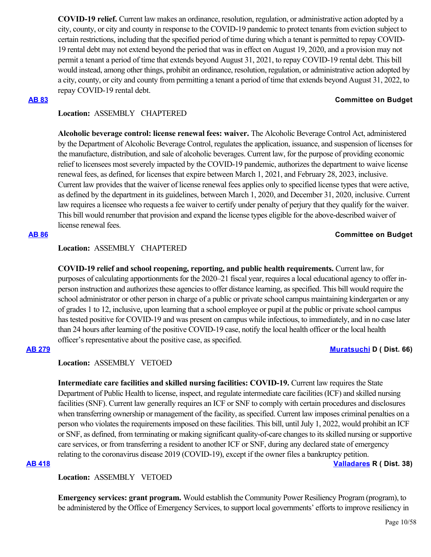**COVID-19 relief.** Current law makes an ordinance, resolution, regulation, or administrative action adopted by a city, county, or city and county in response to the COVID-19 pandemic to protect tenants from eviction subject to certain restrictions, including that the specified period of time during which a tenant is permitted to repay COVID-19 rental debt may not extend beyond the period that was in effect on August 19, 2020, and a provision may not permit a tenant a period of time that extends beyond August 31, 2021, to repay COVID-19 rental debt. This bill would instead, among other things, prohibit an ordinance, resolution, regulation, or administrative action adopted by a city, county, or city and county from permitting a tenant a period of time that extends beyond August 31, 2022, to repay COVID-19 rental debt.

#### **[AB 83](https://ctweb.capitoltrack.com/public/publishbillinfo.aspx?bi=bKgUK7VAR4QQxU0BKzJL4EXb0w%2B3x%2BVCWv%2BVeTw3gfDJsLXsMMzdh9519nBRSdGo) Committee on Budget**

## **Location:**  ASSEMBLY CHAPTERED

**Alcoholic beverage control: license renewal fees: waiver.** The Alcoholic Beverage Control Act, administered by the Department of Alcoholic Beverage Control, regulates the application, issuance, and suspension of licenses for the manufacture, distribution, and sale of alcoholic beverages. Current law, for the purpose of providing economic relief to licensees most severely impacted by the COVID-19 pandemic, authorizes the department to waive license renewal fees, as defined, for licenses that expire between March 1, 2021, and February 28, 2023, inclusive. Current law provides that the waiver of license renewal fees applies only to specified license types that were active, as defined by the department in its guidelines, between March 1, 2020, and December 31, 2020, inclusive. Current law requires a licensee who requests a fee waiver to certify under penalty of perjury that they qualify for the waiver. This bill would renumber that provision and expand the license types eligible for the above-described waiver of license renewal fees.

## **[AB 86](https://ctweb.capitoltrack.com/public/publishbillinfo.aspx?bi=U5shfJa9I0USdNbC3FJxlwp6ngQdxnTMDJiNnfWcmDGLx2JzMgKM%2BJn6ciXSnPxL) Committee on Budget**

## **Location:**  ASSEMBLY CHAPTERED

**COVID-19 relief and school reopening, reporting, and public health requirements.** Current law, for purposes of calculating apportionments for the 2020–21 fiscal year, requires a local educational agency to offer inperson instruction and authorizes these agencies to offer distance learning, as specified. This bill would require the school administrator or other person in charge of a public or private school campus maintaining kindergarten or any of grades 1 to 12, inclusive, upon learning that a school employee or pupil at the public or private school campus has tested positive for COVID-19 and was present on campus while infectious, to immediately, and in no case later than 24 hours after learning of the positive COVID-19 case, notify the local health officer or the local health officer's representative about the positive case, as specified.

## **[AB 279](https://ctweb.capitoltrack.com/public/publishbillinfo.aspx?bi=FT8PLHaFkjbi8FyOpMMPcH8RkyFo6fBnkKkYlA7dTDRBwm5IY%2FEVhp63Y1ZHVEI7) [Muratsuchi](https://a66.asmdc.org/) D ( Dist. 66)**

## **Location:**  ASSEMBLY VETOED

**Intermediate care facilities and skilled nursing facilities: COVID-19.** Current law requires the State Department of Public Health to license, inspect, and regulate intermediate care facilities (ICF) and skilled nursing facilities (SNF). Current law generally requires an ICF or SNF to comply with certain procedures and disclosures when transferring ownership or management of the facility, as specified. Current law imposes criminal penalties on a person who violates the requirements imposed on these facilities. This bill, until July 1, 2022, would prohibit an ICF or SNF, as defined, from terminating or making significant quality-of-care changes to its skilled nursing or supportive care services, or from transferring a resident to another ICF or SNF, during any declared state of emergency relating to the coronavirus disease 2019 (COVID-19), except if the owner files a bankruptcy petition.

## **[AB 418](https://ctweb.capitoltrack.com/public/publishbillinfo.aspx?bi=GnU%2BOEQEzmHVUc7wIVVEiISDCMew6AYOCOY1SW3zVsNYuKJ%2FXiMsYUj1nO8i9xP2) [Valladares](https://ad38.asmrc.org/) R ( Dist. 38)**

**Location:**  ASSEMBLY VETOED

**Emergency services: grant program.** Would establish the Community Power Resiliency Program (program), to be administered by the Office of Emergency Services, to support local governments' efforts to improve resiliency in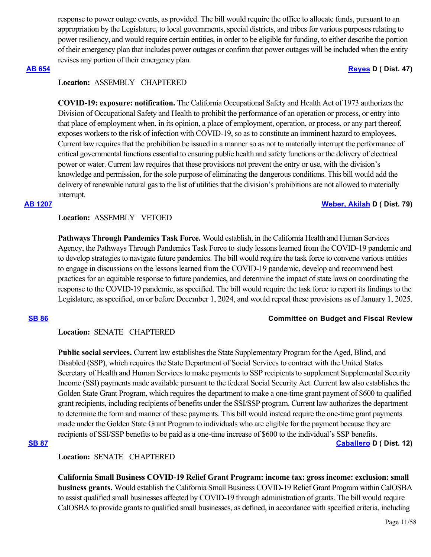response to power outage events, as provided. The bill would require the office to allocate funds, pursuant to an appropriation by the Legislature, to local governments, special districts, and tribes for various purposes relating to power resiliency, and would require certain entities, in order to be eligible for funding, to either describe the portion of their emergency plan that includes power outages or confirm that power outages will be included when the entity revises any portion of their emergency plan.

## **[AB 654](https://ctweb.capitoltrack.com/public/publishbillinfo.aspx?bi=o%2F3TT8SYL1CjMs3fLpbKW1d9450HJVC7e8UHecOZWNH9njbsFHcrwVz%2FMciMatKB) [Reyes](https://a47.asmdc.org/) D ( Dist. 47)**

## **Location:**  ASSEMBLY CHAPTERED

**COVID-19: exposure: notification.** The California Occupational Safety and Health Act of 1973 authorizes the Division of Occupational Safety and Health to prohibit the performance of an operation or process, or entry into that place of employment when, in its opinion, a place of employment, operation, or process, or any part thereof, exposes workers to the risk of infection with COVID-19, so as to constitute an imminent hazard to employees. Current law requires that the prohibition be issued in a manner so as not to materially interrupt the performance of critical governmental functions essential to ensuring public health and safety functions or the delivery of electrical power or water. Current law requires that these provisions not prevent the entry or use, with the division's knowledge and permission, for the sole purpose of eliminating the dangerous conditions. This bill would add the delivery of renewable natural gas to the list of utilities that the division's prohibitions are not allowed to materially interrupt.

### **[AB 1207](https://ctweb.capitoltrack.com/public/publishbillinfo.aspx?bi=CsP8U%2BIyTizFGAK0gayqkRCZuVTza7dklT3YDycyk4efJJPY6AxsYtZJ8qU5lkp4) [Weber, Akilah](https://a79.asmdc.org/) D ( Dist. 79)**

## **Location:**  ASSEMBLY VETOED

**Pathways Through Pandemics Task Force.** Would establish, in the California Health and Human Services Agency, the Pathways Through Pandemics Task Force to study lessons learned from the COVID-19 pandemic and to develop strategies to navigate future pandemics. The bill would require the task force to convene various entities to engage in discussions on the lessons learned from the COVID-19 pandemic, develop and recommend best practices for an equitable response to future pandemics, and determine the impact of state laws on coordinating the response to the COVID-19 pandemic, as specified. The bill would require the task force to report its findings to the Legislature, as specified, on or before December 1, 2024, and would repeal these provisions as of January 1, 2025.

### **[SB 86](https://ctweb.capitoltrack.com/public/publishbillinfo.aspx?bi=iYFUAvPUutxqCit0%2B4xjGlPcUjFeQiVlGIPSS4c%2BB1kNgAALATaxORwiUwtYOoHa) Committee on Budget and Fiscal Review**

## **Location:**  SENATE CHAPTERED

**Public social services.** Current law establishes the State Supplementary Program for the Aged, Blind, and Disabled (SSP), which requires the State Department of Social Services to contract with the United States Secretary of Health and Human Services to make payments to SSP recipients to supplement Supplemental Security Income (SSI) payments made available pursuant to the federal Social Security Act. Current law also establishes the Golden State Grant Program, which requires the department to make a one-time grant payment of \$600 to qualified grant recipients, including recipients of benefits under the SSI/SSP program. Current law authorizes the department to determine the form and manner of these payments. This bill would instead require the one-time grant payments made under the Golden State Grant Program to individuals who are eligible for the payment because they are recipients of SSI/SSP benefits to be paid as a one-time increase of \$600 to the individual's SSP benefits. **[SB 87](https://ctweb.capitoltrack.com/public/publishbillinfo.aspx?bi=eXVeP59s3x2dcSrAj%2FSsW9oOdzYmVh3nNnXsZPsb%2Bt81KO9RDL1twC%2BqsXas%2FmGk) [Caballero](https://sd12.senate.ca.gov/) D ( Dist. 12)**

## **Location:**  SENATE CHAPTERED

**California Small Business COVID-19 Relief Grant Program: income tax: gross income: exclusion: small business grants.** Would establish the California Small Business COVID-19 Relief Grant Program within CalOSBA to assist qualified small businesses affected by COVID-19 through administration of grants. The bill would require CalOSBA to provide grants to qualified small businesses, as defined, in accordance with specified criteria, including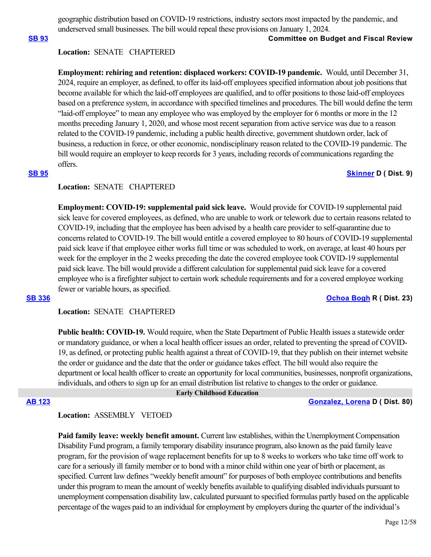geographic distribution based on COVID-19 restrictions, industry sectors most impacted by the pandemic, and underserved small businesses. The bill would repeal these provisions on January 1, 2024.

## **[SB 93](https://ctweb.capitoltrack.com/public/publishbillinfo.aspx?bi=bGyPHPhaVgHMMrtS1WJARrh8zBKR6MMNwEzhdyR6GoriD2CvzlhtIRVCq48xDfRp) Committee on Budget and Fiscal Review**

## **Location:**  SENATE CHAPTERED

**Employment: rehiring and retention: displaced workers: COVID-19 pandemic.** Would, until December 31, 2024, require an employer, as defined, to offer its laid-off employees specified information about job positions that become available for which the laid-off employees are qualified, and to offer positions to those laid-off employees based on a preference system, in accordance with specified timelines and procedures. The bill would define the term "laid-off employee" to mean any employee who was employed by the employer for 6 months or more in the 12 months preceding January 1, 2020, and whose most recent separation from active service was due to a reason related to the COVID-19 pandemic, including a public health directive, government shutdown order, lack of business, a reduction in force, or other economic, nondisciplinary reason related to the COVID-19 pandemic. The bill would require an employer to keep records for 3 years, including records of communications regarding the offers.

## **[SB 95](https://ctweb.capitoltrack.com/public/publishbillinfo.aspx?bi=By5kXj0k0lH%2FbI7euVEfyAD7yVMBJ44dMMqKvtI%2F5bFEBXKBGKiIIA0sq1Ah25VI) [Skinner](http://sd09.senate.ca.gov/) D ( Dist. 9)**

## **Location:**  SENATE CHAPTERED

**Employment: COVID-19: supplemental paid sick leave.** Would provide for COVID-19 supplemental paid sick leave for covered employees, as defined, who are unable to work or telework due to certain reasons related to COVID-19, including that the employee has been advised by a health care provider to self-quarantine due to concerns related to COVID-19. The bill would entitle a covered employee to 80 hours of COVID-19 supplemental paid sick leave if that employee either works full time or was scheduled to work, on average, at least 40 hours per week for the employer in the 2 weeks preceding the date the covered employee took COVID-19 supplemental paid sick leave. The bill would provide a different calculation for supplemental paid sick leave for a covered employee who is a firefighter subject to certain work schedule requirements and for a covered employee working fewer or variable hours, as specified.

### **[SB 336](https://ctweb.capitoltrack.com/public/publishbillinfo.aspx?bi=niZ0CSE40hnqV3OTVAREG%2FOJwt2hEIHd7VoaQUsluFJ%2FklldssIh3Cd8G3VTCwo3) [Ochoa Bogh](https://ochoa-bogh.cssrc.us/) R ( Dist. 23)**

**Location:**  SENATE CHAPTERED

**Public health: COVID-19.** Would require, when the State Department of Public Health issues a statewide order or mandatory guidance, or when a local health officer issues an order, related to preventing the spread of COVID-19, as defined, or protecting public health against a threat of COVID-19, that they publish on their internet website the order or guidance and the date that the order or guidance takes effect. The bill would also require the department or local health officer to create an opportunity for local communities, businesses, nonprofit organizations, individuals, and others to sign up for an email distribution list relative to changes to the order or guidance.

 **Early Childhood Education**

### **[AB 123](https://ctweb.capitoltrack.com/public/publishbillinfo.aspx?bi=%2F8P%2FESm4cLrZPdZlseHCQ6aTJbD6zKr0QhaL%2Fr3l%2B80CEFmtlz4tcU5EIMhoxRGN) [Gonzalez, Lorena](https://a80.asmdc.org/) D ( Dist. 80)**

## **Location:**  ASSEMBLY VETOED

**Paid family leave: weekly benefit amount.** Current law establishes, within the Unemployment Compensation Disability Fund program, a family temporary disability insurance program, also known as the paid family leave program, for the provision of wage replacement benefits for up to 8 weeks to workers who take time off work to care for a seriously ill family member or to bond with a minor child within one year of birth or placement, as specified. Current law defines "weekly benefit amount" for purposes of both employee contributions and benefits under this program to mean the amount of weekly benefits available to qualifying disabled individuals pursuant to unemployment compensation disability law, calculated pursuant to specified formulas partly based on the applicable percentage of the wages paid to an individual for employment by employers during the quarter of the individual's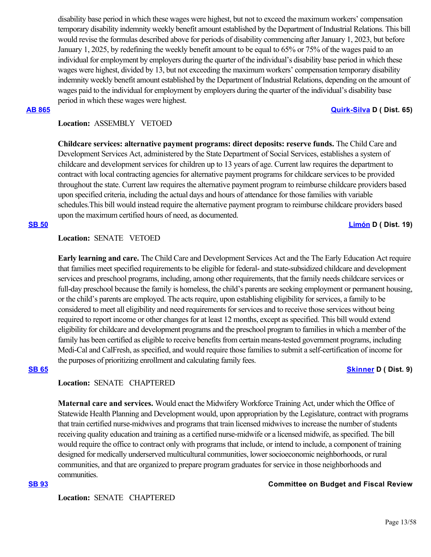disability base period in which these wages were highest, but not to exceed the maximum workers' compensation temporary disability indemnity weekly benefit amount established by the Department of Industrial Relations. This bill would revise the formulas described above for periods of disability commencing after January 1, 2023, but before January 1, 2025, by redefining the weekly benefit amount to be equal to 65% or 75% of the wages paid to an individual for employment by employers during the quarter of the individual's disability base period in which these wages were highest, divided by 13, but not exceeding the maximum workers' compensation temporary disability indemnity weekly benefit amount established by the Department of Industrial Relations, depending on the amount of wages paid to the individual for employment by employers during the quarter of the individual's disability base period in which these wages were highest.

### **[AB 865](https://ctweb.capitoltrack.com/public/publishbillinfo.aspx?bi=EghXc0OGT3%2FBZT%2FS4kmMB3Qg9Xfrtm2f4ulqI%2BIPxxC6uq2iVMqizE0kJOE7%2BaHF) [Quirk-Silva](https://a65.asmdc.org/) D ( Dist. 65)**

## **Location:**  ASSEMBLY VETOED

**Childcare services: alternative payment programs: direct deposits: reserve funds.** The Child Care and Development Services Act, administered by the State Department of Social Services, establishes a system of childcare and development services for children up to 13 years of age. Current law requires the department to contract with local contracting agencies for alternative payment programs for childcare services to be provided throughout the state. Current law requires the alternative payment program to reimburse childcare providers based upon specified criteria, including the actual days and hours of attendance for those families with variable schedules.This bill would instead require the alternative payment program to reimburse childcare providers based upon the maximum certified hours of need, as documented.

**[SB 50](https://ctweb.capitoltrack.com/public/publishbillinfo.aspx?bi=Abh62%2BdH60xM40%2FKrVN81VMZWiEH%2BVlu7Xg2C%2BPSiDmB8r7oa8tOxPYiMeN9emP4) [Limón](http://sd19.senate.ca.gov/) D ( Dist. 19)**

### **Location:**  SENATE VETOED

**Early learning and care.** The Child Care and Development Services Act and the The Early Education Act require that families meet specified requirements to be eligible for federal- and state-subsidized childcare and development services and preschool programs, including, among other requirements, that the family needs childcare services or full-day preschool because the family is homeless, the child's parents are seeking employment or permanent housing, or the child's parents are employed. The acts require, upon establishing eligibility for services, a family to be considered to meet all eligibility and need requirements for services and to receive those services without being required to report income or other changes for at least 12 months, except as specified. This bill would extend eligibility for childcare and development programs and the preschool program to families in which a member of the family has been certified as eligible to receive benefits from certain means-tested government programs, including Medi-Cal and CalFresh, as specified, and would require those families to submit a self-certification of income for the purposes of prioritizing enrollment and calculating family fees.

### **[SB 65](https://ctweb.capitoltrack.com/public/publishbillinfo.aspx?bi=%2FHOWLwGK1XZNtjiJeTXDh%2Bbm7GAj6oVDVuqYUpCneby%2FhpFImvN6Gt97ueuNieQD) [Skinner](http://sd09.senate.ca.gov/) D ( Dist. 9)**

## **Location:**  SENATE CHAPTERED

**Maternal care and services.** Would enact the Midwifery Workforce Training Act, under which the Office of Statewide Health Planning and Development would, upon appropriation by the Legislature, contract with programs that train certified nurse-midwives and programs that train licensed midwives to increase the number of students receiving quality education and training as a certified nurse-midwife or a licensed midwife, as specified. The bill would require the office to contract only with programs that include, or intend to include, a component of training designed for medically underserved multicultural communities, lower socioeconomic neighborhoods, or rural communities, and that are organized to prepare program graduates for service in those neighborhoods and communities.

**Location:**  SENATE CHAPTERED

## **[SB 93](https://ctweb.capitoltrack.com/public/publishbillinfo.aspx?bi=bGyPHPhaVgHMMrtS1WJARrh8zBKR6MMNwEzhdyR6GoriD2CvzlhtIRVCq48xDfRp) Committee on Budget and Fiscal Review**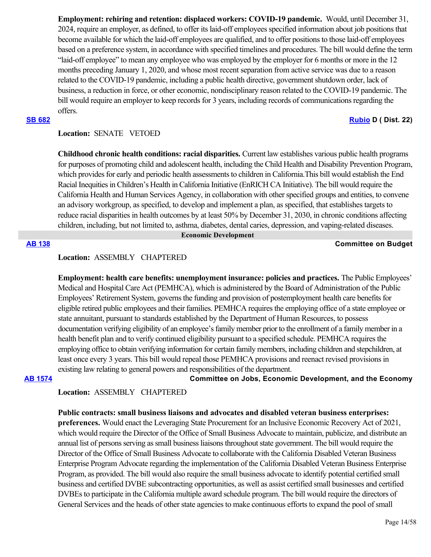**Employment: rehiring and retention: displaced workers: COVID-19 pandemic.** Would, until December 31, 2024, require an employer, as defined, to offer its laid-off employees specified information about job positions that become available for which the laid-off employees are qualified, and to offer positions to those laid-off employees based on a preference system, in accordance with specified timelines and procedures. The bill would define the term "laid-off employee" to mean any employee who was employed by the employer for 6 months or more in the 12 months preceding January 1, 2020, and whose most recent separation from active service was due to a reason related to the COVID-19 pandemic, including a public health directive, government shutdown order, lack of business, a reduction in force, or other economic, nondisciplinary reason related to the COVID-19 pandemic. The bill would require an employer to keep records for 3 years, including records of communications regarding the offers.

## **[SB 682](https://ctweb.capitoltrack.com/public/publishbillinfo.aspx?bi=7bcKPH1zLWjWn5YFrZvVuPmnr451mt3CfthO%2FZ%2B4uD%2FBoaYOu176yP7SuotplQ%2Bj) [Rubio](http://sd22.senate.ca.gov/) D ( Dist. 22)**

## **Location:**  SENATE VETOED

**Childhood chronic health conditions: racial disparities.** Current law establishes various public health programs for purposes of promoting child and adolescent health, including the Child Health and Disability Prevention Program, which provides for early and periodic health assessments to children in California.This bill would establish the End Racial Inequities in Children's Health in California Initiative (EnRICH CA Initiative). The bill would require the California Health and Human Services Agency, in collaboration with other specified groups and entities, to convene an advisory workgroup, as specified, to develop and implement a plan, as specified, that establishes targets to reduce racial disparities in health outcomes by at least 50% by December 31, 2030, in chronic conditions affecting children, including, but not limited to, asthma, diabetes, dental caries, depression, and vaping-related diseases.

 **Economic Development**

## **[AB 138](https://ctweb.capitoltrack.com/public/publishbillinfo.aspx?bi=TNom9pbApZwigkd2v3LVMA8TZWkCfimLlPaE81QsZhdbty9bQxIcFthPhVX3Og6D) Committee on Budget**

## **Location:**  ASSEMBLY CHAPTERED

**Employment: health care benefits: unemployment insurance: policies and practices.** The Public Employees' Medical and Hospital Care Act (PEMHCA), which is administered by the Board of Administration of the Public Employees' Retirement System, governs the funding and provision of postemployment health care benefits for eligible retired public employees and their families. PEMHCA requires the employing office of a state employee or state annuitant, pursuant to standards established by the Department of Human Resources, to possess documentation verifying eligibility of an employee's family member prior to the enrollment of a family member in a health benefit plan and to verify continued eligibility pursuant to a specified schedule. PEMHCA requires the employing office to obtain verifying information for certain family members, including children and stepchildren, at least once every 3 years. This bill would repeal those PEMHCA provisions and reenact revised provisions in existing law relating to general powers and responsibilities of the department.

**[AB 1574](https://ctweb.capitoltrack.com/public/publishbillinfo.aspx?bi=WcNAX1VhC7eJFt1rotfqgYPspurjOdTMl3t5zVn47enChV1Cb2%2BU3D4Jjb2TJdKh) Committee on Jobs, Economic Development, and the Economy**

## **Location:**  ASSEMBLY CHAPTERED

**Public contracts: small business liaisons and advocates and disabled veteran business enterprises: preferences.** Would enact the Leveraging State Procurement for an Inclusive Economic Recovery Act of 2021, which would require the Director of the Office of Small Business Advocate to maintain, publicize, and distribute an annual list of persons serving as small business liaisons throughout state government. The bill would require the Director of the Office of Small Business Advocate to collaborate with the California Disabled Veteran Business Enterprise Program Advocate regarding the implementation of the California Disabled Veteran Business Enterprise Program, as provided. The bill would also require the small business advocate to identify potential certified small business and certified DVBE subcontracting opportunities, as well as assist certified small businesses and certified DVBEs to participate in the California multiple award schedule program. The bill would require the directors of General Services and the heads of other state agencies to make continuous efforts to expand the pool of small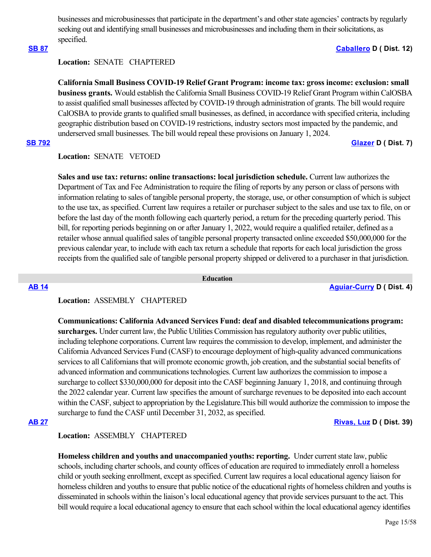businesses and microbusinesses that participate in the department's and other state agencies' contracts by regularly seeking out and identifying small businesses and microbusinesses and including them in their solicitations, as specified.

## **[SB 87](https://ctweb.capitoltrack.com/public/publishbillinfo.aspx?bi=eXVeP59s3x2dcSrAj%2FSsW9oOdzYmVh3nNnXsZPsb%2Bt81KO9RDL1twC%2BqsXas%2FmGk) [Caballero](https://sd12.senate.ca.gov/) D ( Dist. 12)**

## **Location:**  SENATE CHAPTERED

**California Small Business COVID-19 Relief Grant Program: income tax: gross income: exclusion: small business grants.** Would establish the California Small Business COVID-19 Relief Grant Program within CalOSBA to assist qualified small businesses affected by COVID-19 through administration of grants. The bill would require CalOSBA to provide grants to qualified small businesses, as defined, in accordance with specified criteria, including geographic distribution based on COVID-19 restrictions, industry sectors most impacted by the pandemic, and underserved small businesses. The bill would repeal these provisions on January 1, 2024.

## **[SB 792](https://ctweb.capitoltrack.com/public/publishbillinfo.aspx?bi=TfEt%2BGNl1fT%2BJZ3cNmmt4zyoH%2FuIryak7Fc6pQ%2BcC6pBW7%2BA2uDvO0Gvx6c3Z576) [Glazer](http://sd07.senate.ca.gov/) D ( Dist. 7)**

## **Location:**  SENATE VETOED

**Sales and use tax: returns: online transactions: local jurisdiction schedule.** Current law authorizes the Department of Tax and Fee Administration to require the filing of reports by any person or class of persons with information relating to sales of tangible personal property, the storage, use, or other consumption of which is subject to the use tax, as specified. Current law requires a retailer or purchaser subject to the sales and use tax to file, on or before the last day of the month following each quarterly period, a return for the preceding quarterly period. This bill, for reporting periods beginning on or after January 1, 2022, would require a qualified retailer, defined as a retailer whose annual qualified sales of tangible personal property transacted online exceeded \$50,000,000 for the previous calendar year, to include with each tax return a schedule that reports for each local jurisdiction the gross receipts from the qualified sale of tangible personal property shipped or delivered to a purchaser in that jurisdiction.

 **Education**

**[AB 14](https://ctweb.capitoltrack.com/public/publishbillinfo.aspx?bi=PJ7%2BepUVd85X%2BCqlJ9X9fOZ57l7wspB6zHmRkbn4yMvYIGYbRAK5Yp%2BxoAPIXInF) [Aguiar-Curry](https://a04.asmdc.org/) D ( Dist. 4)**

## **Location:**  ASSEMBLY CHAPTERED

**Communications: California Advanced Services Fund: deaf and disabled telecommunications program: surcharges.** Under current law, the Public Utilities Commission has regulatory authority over public utilities, including telephone corporations. Current law requires the commission to develop, implement, and administer the California Advanced Services Fund (CASF) to encourage deployment of high-quality advanced communications services to all Californians that will promote economic growth, job creation, and the substantial social benefits of advanced information and communications technologies. Current law authorizes the commission to impose a surcharge to collect \$330,000,000 for deposit into the CASF beginning January 1, 2018, and continuing through the 2022 calendar year. Current law specifies the amount of surcharge revenues to be deposited into each account within the CASF, subject to appropriation by the Legislature.This bill would authorize the commission to impose the surcharge to fund the CASF until December 31, 2032, as specified.

## **[AB 27](https://ctweb.capitoltrack.com/public/publishbillinfo.aspx?bi=x4XyyqXGhwGnYdhJXQdtKNyhgckctlG%2Bra6aa3YuPUvHwdfX8p9BiyraOIqLrT45) [Rivas, Luz](https://a39.asmdc.org/) D ( Dist. 39)**

### **Location:**  ASSEMBLY CHAPTERED

**Homeless children and youths and unaccompanied youths: reporting.** Under current state law, public schools, including charter schools, and county offices of education are required to immediately enroll a homeless child or youth seeking enrollment, except as specified. Current law requires a local educational agency liaison for homeless children and youths to ensure that public notice of the educational rights of homeless children and youths is disseminated in schools within the liaison's local educational agency that provide services pursuant to the act. This bill would require a local educational agency to ensure that each school within the local educational agency identifies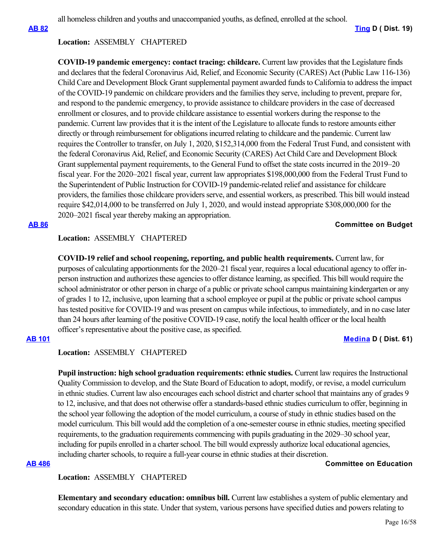all homeless children and youths and unaccompanied youths, as defined, enrolled at the school.

## **Location:**  ASSEMBLY CHAPTERED

**COVID-19 pandemic emergency: contact tracing: childcare.** Current law provides that the Legislature finds and declares that the federal Coronavirus Aid, Relief, and Economic Security (CARES) Act (Public Law 116-136) Child Care and Development Block Grant supplemental payment awarded funds to California to address the impact of the COVID-19 pandemic on childcare providers and the families they serve, including to prevent, prepare for, and respond to the pandemic emergency, to provide assistance to childcare providers in the case of decreased enrollment or closures, and to provide childcare assistance to essential workers during the response to the pandemic. Current law provides that it is the intent of the Legislature to allocate funds to restore amounts either directly or through reimbursement for obligations incurred relating to childcare and the pandemic. Current law requires the Controller to transfer, on July 1, 2020, \$152,314,000 from the Federal Trust Fund, and consistent with the federal Coronavirus Aid, Relief, and Economic Security (CARES) Act Child Care and Development Block Grant supplemental payment requirements, to the General Fund to offset the state costs incurred in the 2019–20 fiscal year. For the 2020–2021 fiscal year, current law appropriates \$198,000,000 from the Federal Trust Fund to the Superintendent of Public Instruction for COVID-19 pandemic-related relief and assistance for childcare providers, the families those childcare providers serve, and essential workers, as prescribed. This bill would instead require \$42,014,000 to be transferred on July 1, 2020, and would instead appropriate \$308,000,000 for the 2020–2021 fiscal year thereby making an appropriation.

## **[AB 86](https://ctweb.capitoltrack.com/public/publishbillinfo.aspx?bi=U5shfJa9I0USdNbC3FJxlwp6ngQdxnTMDJiNnfWcmDGLx2JzMgKM%2BJn6ciXSnPxL) Committee on Budget**

## **Location:**  ASSEMBLY CHAPTERED

**COVID-19 relief and school reopening, reporting, and public health requirements.** Current law, for purposes of calculating apportionments for the 2020–21 fiscal year, requires a local educational agency to offer inperson instruction and authorizes these agencies to offer distance learning, as specified. This bill would require the school administrator or other person in charge of a public or private school campus maintaining kindergarten or any of grades 1 to 12, inclusive, upon learning that a school employee or pupil at the public or private school campus has tested positive for COVID-19 and was present on campus while infectious, to immediately, and in no case later than 24 hours after learning of the positive COVID-19 case, notify the local health officer or the local health officer's representative about the positive case, as specified.

## **[AB 101](https://ctweb.capitoltrack.com/public/publishbillinfo.aspx?bi=SA4m82kQRt91xhZah5wMkJvEaNvU6tVMF9cwyYaPAA9WvOmX8cKDd91eYyEQCa1Y) [Medina](https://a61.asmdc.org/) D ( Dist. 61)**

## **Location:**  ASSEMBLY CHAPTERED

**Pupil instruction: high school graduation requirements: ethnic studies.** Current law requires the Instructional Quality Commission to develop, and the State Board of Education to adopt, modify, or revise, a model curriculum in ethnic studies. Current law also encourages each school district and charter school that maintains any of grades 9 to 12, inclusive, and that does not otherwise offer a standards-based ethnic studies curriculum to offer, beginning in the school year following the adoption of the model curriculum, a course of study in ethnic studies based on the model curriculum. This bill would add the completion of a one-semester course in ethnic studies, meeting specified requirements, to the graduation requirements commencing with pupils graduating in the 2029–30 school year, including for pupils enrolled in a charter school. The bill would expressly authorize local educational agencies, including charter schools, to require a full-year course in ethnic studies at their discretion.

## **[AB 486](https://ctweb.capitoltrack.com/public/publishbillinfo.aspx?bi=oubEKQu%2B09yA7iGGyDdveZk9Ubdfz9%2B70Z9v0%2FVSsmx4D4qjalwV4suU6pE7zdS4) Committee on Education**

## **Location:**  ASSEMBLY CHAPTERED

**Elementary and secondary education: omnibus bill.** Current law establishes a system of public elementary and secondary education in this state. Under that system, various persons have specified duties and powers relating to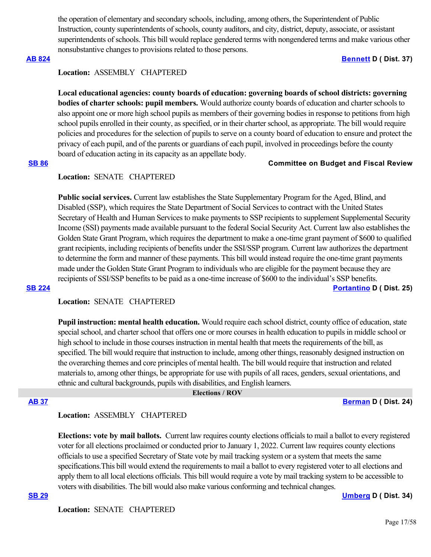the operation of elementary and secondary schools, including, among others, the Superintendent of Public Instruction, county superintendents of schools, county auditors, and city, district, deputy, associate, or assistant superintendents of schools. This bill would replace gendered terms with nongendered terms and make various other nonsubstantive changes to provisions related to those persons.

### **[AB 824](https://ctweb.capitoltrack.com/public/publishbillinfo.aspx?bi=4w7a3x0Xnb6ieHQbTAIHmo1VBpUQbMo4UrUe0AkOzA%2FiJwCzrWYv38POGE4J062U) [Bennett](https://a37.asmdc.org/) D ( Dist. 37)**

### **Location:**  ASSEMBLY CHAPTERED

**Local educational agencies: county boards of education: governing boards of school districts: governing bodies of charter schools: pupil members.** Would authorize county boards of education and charter schools to also appoint one or more high school pupils as members of their governing bodies in response to petitions from high school pupils enrolled in their county, as specified, or in their charter school, as appropriate. The bill would require policies and procedures for the selection of pupils to serve on a county board of education to ensure and protect the privacy of each pupil, and of the parents or guardians of each pupil, involved in proceedings before the county board of education acting in its capacity as an appellate body.

## **[SB 86](https://ctweb.capitoltrack.com/public/publishbillinfo.aspx?bi=iYFUAvPUutxqCit0%2B4xjGlPcUjFeQiVlGIPSS4c%2BB1kNgAALATaxORwiUwtYOoHa) Committee on Budget and Fiscal Review**

### **Location:**  SENATE CHAPTERED

**Public social services.** Current law establishes the State Supplementary Program for the Aged, Blind, and Disabled (SSP), which requires the State Department of Social Services to contract with the United States Secretary of Health and Human Services to make payments to SSP recipients to supplement Supplemental Security Income (SSI) payments made available pursuant to the federal Social Security Act. Current law also establishes the Golden State Grant Program, which requires the department to make a one-time grant payment of \$600 to qualified grant recipients, including recipients of benefits under the SSI/SSP program. Current law authorizes the department to determine the form and manner of these payments. This bill would instead require the one-time grant payments made under the Golden State Grant Program to individuals who are eligible for the payment because they are recipients of SSI/SSP benefits to be paid as a one-time increase of \$600 to the individual's SSP benefits. **[SB 224](https://ctweb.capitoltrack.com/public/publishbillinfo.aspx?bi=DM6voUCgLw3vG9tn2ohUlSz%2BYm%2BUwDm9SUq7pJ8T81nrMTjQbjemiDsQefclpumo) [Portantino](http://sd25.senate.ca.gov/) D ( Dist. 25)**

## **Location:**  SENATE CHAPTERED

**Pupil instruction: mental health education.** Would require each school district, county office of education, state special school, and charter school that offers one or more courses in health education to pupils in middle school or high school to include in those courses instruction in mental health that meets the requirements of the bill, as specified. The bill would require that instruction to include, among other things, reasonably designed instruction on the overarching themes and core principles of mental health. The bill would require that instruction and related materials to, among other things, be appropriate for use with pupils of all races, genders, sexual orientations, and ethnic and cultural backgrounds, pupils with disabilities, and English learners.

### **Elections / ROV**

**[AB 37](https://ctweb.capitoltrack.com/public/publishbillinfo.aspx?bi=MG0KIq%2Bzo2h03G4evUb95g%2FG2%2B1uhk2CzcKjAws%2BBq9yVA5f0J3I8WSXJop9gKLk) [Berman](https://a24.asmdc.org/) D ( Dist. 24)**

## **Location:**  ASSEMBLY CHAPTERED

**Elections: vote by mail ballots.** Current law requires county elections officials to mail a ballot to every registered voter for all elections proclaimed or conducted prior to January 1, 2022. Current law requires county elections officials to use a specified Secretary of State vote by mail tracking system or a system that meets the same specifications.This bill would extend the requirements to mail a ballot to every registered voter to all elections and apply them to all local elections officials. This bill would require a vote by mail tracking system to be accessible to voters with disabilities. The bill would also make various conforming and technical changes.

**[SB 29](https://ctweb.capitoltrack.com/public/publishbillinfo.aspx?bi=yIJr3w%2FwBBFvxr64ksXevSx8Om5d8LulHBwyCdh2ADsbQchvO3mJ3LeMrdcStk7H) [Umberg](https://sd34.senate.ca.gov/) D ( Dist. 34)**

**Location:**  SENATE CHAPTERED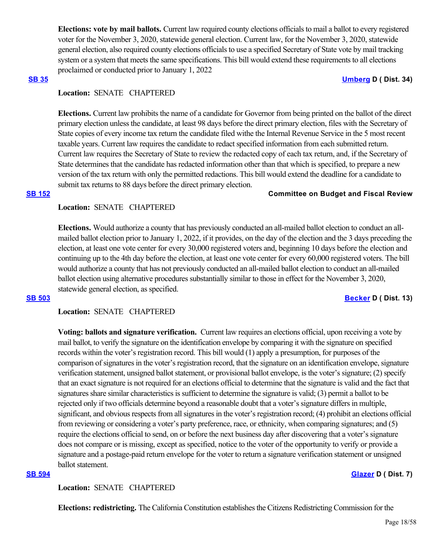**Elections: vote by mail ballots.** Current law required county elections officials to mail a ballot to every registered voter for the November 3, 2020, statewide general election. Current law, for the November 3, 2020, statewide general election, also required county elections officials to use a specified Secretary of State vote by mail tracking system or a system that meets the same specifications. This bill would extend these requirements to all elections proclaimed or conducted prior to January 1, 2022

#### **[SB 35](https://ctweb.capitoltrack.com/public/publishbillinfo.aspx?bi=K4VO%2B%2F%2FXcjYeFMsoKn5pTb2iM2WfEovekFbcxqCkFF1%2FMECA7gqN3M706GgQiy0e) [Umberg](https://sd34.senate.ca.gov/) D ( Dist. 34)**

## **Location:**  SENATE CHAPTERED

**Elections.** Current law prohibits the name of a candidate for Governor from being printed on the ballot of the direct primary election unless the candidate, at least 98 days before the direct primary election, files with the Secretary of State copies of every income tax return the candidate filed withe the Internal Revenue Service in the 5 most recent taxable years. Current law requires the candidate to redact specified information from each submitted return. Current law requires the Secretary of State to review the redacted copy of each tax return, and, if the Secretary of State determines that the candidate has redacted information other than that which is specified, to prepare a new version of the tax return with only the permitted redactions. This bill would extend the deadline for a candidate to submit tax returns to 88 days before the direct primary election.

### **[SB 152](https://ctweb.capitoltrack.com/public/publishbillinfo.aspx?bi=VJhbkGVPGw%2Bgnl2gt3aUg8zPYhReRKv15nFi%2B3qpPDg7%2FzrK2c17qUcsRnVEUSpR) Committee on Budget and Fiscal Review**

## **Location:**  SENATE CHAPTERED

**Elections.** Would authorize a county that has previously conducted an all-mailed ballot election to conduct an allmailed ballot election prior to January 1, 2022, if it provides, on the day of the election and the 3 days preceding the election, at least one vote center for every 30,000 registered voters and, beginning 10 days before the election and continuing up to the 4th day before the election, at least one vote center for every 60,000 registered voters. The bill would authorize a county that has not previously conducted an all-mailed ballot election to conduct an all-mailed ballot election using alternative procedures substantially similar to those in effect for the November 3, 2020, statewide general election, as specified.

#### **[SB 503](https://ctweb.capitoltrack.com/public/publishbillinfo.aspx?bi=34yULcDToW0iNb%2B3lRKrd6QauiyZ4CvZVxQWc8ZplW3uGapR0xlML622OhdMMrWy) [Becker](http://sd13.senate.ca.gov/) D ( Dist. 13)**

## **Location:**  SENATE CHAPTERED

**Voting: ballots and signature verification.** Current law requires an elections official, upon receiving a vote by mail ballot, to verify the signature on the identification envelope by comparing it with the signature on specified records within the voter's registration record. This bill would (1) apply a presumption, for purposes of the comparison of signatures in the voter's registration record, that the signature on an identification envelope, signature verification statement, unsigned ballot statement, or provisional ballot envelope, is the voter's signature; (2) specify that an exact signature is not required for an elections official to determine that the signature is valid and the fact that signatures share similar characteristics is sufficient to determine the signature is valid; (3) permit a ballot to be rejected only if two officials determine beyond a reasonable doubt that a voter's signature differs in multiple, significant, and obvious respects from all signatures in the voter's registration record; (4) prohibit an elections official from reviewing or considering a voter's party preference, race, or ethnicity, when comparing signatures; and (5) require the elections official to send, on or before the next business day after discovering that a voter's signature does not compare or is missing, except as specified, notice to the voter of the opportunity to verify or provide a signature and a postage-paid return envelope for the voter to return a signature verification statement or unsigned ballot statement.

## **[SB 594](https://ctweb.capitoltrack.com/public/publishbillinfo.aspx?bi=kOfI7Aw8HK%2F1P5ifWgmLakhdJE1c559hKvxsm2J%2F%2BQrIn6mAZx%2FhjUblUgIFWO7c) [Glazer](http://sd07.senate.ca.gov/) D ( Dist. 7)**

## **Location:**  SENATE CHAPTERED

**Elections: redistricting.** The California Constitution establishes the Citizens Redistricting Commission for the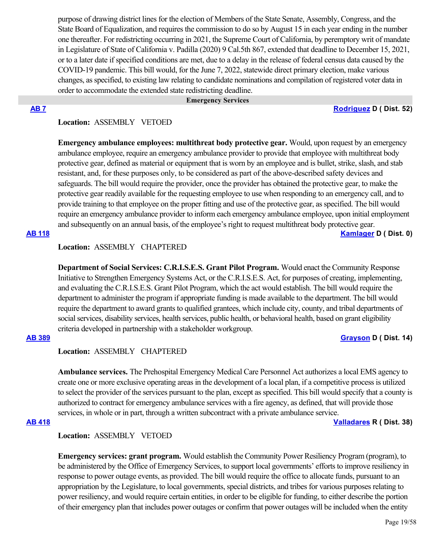purpose of drawing district lines for the election of Members of the State Senate, Assembly, Congress, and the State Board of Equalization, and requires the commission to do so by August 15 in each year ending in the number one thereafter. For redistricting occurring in 2021, the Supreme Court of California, by peremptory writ of mandate in Legislature of State of California v. Padilla (2020) 9 Cal.5th 867, extended that deadline to December 15, 2021, or to a later date if specified conditions are met, due to a delay in the release of federal census data caused by the COVID-19 pandemic. This bill would, for the June 7, 2022, statewide direct primary election, make various changes, as specified, to existing law relating to candidate nominations and compilation of registered voter data in order to accommodate the extended state redistricting deadline.

### **Emergency Services**

### **[AB 7](https://ctweb.capitoltrack.com/public/publishbillinfo.aspx?bi=p8WZMbevtTVfIMkwEOLndJHfwEiLMX0Z15ylFCS3HoKCVwm0AVG1tDGgJ3vX%2FR0w) [Rodriguez](https://a52.asmdc.org/) D ( Dist. 52)**

## **Location:**  ASSEMBLY VETOED

**Emergency ambulance employees: multithreat body protective gear.** Would, upon request by an emergency ambulance employee, require an emergency ambulance provider to provide that employee with multithreat body protective gear, defined as material or equipment that is worn by an employee and is bullet, strike, slash, and stab resistant, and, for these purposes only, to be considered as part of the above-described safety devices and safeguards. The bill would require the provider, once the provider has obtained the protective gear, to make the protective gear readily available for the requesting employee to use when responding to an emergency call, and to provide training to that employee on the proper fitting and use of the protective gear, as specified. The bill would require an emergency ambulance provider to inform each emergency ambulance employee, upon initial employment and subsequently on an annual basis, of the employee's right to request multithreat body protective gear.

## **[AB 118](https://ctweb.capitoltrack.com/public/publishbillinfo.aspx?bi=SphFfN9xeteQbOXIrPokfTP%2F%2FjX%2Bl92itaraU1VDwAfdEowaPjR55wTw%2FaWUZ6CL) [Kamlager](https://a54.asmdc.org/) D ( Dist. 0)**

## **Location:**  ASSEMBLY CHAPTERED

**Department of Social Services: C.R.I.S.E.S. Grant Pilot Program.** Would enact the Community Response Initiative to Strengthen Emergency Systems Act, or the C.R.I.S.E.S. Act, for purposes of creating, implementing, and evaluating the C.R.I.S.E.S. Grant Pilot Program, which the act would establish. The bill would require the department to administer the program if appropriate funding is made available to the department. The bill would require the department to award grants to qualified grantees, which include city, county, and tribal departments of social services, disability services, health services, public health, or behavioral health, based on grant eligibility criteria developed in partnership with a stakeholder workgroup.

## **[AB 389](https://ctweb.capitoltrack.com/public/publishbillinfo.aspx?bi=RiUzKNsjke%2FQEhgp%2Bj3gJvpdDZMxEFwTdrBEyotjBeCkPO08fy%2BIa2lOd9UdGooL) [Grayson](https://a14.asmdc.org/) D ( Dist. 14)**

## **Location:**  ASSEMBLY CHAPTERED

**Ambulance services.** The Prehospital Emergency Medical Care Personnel Act authorizes a local EMS agency to create one or more exclusive operating areas in the development of a local plan, if a competitive process is utilized to select the provider of the services pursuant to the plan, except as specified. This bill would specify that a county is authorized to contract for emergency ambulance services with a fire agency, as defined, that will provide those services, in whole or in part, through a written subcontract with a private ambulance service.

**[AB 418](https://ctweb.capitoltrack.com/public/publishbillinfo.aspx?bi=GnU%2BOEQEzmHVUc7wIVVEiISDCMew6AYOCOY1SW3zVsNYuKJ%2FXiMsYUj1nO8i9xP2) [Valladares](https://ad38.asmrc.org/) R ( Dist. 38)**

## **Location:**  ASSEMBLY VETOED

**Emergency services: grant program.** Would establish the Community Power Resiliency Program (program), to be administered by the Office of Emergency Services, to support local governments' efforts to improve resiliency in response to power outage events, as provided. The bill would require the office to allocate funds, pursuant to an appropriation by the Legislature, to local governments, special districts, and tribes for various purposes relating to power resiliency, and would require certain entities, in order to be eligible for funding, to either describe the portion of their emergency plan that includes power outages or confirm that power outages will be included when the entity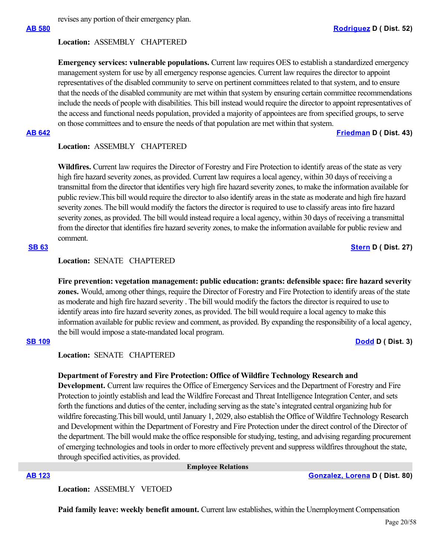revises any portion of their emergency plan.

### **Location:**  ASSEMBLY CHAPTERED

**Emergency services: vulnerable populations.** Current law requires OES to establish a standardized emergency management system for use by all emergency response agencies. Current law requires the director to appoint representatives of the disabled community to serve on pertinent committees related to that system, and to ensure that the needs of the disabled community are met within that system by ensuring certain committee recommendations include the needs of people with disabilities. This bill instead would require the director to appoint representatives of the access and functional needs population, provided a majority of appointees are from specified groups, to serve on those committees and to ensure the needs of that population are met within that system.

**[AB 642](https://ctweb.capitoltrack.com/public/publishbillinfo.aspx?bi=K6CX19qENDPAMvd7iLwZ1HVEdz%2BeRY7EgYjNbp0KZj2POGQlH%2FLQzU1i2gvGHWeX) [Friedman](https://a43.asmdc.org/) D ( Dist. 43)**

### **Location:**  ASSEMBLY CHAPTERED

**Wildfires.** Current law requires the Director of Forestry and Fire Protection to identify areas of the state as very high fire hazard severity zones, as provided. Current law requires a local agency, within 30 days of receiving a transmittal from the director that identifies very high fire hazard severity zones, to make the information available for public review.This bill would require the director to also identify areas in the state as moderate and high fire hazard severity zones. The bill would modify the factors the director is required to use to classify areas into fire hazard severity zones, as provided. The bill would instead require a local agency, within 30 days of receiving a transmittal from the director that identifies fire hazard severity zones, to make the information available for public review and comment.

## **[SB 63](https://ctweb.capitoltrack.com/public/publishbillinfo.aspx?bi=51BTS7vZ%2FnRh37SDSRFhwHJo55TTZhO%2FVJVDJqxfuxXLS9oe%2FbQJwqoj%2BGMKYDoU) [Stern](http://sd27.senate.ca.gov/) D ( Dist. 27)**

## **Location:**  SENATE CHAPTERED

**Fire prevention: vegetation management: public education: grants: defensible space: fire hazard severity zones.** Would, among other things, require the Director of Forestry and Fire Protection to identify areas of the state as moderate and high fire hazard severity . The bill would modify the factors the director is required to use to identify areas into fire hazard severity zones, as provided. The bill would require a local agency to make this information available for public review and comment, as provided. By expanding the responsibility of a local agency, the bill would impose a state-mandated local program.

### **[SB 109](https://ctweb.capitoltrack.com/public/publishbillinfo.aspx?bi=VcVV71HTyDNa3dv83xyYX%2BWRZUb%2FY9P91HkxJBrTJG8q%2FGXpQCVc5LP8rZGmML70) [Dodd](http://sd03.senate.ca.gov/) D ( Dist. 3)**

## **Location:**  SENATE CHAPTERED

### **Department of Forestry and Fire Protection: Office of Wildfire Technology Research and**

**Development.** Current law requires the Office of Emergency Services and the Department of Forestry and Fire Protection to jointly establish and lead the Wildfire Forecast and Threat Intelligence Integration Center, and sets forth the functions and duties of the center, including serving as the state's integrated central organizing hub for wildfire forecasting. This bill would, until January 1, 2029, also establish the Office of Wildfire Technology Research and Development within the Department of Forestry and Fire Protection under the direct control of the Director of the department. The bill would make the office responsible for studying, testing, and advising regarding procurement of emerging technologies and tools in order to more effectively prevent and suppress wildfires throughout the state, through specified activities, as provided.

#### **Employee Relations**

**[AB 123](https://ctweb.capitoltrack.com/public/publishbillinfo.aspx?bi=%2F8P%2FESm4cLrZPdZlseHCQ6aTJbD6zKr0QhaL%2Fr3l%2B80CEFmtlz4tcU5EIMhoxRGN) [Gonzalez, Lorena](https://a80.asmdc.org/) D ( Dist. 80)**

**Location:**  ASSEMBLY VETOED

**Paid family leave: weekly benefit amount.** Current law establishes, within the Unemployment Compensation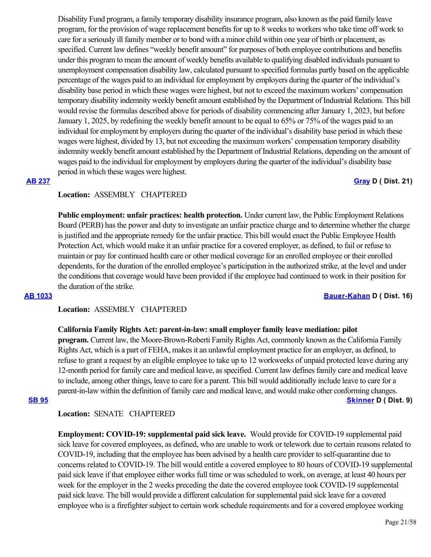Disability Fund program, a family temporary disability insurance program, also known as the paid family leave program, for the provision of wage replacement benefits for up to 8 weeks to workers who take time off work to care for a seriously ill family member or to bond with a minor child within one year of birth or placement, as specified. Current law defines "weekly benefit amount" for purposes of both employee contributions and benefits under this program to mean the amount of weekly benefits available to qualifying disabled individuals pursuant to unemployment compensation disability law, calculated pursuant to specified formulas partly based on the applicable percentage of the wages paid to an individual for employment by employers during the quarter of the individual's disability base period in which these wages were highest, but not to exceed the maximum workers' compensation temporary disability indemnity weekly benefit amount established by the Department of Industrial Relations. This bill would revise the formulas described above for periods of disability commencing after January 1, 2023, but before January 1, 2025, by redefining the weekly benefit amount to be equal to 65% or 75% of the wages paid to an individual for employment by employers during the quarter of the individual's disability base period in which these wages were highest, divided by 13, but not exceeding the maximum workers' compensation temporary disability indemnity weekly benefit amount established by the Department of Industrial Relations, depending on the amount of wages paid to the individual for employment by employers during the quarter of the individual's disability base period in which these wages were highest.

## **[AB 237](https://ctweb.capitoltrack.com/public/publishbillinfo.aspx?bi=5RP1DLm3qpLWTKuSbKMQoylpU%2FXY3shc1RkSmmT%2BxjLT%2Bh3bnhwftbofR%2FO1uoXd) [Gray](https://a21.asmdc.org/) D ( Dist. 21)**

### **Location:**  ASSEMBLY CHAPTERED

**Public employment: unfair practices: health protection.** Under current law, the Public Employment Relations Board (PERB) has the power and duty to investigate an unfair practice charge and to determine whether the charge is justified and the appropriate remedy for the unfair practice. This bill would enact the Public Employee Health Protection Act, which would make it an unfair practice for a covered employer, as defined, to fail or refuse to maintain or pay for continued health care or other medical coverage for an enrolled employee or their enrolled dependents, for the duration of the enrolled employee's participation in the authorized strike, at the level and under the conditions that coverage would have been provided if the employee had continued to work in their position for the duration of the strike.

**[AB 1033](https://ctweb.capitoltrack.com/public/publishbillinfo.aspx?bi=xYGuUPYnZXyGqc5fcg1bXa39ezAuxRRvZ%2BREPIVKIy%2FEgspm7t9jONMSJedg28tA) [Bauer-Kahan](https://a16.asmdc.org/) D ( Dist. 16)**

## **Location:**  ASSEMBLY CHAPTERED

### **California Family Rights Act: parent-in-law: small employer family leave mediation: pilot**

**program.** Current law, the Moore-Brown-Roberti Family Rights Act, commonly known as the California Family Rights Act, which is a part of FEHA, makes it an unlawful employment practice for an employer, as defined, to refuse to grant a request by an eligible employee to take up to 12 workweeks of unpaid protected leave during any 12-month period for family care and medical leave, as specified. Current law defines family care and medical leave to include, among other things, leave to care for a parent. This bill would additionally include leave to care for a parent-in-law within the definition of family care and medical leave, and would make other conforming changes. **[SB 95](https://ctweb.capitoltrack.com/public/publishbillinfo.aspx?bi=By5kXj0k0lH%2FbI7euVEfyAD7yVMBJ44dMMqKvtI%2F5bFEBXKBGKiIIA0sq1Ah25VI) [Skinner](http://sd09.senate.ca.gov/) D ( Dist. 9)**

## **Location:**  SENATE CHAPTERED

**Employment: COVID-19: supplemental paid sick leave.** Would provide for COVID-19 supplemental paid sick leave for covered employees, as defined, who are unable to work or telework due to certain reasons related to COVID-19, including that the employee has been advised by a health care provider to self-quarantine due to concerns related to COVID-19. The bill would entitle a covered employee to 80 hours of COVID-19 supplemental paid sick leave if that employee either works full time or was scheduled to work, on average, at least 40 hours per week for the employer in the 2 weeks preceding the date the covered employee took COVID-19 supplemental paid sick leave. The bill would provide a different calculation for supplemental paid sick leave for a covered employee who is a firefighter subject to certain work schedule requirements and for a covered employee working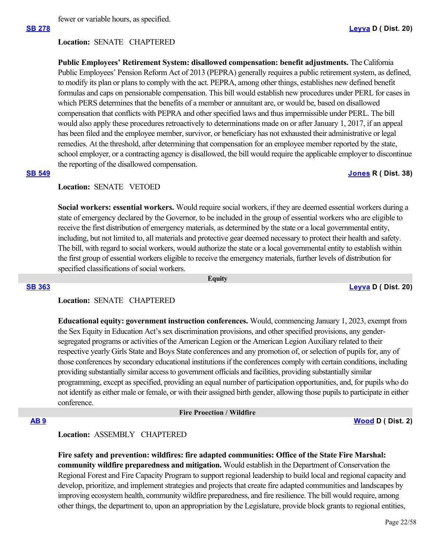fewer or variable hours, as specified.

### **Location:**  SENATE CHAPTERED

**Public Employees' Retirement System: disallowed compensation: benefit adjustments.** The California Public Employees' Pension Reform Act of 2013 (PEPRA) generally requires a public retirement system, as defined, to modify its plan or plans to comply with the act. PEPRA, among other things, establishes new defined benefit formulas and caps on pensionable compensation. This bill would establish new procedures under PERL for cases in which PERS determines that the benefits of a member or annuitant are, or would be, based on disallowed compensation that conflicts with PEPRA and other specified laws and thus impermissible under PERL. The bill would also apply these procedures retroactively to determinations made on or after January 1, 2017, if an appeal has been filed and the employee member, survivor, or beneficiary has not exhausted their administrative or legal remedies. At the threshold, after determining that compensation for an employee member reported by the state, school employer, or a contracting agency is disallowed, the bill would require the applicable employer to discontinue the reporting of the disallowed compensation.

## **[SB 549](https://ctweb.capitoltrack.com/public/publishbillinfo.aspx?bi=o5Z1P6xdagM0KvYFV1mAq%2FdB34p7U6HX%2FtvRc3d2ea6BjDTgMdBMV7zkxurH7Uyc) [Jones](https://jones.cssrc.us/) R ( Dist. 38)**

## **Location:**  SENATE VETOED

**Social workers: essential workers.** Would require social workers, if they are deemed essential workers during a state of emergency declared by the Governor, to be included in the group of essential workers who are eligible to receive the first distribution of emergency materials, as determined by the state or a local governmental entity, including, but not limited to, all materials and protective gear deemed necessary to protect their health and safety. The bill, with regard to social workers, would authorize the state or a local governmental entity to establish within the first group of essential workers eligible to receive the emergency materials, further levels of distribution for specified classifications of social workers.

 **Equity**

**[SB 363](https://ctweb.capitoltrack.com/public/publishbillinfo.aspx?bi=Km8JctphnrId5GPX%2Bj1%2FbuBOP9izzWxV793EUhXTYGfDx2%2BF7Uku2fDvFIipjzbI) [Leyva](http://sd20.senate.ca.gov/) D ( Dist. 20)**

## **Location:**  SENATE CHAPTERED

**Educational equity: government instruction conferences.** Would, commencing January 1, 2023, exempt from the Sex Equity in Education Act's sex discrimination provisions, and other specified provisions, any gendersegregated programs or activities of the American Legion or the American Legion Auxiliary related to their respective yearly Girls State and Boys State conferences and any promotion of, or selection of pupils for, any of those conferences by secondary educational institutions if the conferences comply with certain conditions, including providing substantially similar access to government officials and facilities, providing substantially similar programming, except as specified, providing an equal number of participation opportunities, and, for pupils who do not identify as either male or female, or with their assigned birth gender, allowing those pupils to participate in either conference.

### **Fire Proection / Wildfire**

**[AB 9](https://ctweb.capitoltrack.com/public/publishbillinfo.aspx?bi=EaMo%2B%2F8ngGfBm6%2BFh04dBPr2PdsEpeqOAPno%2BcPLH8OrNNI4QaMiaWo19VVhP0%2Fv) [Wood](https://a02.asmdc.org/) D ( Dist. 2)**

### **Location:**  ASSEMBLY CHAPTERED

**Fire safety and prevention: wildfires: fire adapted communities: Office of the State Fire Marshal: community wildfire preparedness and mitigation.** Would establish in the Department of Conservation the Regional Forest and Fire Capacity Program to support regional leadership to build local and regional capacity and develop, prioritize, and implement strategies and projects that create fire adapted communities and landscapes by improving ecosystem health, community wildfire preparedness, and fire resilience. The bill would require, among other things, the department to, upon an appropriation by the Legislature, provide block grants to regional entities,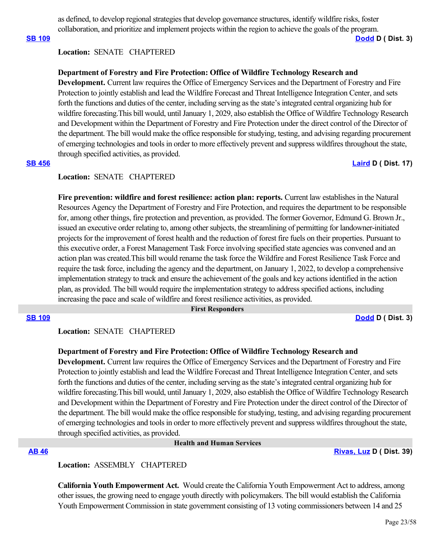as defined, to develop regional strategies that develop governance structures, identify wildfire risks, foster collaboration, and prioritize and implement projects within the region to achieve the goals of the program.

**[SB 109](https://ctweb.capitoltrack.com/public/publishbillinfo.aspx?bi=VcVV71HTyDNa3dv83xyYX%2BWRZUb%2FY9P91HkxJBrTJG8q%2FGXpQCVc5LP8rZGmML70) [Dodd](http://sd03.senate.ca.gov/) D ( Dist. 3)**

## **Location:**  SENATE CHAPTERED

## **Department of Forestry and Fire Protection: Office of Wildfire Technology Research and**

**Development.** Current law requires the Office of Emergency Services and the Department of Forestry and Fire Protection to jointly establish and lead the Wildfire Forecast and Threat Intelligence Integration Center, and sets forth the functions and duties of the center, including serving as the state's integrated central organizing hub for wildfire forecasting.This bill would, until January 1, 2029, also establish the Office of Wildfire Technology Research and Development within the Department of Forestry and Fire Protection under the direct control of the Director of the department. The bill would make the office responsible for studying, testing, and advising regarding procurement of emerging technologies and tools in order to more effectively prevent and suppress wildfires throughout the state, through specified activities, as provided.

## **[SB 456](https://ctweb.capitoltrack.com/public/publishbillinfo.aspx?bi=r1FpZ5S3rV4DPWUFWirjrt08pB8gtynCEbdSrBd02GEWa3YhhTMtS%2BsTpf3ApQwD) [Laird](http://sd17.senate.ca.gov/) D ( Dist. 17)**

#### **Location:**  SENATE CHAPTERED

Fire prevention: wildfire and forest resilience: action plan: reports. Current law establishes in the Natural Resources Agency the Department of Forestry and Fire Protection, and requires the department to be responsible for, among other things, fire protection and prevention, as provided. The former Governor, Edmund G. Brown Jr., issued an executive order relating to, among other subjects, the streamlining of permitting for landowner-initiated projects for the improvement of forest health and the reduction of forest fire fuels on their properties. Pursuant to this executive order, a Forest Management Task Force involving specified state agencies was convened and an action plan was created.This bill would rename the task force the Wildfire and Forest Resilience Task Force and require the task force, including the agency and the department, on January 1, 2022, to develop a comprehensive implementation strategy to track and ensure the achievement of the goals and key actions identified in the action plan, as provided. The bill would require the implementation strategy to address specified actions, including increasing the pace and scale of wildfire and forest resilience activities, as provided.

#### **First Responders**

**[SB 109](https://ctweb.capitoltrack.com/public/publishbillinfo.aspx?bi=VcVV71HTyDNa3dv83xyYX%2BWRZUb%2FY9P91HkxJBrTJG8q%2FGXpQCVc5LP8rZGmML70) [Dodd](http://sd03.senate.ca.gov/) D ( Dist. 3)**

### **Location:**  SENATE CHAPTERED

## **Department of Forestry and Fire Protection: Office of Wildfire Technology Research and**

**Development.** Current law requires the Office of Emergency Services and the Department of Forestry and Fire Protection to jointly establish and lead the Wildfire Forecast and Threat Intelligence Integration Center, and sets forth the functions and duties of the center, including serving as the state's integrated central organizing hub for wildfire forecasting. This bill would, until January 1, 2029, also establish the Office of Wildfire Technology Research and Development within the Department of Forestry and Fire Protection under the direct control of the Director of the department. The bill would make the office responsible for studying, testing, and advising regarding procurement of emerging technologies and tools in order to more effectively prevent and suppress wildfires throughout the state, through specified activities, as provided.

### **Health and Human Services**

**[AB 46](https://ctweb.capitoltrack.com/public/publishbillinfo.aspx?bi=ssIZdgyKguVMeYIkH2JH8HrdCaK64xkOWRco5WOYYjeKpNuL3q44PGgTyU9ERz3G) [Rivas, Luz](https://a39.asmdc.org/) D ( Dist. 39)**

## **Location:**  ASSEMBLY CHAPTERED

**California Youth Empowerment Act.** Would create the California Youth Empowerment Act to address, among other issues, the growing need to engage youth directly with policymakers. The bill would establish the California Youth Empowerment Commission in state government consisting of 13 voting commissioners between 14 and 25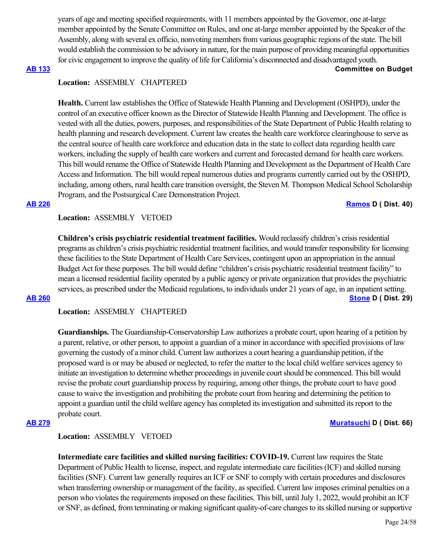years of age and meeting specified requirements, with 11 members appointed by the Governor, one at-large member appointed by the Senate Committee on Rules, and one at-large member appointed by the Speaker of the Assembly, along with several ex officio, nonvoting members from various geographic regions of the state. The bill would establish the commission to be advisory in nature, for the main purpose of providing meaningful opportunities for civic engagement to improve the quality of life for California's disconnected and disadvantaged youth.

### **[AB 133](https://ctweb.capitoltrack.com/public/publishbillinfo.aspx?bi=l2i%2FtQ7Po3AxGWz9R2iAsfNJwrNM%2F90dI145r1YwOT3QaXmjvEUeS2NBFIwpdfdf) Committee on Budget**

## **Location:**  ASSEMBLY CHAPTERED

**Health.** Current law establishes the Office of Statewide Health Planning and Development (OSHPD), under the control of an executive officer known as the Director of Statewide Health Planning and Development. The office is vested with all the duties, powers, purposes, and responsibilities of the State Department of Public Health relating to health planning and research development. Current law creates the health care workforce clearinghouse to serve as the central source of health care workforce and education data in the state to collect data regarding health care workers, including the supply of health care workers and current and forecasted demand for health care workers. This bill would rename the Office of Statewide Health Planning and Development as the Department of Health Care Access and Information. The bill would repeal numerous duties and programs currently carried out by the OSHPD, including, among others, rural health care transition oversight, the Steven M. Thompson Medical School Scholarship Program, and the Postsurgical Care Demonstration Project.

### **[AB 226](https://ctweb.capitoltrack.com/public/publishbillinfo.aspx?bi=ijuUBRh09meHt2W%2BTyRX1vtSwgnMyKBjnrWssUIJV5sYAiOgRghoQy0Co9zvmV0V) [Ramos](https://a40.asmdc.org/) D ( Dist. 40)**

**Location:**  ASSEMBLY VETOED

**Children's crisis psychiatric residential treatment facilities.** Would reclassify children's crisis residential programs as children's crisis psychiatric residential treatment facilities, and would transfer responsibility for licensing these facilities to the State Department of Health Care Services, contingent upon an appropriation in the annual Budget Act for these purposes. The bill would define "children's crisis psychiatric residential treatment facility" to mean a licensed residential facility operated by a public agency or private organization that provides the psychiatric services, as prescribed under the Medicaid regulations, to individuals under 21 years of age, in an inpatient setting. **[AB 260](https://ctweb.capitoltrack.com/public/publishbillinfo.aspx?bi=TBKk8l4MX4ULZoQ7Wu54%2FHn28oc%2FViJGCsS9q2QxLsxsS2ccwUpEBiRVD3vCmtTZ) [Stone](https://a29.asmdc.org/) D ( Dist. 29)**

**Location:**  ASSEMBLY CHAPTERED

**Guardianships.** The Guardianship-Conservatorship Law authorizes a probate court, upon hearing of a petition by a parent, relative, or other person, to appoint a guardian of a minor in accordance with specified provisions of law governing the custody of a minor child. Current law authorizes a court hearing a guardianship petition, if the proposed ward is or may be abused or neglected, to refer the matter to the local child welfare services agency to initiate an investigation to determine whether proceedings in juvenile court should be commenced. This bill would revise the probate court guardianship process by requiring, among other things, the probate court to have good cause to waive the investigation and prohibiting the probate court from hearing and determining the petition to appoint a guardian until the child welfare agency has completed its investigation and submitted its report to the probate court.

### **[AB 279](https://ctweb.capitoltrack.com/public/publishbillinfo.aspx?bi=FT8PLHaFkjbi8FyOpMMPcH8RkyFo6fBnkKkYlA7dTDRBwm5IY%2FEVhp63Y1ZHVEI7) [Muratsuchi](https://a66.asmdc.org/) D ( Dist. 66)**

### **Location:**  ASSEMBLY VETOED

**Intermediate care facilities and skilled nursing facilities: COVID-19.** Current law requires the State Department of Public Health to license, inspect, and regulate intermediate care facilities (ICF) and skilled nursing facilities (SNF). Current law generally requires an ICF or SNF to comply with certain procedures and disclosures when transferring ownership or management of the facility, as specified. Current law imposes criminal penalties on a person who violates the requirements imposed on these facilities. This bill, until July 1, 2022, would prohibit an ICF or SNF, as defined, from terminating or making significant quality-of-care changes to its skilled nursing or supportive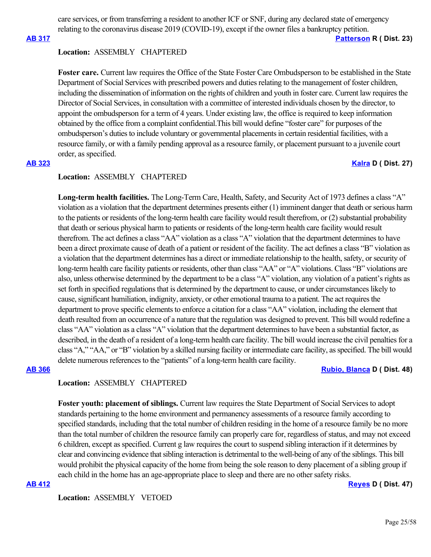care services, or from transferring a resident to another ICF or SNF, during any declared state of emergency relating to the coronavirus disease 2019 (COVID-19), except if the owner files a bankruptcy petition.

**[AB 317](https://ctweb.capitoltrack.com/public/publishbillinfo.aspx?bi=eQJ9%2FMLBMfbzw5ONcy%2B8K3wtK3IO2T%2FMNHf48raywA8crHw3rp%2B4TUerrGhNILXs) [Patterson](https://ad23.asmrc.org/) R ( Dist. 23)**

### **Location:**  ASSEMBLY CHAPTERED

**Foster care.** Current law requires the Office of the State Foster Care Ombudsperson to be established in the State Department of Social Services with prescribed powers and duties relating to the management of foster children, including the dissemination of information on the rights of children and youth in foster care. Current law requires the Director of Social Services, in consultation with a committee of interested individuals chosen by the director, to appoint the ombudsperson for a term of 4 years. Under existing law, the office is required to keep information obtained by the office from a complaint confidential.This bill would define "foster care" for purposes of the ombudsperson's duties to include voluntary or governmental placements in certain residential facilities, with a resource family, or with a family pending approval as a resource family, or placement pursuant to a juvenile court order, as specified.

## **[AB 323](https://ctweb.capitoltrack.com/public/publishbillinfo.aspx?bi=FVuDopc6kJiuGasl8fzHZaCeNmO7xd8vEtVVNyjBKkDCIzplBxDH8Z6kcbazgDsk) [Kalra](https://a27.asmdc.org/) D ( Dist. 27)**

### **Location:**  ASSEMBLY CHAPTERED

**Long-term health facilities.** The Long-Term Care, Health, Safety, and Security Act of 1973 defines a class "A" violation as a violation that the department determines presents either (1) imminent danger that death or serious harm to the patients or residents of the long-term health care facility would result therefrom, or (2) substantial probability that death or serious physical harm to patients or residents of the long-term health care facility would result therefrom. The act defines a class "AA" violation as a class "A" violation that the department determines to have been a direct proximate cause of death of a patient or resident of the facility. The act defines a class "B" violation as a violation that the department determines has a direct or immediate relationship to the health, safety, or security of long-term health care facility patients or residents, other than class "AA" or "A" violations. Class "B" violations are also, unless otherwise determined by the department to be a class "A" violation, any violation of a patient's rights as set forth in specified regulations that is determined by the department to cause, or under circumstances likely to cause, significant humiliation, indignity, anxiety, or other emotional trauma to a patient. The act requires the department to prove specific elements to enforce a citation for a class "AA" violation, including the element that death resulted from an occurrence of a nature that the regulation was designed to prevent. This bill would redefine a class "AA" violation as a class "A" violation that the department determines to have been a substantial factor, as described, in the death of a resident of a long-term health care facility. The bill would increase the civil penalties for a class "A," "AA," or "B" violation by a skilled nursing facility or intermediate care facility, as specified. The bill would delete numerous references to the "patients" of a long-term health care facility.

**[AB 366](https://ctweb.capitoltrack.com/public/publishbillinfo.aspx?bi=oscuWD5%2FA7IqQpmFiJ1OS%2BvK1YUdFp0w5GjN71gSumB4WIJUcVr1fCXzqaro87F%2F) [Rubio, Blanca](https://a48.asmdc.org/) D ( Dist. 48)**

### **Location:**  ASSEMBLY CHAPTERED

**Foster youth: placement of siblings.** Current law requires the State Department of Social Services to adopt standards pertaining to the home environment and permanency assessments of a resource family according to specified standards, including that the total number of children residing in the home of a resource family be no more than the total number of children the resource family can properly care for, regardless of status, and may not exceed 6 children, except as specified. Current g law requires the court to suspend sibling interaction if it determines by clear and convincing evidence that sibling interaction is detrimental to the well-being of any of the siblings. This bill would prohibit the physical capacity of the home from being the sole reason to deny placement of a sibling group if each child in the home has an age-appropriate place to sleep and there are no other safety risks.

#### **[AB 412](https://ctweb.capitoltrack.com/public/publishbillinfo.aspx?bi=x5D6bohmRxFQGsVYLITij76U5y5o%2F1udXsI9ZV%2BLt4KPWrVLLYetQgdWkeJZyREl) [Reyes](https://a47.asmdc.org/) D ( Dist. 47)**

**Location:**  ASSEMBLY VETOED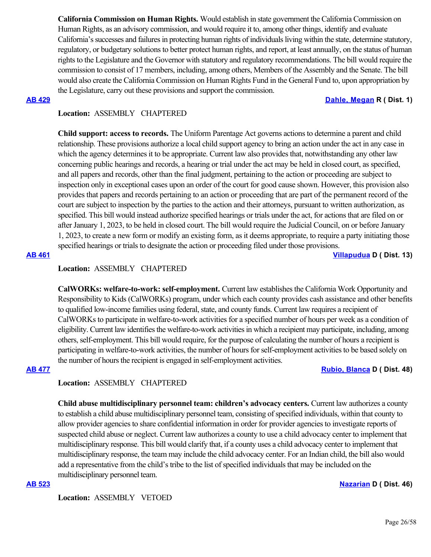**California Commission on Human Rights.** Would establish in state government the California Commission on Human Rights, as an advisory commission, and would require it to, among other things, identify and evaluate California's successes and failures in protecting human rights of individuals living within the state, determine statutory, regulatory, or budgetary solutions to better protect human rights, and report, at least annually, on the status of human rights to the Legislature and the Governor with statutory and regulatory recommendations. The bill would require the commission to consist of 17 members, including, among others, Members of the Assembly and the Senate. The bill would also create the California Commission on Human Rights Fund in the General Fund to, upon appropriation by the Legislature, carry out these provisions and support the commission.

### **[AB 429](https://ctweb.capitoltrack.com/public/publishbillinfo.aspx?bi=yZO1mQ7ny%2FsoOaRPgRxAtJN6vpY3uOkods4NifJYdKbMYv0Pwz3zCUJYWQTvfvml) [Dahle, Megan](https://ad01.asmrc.org/) R ( Dist. 1)**

## **Location:**  ASSEMBLY CHAPTERED

**Child support: access to records.** The Uniform Parentage Act governs actions to determine a parent and child relationship. These provisions authorize a local child support agency to bring an action under the act in any case in which the agency determines it to be appropriate. Current law also provides that, notwithstanding any other law concerning public hearings and records, a hearing or trial under the act may be held in closed court, as specified, and all papers and records, other than the final judgment, pertaining to the action or proceeding are subject to inspection only in exceptional cases upon an order of the court for good cause shown. However, this provision also provides that papers and records pertaining to an action or proceeding that are part of the permanent record of the court are subject to inspection by the parties to the action and their attorneys, pursuant to written authorization, as specified. This bill would instead authorize specified hearings or trials under the act, for actions that are filed on or after January 1, 2023, to be held in closed court. The bill would require the Judicial Council, on or before January 1, 2023, to create a new form or modify an existing form, as it deems appropriate, to require a party initiating those specified hearings or trials to designate the action or proceeding filed under those provisions.

**[AB 461](https://ctweb.capitoltrack.com/public/publishbillinfo.aspx?bi=3dzuO1cuwQKR8ptWvH0xpENNwkvTG0nFZjIOfPBxFHhLTzXSApTWukAoSVc6xpl5) [Villapudua](https://a13.asmdc.org/) D ( Dist. 13)**

## **Location:**  ASSEMBLY CHAPTERED

**CalWORKs: welfare-to-work: self-employment.** Current law establishes the California Work Opportunity and Responsibility to Kids (CalWORKs) program, under which each county provides cash assistance and other benefits to qualified low-income families using federal, state, and county funds. Current law requires a recipient of CalWORKs to participate in welfare-to-work activities for a specified number of hours per week as a condition of eligibility. Current law identifies the welfare-to-work activities in which a recipient may participate, including, among others, self-employment. This bill would require, for the purpose of calculating the number of hours a recipient is participating in welfare-to-work activities, the number of hours for self-employment activities to be based solely on the number of hours the recipient is engaged in self-employment activities.

## **[AB 477](https://ctweb.capitoltrack.com/public/publishbillinfo.aspx?bi=RnXCKhmpvPmgLo3b3zYwbZVGoQ9Ksj0RBNArZYHLvZqWT5Ms1Q0kSW95EMUjA54u) [Rubio, Blanca](https://a48.asmdc.org/) D ( Dist. 48)**

## **Location:**  ASSEMBLY CHAPTERED

**Child abuse multidisciplinary personnel team: children's advocacy centers.** Current law authorizes a county to establish a child abuse multidisciplinary personnel team, consisting of specified individuals, within that county to allow provider agencies to share confidential information in order for provider agencies to investigate reports of suspected child abuse or neglect. Current law authorizes a county to use a child advocacy center to implement that multidisciplinary response. This bill would clarify that, if a county uses a child advocacy center to implement that multidisciplinary response, the team may include the child advocacy center. For an Indian child, the bill also would add a representative from the child's tribe to the list of specified individuals that may be included on the multidisciplinary personnel team.

#### **[AB 523](https://ctweb.capitoltrack.com/public/publishbillinfo.aspx?bi=BKUxO9RlRbkbDhyUt92OVhsSUwKlRjohpyyDldk01w9vUU%2BdBtVA2xail5uJ0ppE) [Nazarian](https://a46.asmdc.org/) D ( Dist. 46)**

**Location:**  ASSEMBLY VETOED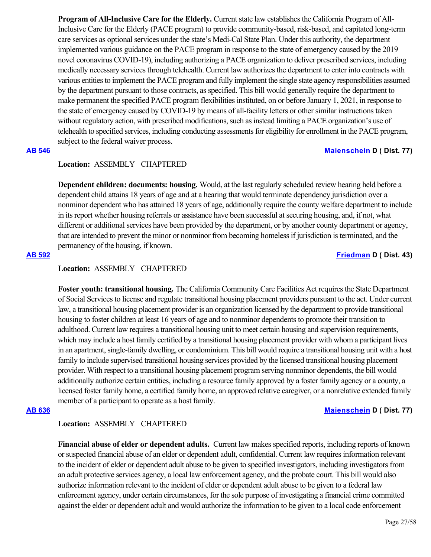**Program of All-Inclusive Care for the Elderly.** Current state law establishes the California Program of All-Inclusive Care for the Elderly (PACE program) to provide community-based, risk-based, and capitated long-term care services as optional services under the state's Medi-Cal State Plan. Under this authority, the department implemented various guidance on the PACE program in response to the state of emergency caused by the 2019 novel coronavirus COVID-19), including authorizing a PACE organization to deliver prescribed services, including medically necessary services through telehealth. Current law authorizes the department to enter into contracts with various entities to implement the PACE program and fully implement the single state agency responsibilities assumed by the department pursuant to those contracts, as specified. This bill would generally require the department to make permanent the specified PACE program flexibilities instituted, on or before January 1, 2021, in response to the state of emergency caused by COVID-19 by means of all-facility letters or other similar instructions taken without regulatory action, with prescribed modifications, such as instead limiting a PACE organization's use of telehealth to specified services, including conducting assessments for eligibility for enrollment in the PACE program, subject to the federal waiver process.

## **[AB 546](https://ctweb.capitoltrack.com/public/publishbillinfo.aspx?bi=thZ0N%2BpJryuMdZwJrHWbKoyN1vPEbc3g697O5T16%2B1cJXHEOJJq23kAYQYEvVf%2Ft) [Maienschein](https://a77.asmdc.org/) D ( Dist. 77)**

## **Location:**  ASSEMBLY CHAPTERED

**Dependent children: documents: housing.** Would, at the last regularly scheduled review hearing held before a dependent child attains 18 years of age and at a hearing that would terminate dependency jurisdiction over a nonminor dependent who has attained 18 years of age, additionally require the county welfare department to include in its report whether housing referrals or assistance have been successful at securing housing, and, if not, what different or additional services have been provided by the department, or by another county department or agency, that are intended to prevent the minor or nonminor from becoming homeless if jurisdiction is terminated, and the permanency of the housing, if known.

## **[AB 592](https://ctweb.capitoltrack.com/public/publishbillinfo.aspx?bi=fQ%2Fu6nhAfFAWzM%2BGOEj49VgevlzkYPBiDE00kfhBC7M%2BMmhClpgGKgt5T9nRXJoP) [Friedman](https://a43.asmdc.org/) D ( Dist. 43)**

# **Location:**  ASSEMBLY CHAPTERED

**Foster youth: transitional housing.** The California Community Care Facilities Act requires the State Department of Social Services to license and regulate transitional housing placement providers pursuant to the act. Under current law, a transitional housing placement provider is an organization licensed by the department to provide transitional housing to foster children at least 16 years of age and to nonminor dependents to promote their transition to adulthood. Current law requires a transitional housing unit to meet certain housing and supervision requirements, which may include a host family certified by a transitional housing placement provider with whom a participant lives in an apartment, single-family dwelling, or condominium. This bill would require a transitional housing unit with a host family to include supervised transitional housing services provided by the licensed transitional housing placement provider. With respect to a transitional housing placement program serving nonminor dependents, the bill would additionally authorize certain entities, including a resource family approved by a foster family agency or a county, a licensed foster family home, a certified family home, an approved relative caregiver, or a nonrelative extended family member of a participant to operate as a host family.

### **[AB 636](https://ctweb.capitoltrack.com/public/publishbillinfo.aspx?bi=Vnl5GbYvnWAco%2F3Y13JD0AC88faTwIxstRVL1xbRaIKxDjG0Yf%2BOaKi6cgJpNTOC) [Maienschein](https://a77.asmdc.org/) D ( Dist. 77)**

## **Location:**  ASSEMBLY CHAPTERED

**Financial abuse of elder or dependent adults.** Current law makes specified reports, including reports of known or suspected financial abuse of an elder or dependent adult, confidential. Current law requires information relevant to the incident of elder or dependent adult abuse to be given to specified investigators, including investigators from an adult protective services agency, a local law enforcement agency, and the probate court. This bill would also authorize information relevant to the incident of elder or dependent adult abuse to be given to a federal law enforcement agency, under certain circumstances, for the sole purpose of investigating a financial crime committed against the elder or dependent adult and would authorize the information to be given to a local code enforcement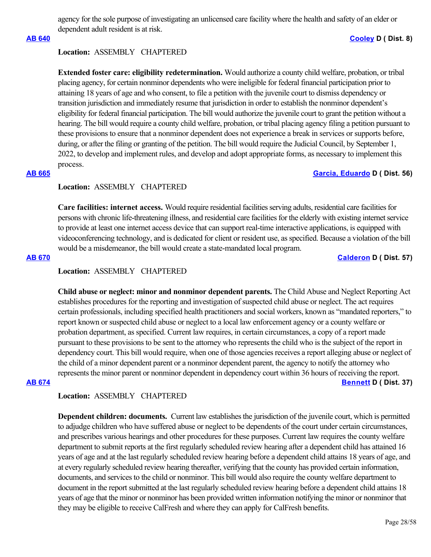agency for the sole purpose of investigating an unlicensed care facility where the health and safety of an elder or dependent adult resident is at risk.

## **[AB 640](https://ctweb.capitoltrack.com/public/publishbillinfo.aspx?bi=C698HkHGL8M83uO1QcZKs8xd7x6BEeCRXVTffnVPj0uP2cLBC8Ckl68t1POwOzvQ) [Cooley](https://a08.asmdc.org/) D ( Dist. 8)**

### **Location:**  ASSEMBLY CHAPTERED

**Extended foster care: eligibility redetermination.** Would authorize a county child welfare, probation, or tribal placing agency, for certain nonminor dependents who were ineligible for federal financial participation prior to attaining 18 years of age and who consent, to file a petition with the juvenile court to dismiss dependency or transition jurisdiction and immediately resume that jurisdiction in order to establish the nonminor dependent's eligibility for federal financial participation. The bill would authorize the juvenile court to grant the petition without a hearing. The bill would require a county child welfare, probation, or tribal placing agency filing a petition pursuant to these provisions to ensure that a nonminor dependent does not experience a break in services or supports before, during, or after the filing or granting of the petition. The bill would require the Judicial Council, by September 1, 2022, to develop and implement rules, and develop and adopt appropriate forms, as necessary to implement this process.

## **[AB 665](https://ctweb.capitoltrack.com/public/publishbillinfo.aspx?bi=Myq2sd2DpiB5gSUg9awSoNLeO0RYVxGivycvN7XOp3kRFk1Kv0iR3bZKgXFW2Ujr) [Garcia, Eduardo](https://a56.asmdc.org/) D ( Dist. 56)**

## **Location:**  ASSEMBLY CHAPTERED

**Care facilities: internet access.** Would require residential facilities serving adults, residential care facilities for persons with chronic life-threatening illness, and residential care facilities for the elderly with existing internet service to provide at least one internet access device that can support real-time interactive applications, is equipped with videoconferencing technology, and is dedicated for client or resident use, as specified. Because a violation of the bill would be a misdemeanor, the bill would create a state-mandated local program.

### **[AB 670](https://ctweb.capitoltrack.com/public/publishbillinfo.aspx?bi=lfp1FvlvQtJibWs1y92D3G5Pq4H0HBUQJNPmOSNb%2BPKp3IKJkmWUM54uu2znrJ0f) [Calderon](https://a57.asmdc.org/) D ( Dist. 57)**

### **Location:**  ASSEMBLY CHAPTERED

**Child abuse or neglect: minor and nonminor dependent parents.** The Child Abuse and Neglect Reporting Act establishes procedures for the reporting and investigation of suspected child abuse or neglect. The act requires certain professionals, including specified health practitioners and social workers, known as "mandated reporters," to report known or suspected child abuse or neglect to a local law enforcement agency or a county welfare or probation department, as specified. Current law requires, in certain circumstances, a copy of a report made pursuant to these provisions to be sent to the attorney who represents the child who is the subject of the report in dependency court. This bill would require, when one of those agencies receives a report alleging abuse or neglect of the child of a minor dependent parent or a nonminor dependent parent, the agency to notify the attorney who represents the minor parent or nonminor dependent in dependency court within 36 hours of receiving the report. **[AB 674](https://ctweb.capitoltrack.com/public/publishbillinfo.aspx?bi=2mlsBFxRIVCKUSWRzBraS2y0PnyNx6bWRgWzcyaZYUPBlyin5AxkxUiz4LWrH4Yb) [Bennett](https://a37.asmdc.org/) D ( Dist. 37)**

## **Location:**  ASSEMBLY CHAPTERED

**Dependent children: documents.** Current law establishes the jurisdiction of the juvenile court, which is permitted to adjudge children who have suffered abuse or neglect to be dependents of the court under certain circumstances, and prescribes various hearings and other procedures for these purposes. Current law requires the county welfare department to submit reports at the first regularly scheduled review hearing after a dependent child has attained 16 years of age and at the last regularly scheduled review hearing before a dependent child attains 18 years of age, and at every regularly scheduled review hearing thereafter, verifying that the county has provided certain information, documents, and services to the child or nonminor. This bill would also require the county welfare department to document in the report submitted at the last regularly scheduled review hearing before a dependent child attains 18 years of age that the minor or nonminor has been provided written information notifying the minor or nonminor that they may be eligible to receive CalFresh and where they can apply for CalFresh benefits.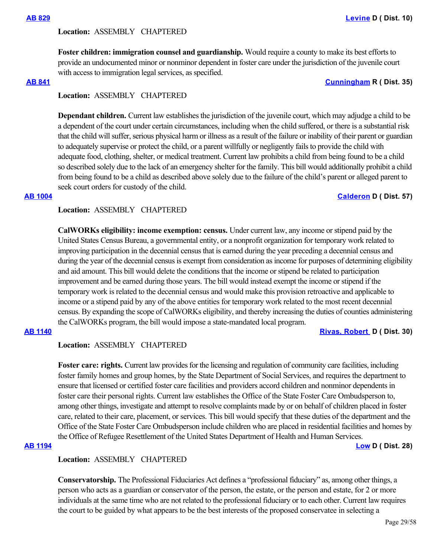### **Location:**  ASSEMBLY CHAPTERED

**Foster children: immigration counsel and guardianship.** Would require a county to make its best efforts to provide an undocumented minor or nonminor dependent in foster care under the jurisdiction of the juvenile court with access to immigration legal services, as specified.

**[AB 841](https://ctweb.capitoltrack.com/public/publishbillinfo.aspx?bi=STQyvr5UN9ogDE0GYAaB%2FnFoY2a9y6Lchm0mKvsgCD6%2FqlS%2Fjk67RO58K%2FIdL46A) [Cunningham](https://ad35.asmrc.org/) R ( Dist. 35)**

## **Location:**  ASSEMBLY CHAPTERED

**Dependant children.** Current law establishes the jurisdiction of the juvenile court, which may adjudge a child to be a dependent of the court under certain circumstances, including when the child suffered, or there is a substantial risk that the child will suffer, serious physical harm or illness as a result of the failure or inability of their parent or guardian to adequately supervise or protect the child, or a parent willfully or negligently fails to provide the child with adequate food, clothing, shelter, or medical treatment. Current law prohibits a child from being found to be a child so described solely due to the lack of an emergency shelter for the family. This bill would additionally prohibit a child from being found to be a child as described above solely due to the failure of the child's parent or alleged parent to seek court orders for custody of the child.

## **[AB 1004](https://ctweb.capitoltrack.com/public/publishbillinfo.aspx?bi=S8kifD84ch3r%2BrDweWQNZ4jKS2ipswmj79C%2B6FjsDiV%2BIeC%2Fwzksk%2FIk5E4Je%2F%2FS) [Calderon](https://a57.asmdc.org/) D ( Dist. 57)**

### **Location:**  ASSEMBLY CHAPTERED

**CalWORKs eligibility: income exemption: census.** Under current law, any income or stipend paid by the United States Census Bureau, a governmental entity, or a nonprofit organization for temporary work related to improving participation in the decennial census that is earned during the year preceding a decennial census and during the year of the decennial census is exempt from consideration as income for purposes of determining eligibility and aid amount. This bill would delete the conditions that the income or stipend be related to participation improvement and be earned during those years. The bill would instead exempt the income or stipend if the temporary work is related to the decennial census and would make this provision retroactive and applicable to income or a stipend paid by any of the above entities for temporary work related to the most recent decennial census. By expanding the scope of CalWORKs eligibility, and thereby increasing the duties of counties administering the CalWORKs program, the bill would impose a state-mandated local program.

### **[AB 1140](https://ctweb.capitoltrack.com/public/publishbillinfo.aspx?bi=2RwChrnFSiX0s2sEO2KCa03Xi7pQOepqs4XGW3mvq6V%2Bp6kH%2FHxOi%2BD3Jm%2BkmvIn) [Rivas, Robert](https://a30.asmdc.org/)  D ( Dist. 30)**

## **Location:**  ASSEMBLY CHAPTERED

**Foster care: rights.** Current law provides for the licensing and regulation of community care facilities, including foster family homes and group homes, by the State Department of Social Services, and requires the department to ensure that licensed or certified foster care facilities and providers accord children and nonminor dependents in foster care their personal rights. Current law establishes the Office of the State Foster Care Ombudsperson to, among other things, investigate and attempt to resolve complaints made by or on behalf of children placed in foster care, related to their care, placement, or services. This bill would specify that these duties of the department and the Office of the State Foster Care Ombudsperson include children who are placed in residential facilities and homes by the Office of Refugee Resettlement of the United States Department of Health and Human Services.

**[AB 1194](https://ctweb.capitoltrack.com/public/publishbillinfo.aspx?bi=1sQYhjm1zAo4AruvY2h%2FhNyjWNSNu42vsPUR0LoO8NATFUO%2BGAzrZbfWvZYUrSEu) [Low](https://a28.asmdc.org/) D ( Dist. 28)**

### **Location:**  ASSEMBLY CHAPTERED

**Conservatorship.** The Professional Fiduciaries Act defines a "professional fiduciary" as, among other things, a person who acts as a guardian or conservator of the person, the estate, or the person and estate, for 2 or more individuals at the same time who are not related to the professional fiduciary or to each other. Current law requires the court to be guided by what appears to be the best interests of the proposed conservatee in selecting a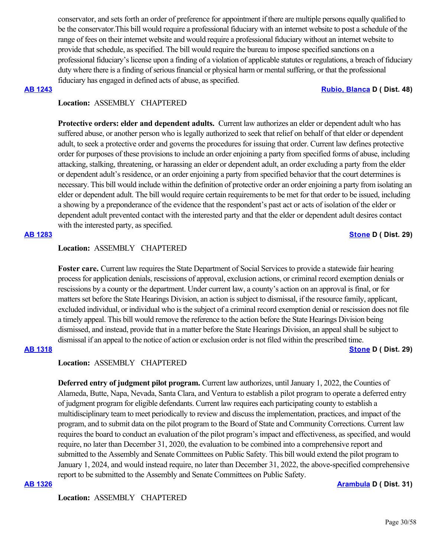conservator, and sets forth an order of preference for appointment if there are multiple persons equally qualified to be the conservator.This bill would require a professional fiduciary with an internet website to post a schedule of the range of fees on their internet website and would require a professional fiduciary without an internet website to provide that schedule, as specified. The bill would require the bureau to impose specified sanctions on a professional fiduciary's license upon a finding of a violation of applicable statutes or regulations, a breach of fiduciary duty where there is a finding of serious financial or physical harm or mental suffering, or that the professional fiduciary has engaged in defined acts of abuse, as specified.

#### **[AB 1243](https://ctweb.capitoltrack.com/public/publishbillinfo.aspx?bi=CRN7dkk4DBv%2BMJYuYNQPOzNg%2FLSfMFDrHETIKIg77vuCZ2EBOYOtKOu46ykKWjXi) [Rubio, Blanca](https://a48.asmdc.org/) D ( Dist. 48)**

## **Location:**  ASSEMBLY CHAPTERED

**Protective orders: elder and dependent adults.** Current law authorizes an elder or dependent adult who has suffered abuse, or another person who is legally authorized to seek that relief on behalf of that elder or dependent adult, to seek a protective order and governs the procedures for issuing that order. Current law defines protective order for purposes of these provisions to include an order enjoining a party from specified forms of abuse, including attacking, stalking, threatening, or harassing an elder or dependent adult, an order excluding a party from the elder or dependent adult's residence, or an order enjoining a party from specified behavior that the court determines is necessary. This bill would include within the definition of protective order an order enjoining a party from isolating an elder or dependent adult. The bill would require certain requirements to be met for that order to be issued, including a showing by a preponderance of the evidence that the respondent's past act or acts of isolation of the elder or dependent adult prevented contact with the interested party and that the elder or dependent adult desires contact with the interested party, as specified.

### **[AB 1283](https://ctweb.capitoltrack.com/public/publishbillinfo.aspx?bi=z4wcE2VEKkBbrjRZE0%2FgT8hxOHDDyVlCUcOhFykRm%2BJaVqg6Y%2B%2FM5SZQ%2FRj7IxBT) [Stone](https://a29.asmdc.org/) D ( Dist. 29)**

### **Location:**  ASSEMBLY CHAPTERED

**Foster care.** Current law requires the State Department of Social Services to provide a statewide fair hearing process for application denials, rescissions of approval, exclusion actions, or criminal record exemption denials or rescissions by a county or the department. Under current law, a county's action on an approval is final, or for matters set before the State Hearings Division, an action is subject to dismissal, if the resource family, applicant, excluded individual, or individual who is the subject of a criminal record exemption denial or rescission does not file a timely appeal. This bill would remove the reference to the action before the State Hearings Division being dismissed, and instead, provide that in a matter before the State Hearings Division, an appeal shall be subject to dismissal if an appeal to the notice of action or exclusion order is not filed within the prescribed time.

### **[AB 1318](https://ctweb.capitoltrack.com/public/publishbillinfo.aspx?bi=3xYd8%2Bhlw6BJi1bzvx90ooGPM8WavWdlifE23zFXHdwgrPRcuOccSw1zRx%2BgRPXC) [Stone](https://a29.asmdc.org/) D ( Dist. 29)**

## **Location:**  ASSEMBLY CHAPTERED

**Deferred entry of judgment pilot program.** Current law authorizes, until January 1, 2022, the Counties of Alameda, Butte, Napa, Nevada, Santa Clara, and Ventura to establish a pilot program to operate a deferred entry of judgment program for eligible defendants. Current law requires each participating county to establish a multidisciplinary team to meet periodically to review and discuss the implementation, practices, and impact of the program, and to submit data on the pilot program to the Board of State and Community Corrections. Current law requires the board to conduct an evaluation of the pilot program's impact and effectiveness, as specified, and would require, no later than December 31, 2020, the evaluation to be combined into a comprehensive report and submitted to the Assembly and Senate Committees on Public Safety. This bill would extend the pilot program to January 1, 2024, and would instead require, no later than December 31, 2022, the above-specified comprehensive report to be submitted to the Assembly and Senate Committees on Public Safety.

#### **[AB 1326](https://ctweb.capitoltrack.com/public/publishbillinfo.aspx?bi=svrk76HjH2ADJYa7%2BYPKRBoSAcvBt37eftHLkQUTJeHOz%2Fc7u%2BOmwkj5smQgI1rk) [Arambula](https://a31.asmdc.org/) D ( Dist. 31)**

**Location:**  ASSEMBLY CHAPTERED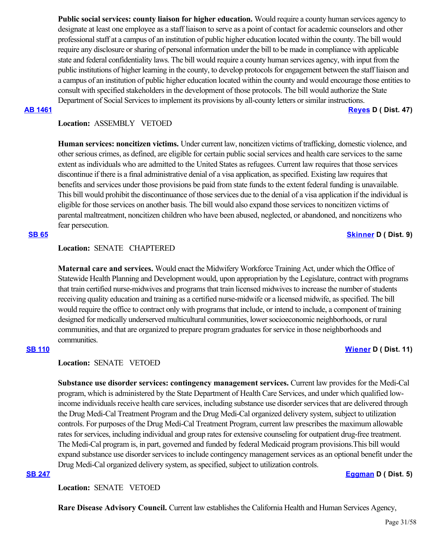**Public social services: county liaison for higher education.** Would require a county human services agency to designate at least one employee as a staff liaison to serve as a point of contact for academic counselors and other professional staff at a campus of an institution of public higher education located within the county. The bill would require any disclosure or sharing of personal information under the bill to be made in compliance with applicable state and federal confidentiality laws. The bill would require a county human services agency, with input from the public institutions of higher learning in the county, to develop protocols for engagement between the staff liaison and a campus of an institution of public higher education located within the county and would encourage those entities to consult with specified stakeholders in the development of those protocols. The bill would authorize the State Department of Social Services to implement its provisions by all-county letters or similar instructions.

**[AB 1461](https://ctweb.capitoltrack.com/public/publishbillinfo.aspx?bi=xnxBSDrKB9s8NJd3XQzCrxbyLpOEYIZLcDC53gNeghFkSBXbojMBIPDw6%2B6CiK80) [Reyes](https://a47.asmdc.org/) D ( Dist. 47)**

## **Location:**  ASSEMBLY VETOED

**Human services: noncitizen victims.** Under current law, noncitizen victims of trafficking, domestic violence, and other serious crimes, as defined, are eligible for certain public social services and health care services to the same extent as individuals who are admitted to the United States as refugees. Current law requires that those services discontinue if there is a final administrative denial of a visa application, as specified. Existing law requires that benefits and services under those provisions be paid from state funds to the extent federal funding is unavailable. This bill would prohibit the discontinuance of those services due to the denial of a visa application if the individual is eligible for those services on another basis. The bill would also expand those services to noncitizen victims of parental maltreatment, noncitizen children who have been abused, neglected, or abandoned, and noncitizens who fear persecution.

## **[SB 65](https://ctweb.capitoltrack.com/public/publishbillinfo.aspx?bi=%2FHOWLwGK1XZNtjiJeTXDh%2Bbm7GAj6oVDVuqYUpCneby%2FhpFImvN6Gt97ueuNieQD) [Skinner](http://sd09.senate.ca.gov/) D ( Dist. 9)**

## **Location:**  SENATE CHAPTERED

**Maternal care and services.** Would enact the Midwifery Workforce Training Act, under which the Office of Statewide Health Planning and Development would, upon appropriation by the Legislature, contract with programs that train certified nurse-midwives and programs that train licensed midwives to increase the number of students receiving quality education and training as a certified nurse-midwife or a licensed midwife, as specified. The bill would require the office to contract only with programs that include, or intend to include, a component of training designed for medically underserved multicultural communities, lower socioeconomic neighborhoods, or rural communities, and that are organized to prepare program graduates for service in those neighborhoods and communities.

### **[SB 110](https://ctweb.capitoltrack.com/public/publishbillinfo.aspx?bi=P%2FUz4%2Fe%2BnFMjmpFEY8MsLSHRRqwnTX8J9bMKTe54krqBzz%2F3EE3kPOcnaFJhO8PX) [Wiener](http://sd11.senate.ca.gov/) D ( Dist. 11)**

## **Location:**  SENATE VETOED

**Substance use disorder services: contingency management services.** Current law provides for the Medi-Cal program, which is administered by the State Department of Health Care Services, and under which qualified lowincome individuals receive health care services, including substance use disorder services that are delivered through the Drug Medi-Cal Treatment Program and the Drug Medi-Cal organized delivery system, subject to utilization controls. For purposes of the Drug Medi-Cal Treatment Program, current law prescribes the maximum allowable rates for services, including individual and group rates for extensive counseling for outpatient drug-free treatment. The Medi-Cal program is, in part, governed and funded by federal Medicaid program provisions.This bill would expand substance use disorder services to include contingency management services as an optional benefit under the Drug Medi-Cal organized delivery system, as specified, subject to utilization controls.

## **[SB 247](https://ctweb.capitoltrack.com/public/publishbillinfo.aspx?bi=oyZLyLOipHGopRG0E%2Fjxrbdmt2M7Ht3pp6hQdA8fUPgric7sLeh3cXldUaXMtaFS) [Eggman](http://sd05.senate.ca.gov/) D ( Dist. 5)**

**Location:**  SENATE VETOED

**Rare Disease Advisory Council.** Current law establishes the California Health and Human Services Agency,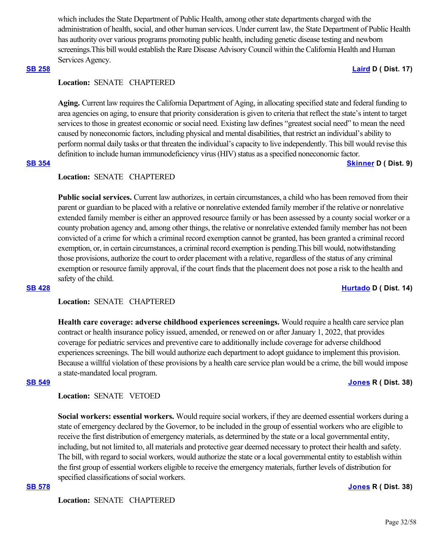which includes the State Department of Public Health, among other state departments charged with the administration of health, social, and other human services. Under current law, the State Department of Public Health has authority over various programs promoting public health, including genetic disease testing and newborn screenings.This bill would establish the Rare Disease Advisory Council within the California Health and Human Services Agency.

### **[SB 258](https://ctweb.capitoltrack.com/public/publishbillinfo.aspx?bi=H74O4FIwzMG7aFNPQG0ivkceYCLaOgA3guaiJOH9G5t1boPWUcPdhCkmXqTornqS) [Laird](http://sd17.senate.ca.gov/) D ( Dist. 17)**

## **Location:**  SENATE CHAPTERED

**Aging.** Current law requires the California Department of Aging, in allocating specified state and federal funding to area agencies on aging, to ensure that priority consideration is given to criteria that reflect the state's intent to target services to those in greatest economic or social need. Existing law defines "greatest social need" to mean the need caused by noneconomic factors, including physical and mental disabilities, that restrict an individual's ability to perform normal daily tasks or that threaten the individual's capacity to live independently. This bill would revise this definition to include human immunodeficiency virus (HIV) status as a specified noneconomic factor.

### **[SB 354](https://ctweb.capitoltrack.com/public/publishbillinfo.aspx?bi=AArCEUp%2BK8YB9BMi10w7kZLmrcm9xaJWKn0sYCdxliv%2Fmsr1JU04kn7DCvEZPulE) [Skinner](http://sd09.senate.ca.gov/) D ( Dist. 9)**

### **Location:**  SENATE CHAPTERED

**Public social services.** Current law authorizes, in certain circumstances, a child who has been removed from their parent or guardian to be placed with a relative or nonrelative extended family member if the relative or nonrelative extended family member is either an approved resource family or has been assessed by a county social worker or a county probation agency and, among other things, the relative or nonrelative extended family member has not been convicted of a crime for which a criminal record exemption cannot be granted, has been granted a criminal record exemption, or, in certain circumstances, a criminal record exemption is pending.This bill would, notwithstanding those provisions, authorize the court to order placement with a relative, regardless of the status of any criminal exemption or resource family approval, if the court finds that the placement does not pose a risk to the health and safety of the child.

### **[SB 428](https://ctweb.capitoltrack.com/public/publishbillinfo.aspx?bi=i6mcT0H2LhKnEF5F%2Foj4NrdvRsvU7PVmSi28FfYaShbeoUta06PchYQawDXZEdur) [Hurtado](https://sd14.senate.ca.gov/) D ( Dist. 14)**

## **Location:**  SENATE CHAPTERED

**Health care coverage: adverse childhood experiences screenings.** Would require a health care service plan contract or health insurance policy issued, amended, or renewed on or after January 1, 2022, that provides coverage for pediatric services and preventive care to additionally include coverage for adverse childhood experiences screenings. The bill would authorize each department to adopt guidance to implement this provision. Because a willful violation of these provisions by a health care service plan would be a crime, the bill would impose a state-mandated local program.

### **[SB 549](https://ctweb.capitoltrack.com/public/publishbillinfo.aspx?bi=o5Z1P6xdagM0KvYFV1mAq%2FdB34p7U6HX%2FtvRc3d2ea6BjDTgMdBMV7zkxurH7Uyc) [Jones](https://jones.cssrc.us/) R ( Dist. 38)**

## **Location:**  SENATE VETOED

**Social workers: essential workers.** Would require social workers, if they are deemed essential workers during a state of emergency declared by the Governor, to be included in the group of essential workers who are eligible to receive the first distribution of emergency materials, as determined by the state or a local governmental entity, including, but not limited to, all materials and protective gear deemed necessary to protect their health and safety. The bill, with regard to social workers, would authorize the state or a local governmental entity to establish within the first group of essential workers eligible to receive the emergency materials, further levels of distribution for specified classifications of social workers.

**[SB 578](https://ctweb.capitoltrack.com/public/publishbillinfo.aspx?bi=eOYqZtxGPsud86GZnbsGfqcDWe9no%2BWOkqhNpVvqoVDQKURNteTIzkLTNg%2BUZ5pZ) [Jones](https://jones.cssrc.us/) R ( Dist. 38)**

**Location:**  SENATE CHAPTERED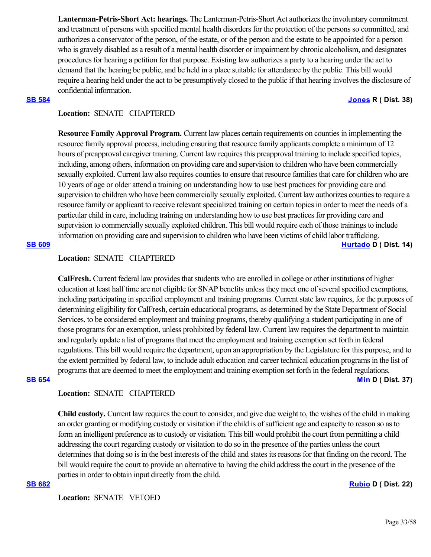**Lanterman-Petris-Short Act: hearings.** The Lanterman-Petris-Short Act authorizes the involuntary commitment and treatment of persons with specified mental health disorders for the protection of the persons so committed, and authorizes a conservator of the person, of the estate, or of the person and the estate to be appointed for a person who is gravely disabled as a result of a mental health disorder or impairment by chronic alcoholism, and designates procedures for hearing a petition for that purpose. Existing law authorizes a party to a hearing under the act to demand that the hearing be public, and be held in a place suitable for attendance by the public. This bill would require a hearing held under the act to be presumptively closed to the public if that hearing involves the disclosure of confidential information.

### **[SB 584](https://ctweb.capitoltrack.com/public/publishbillinfo.aspx?bi=T5j945lGjd3bxlcumuIv24hkHn7MjBzSullS6h9GN7DOVnoRZjG4rV3Vdc0L9QHx) [Jones](https://jones.cssrc.us/) R ( Dist. 38)**

## **Location:**  SENATE CHAPTERED

**Resource Family Approval Program.** Current law places certain requirements on counties in implementing the resource family approval process, including ensuring that resource family applicants complete a minimum of 12 hours of preapproval caregiver training. Current law requires this preapproval training to include specified topics, including, among others, information on providing care and supervision to children who have been commercially sexually exploited. Current law also requires counties to ensure that resource families that care for children who are 10 years of age or older attend a training on understanding how to use best practices for providing care and supervision to children who have been commercially sexually exploited. Current law authorizes counties to require a resource family or applicant to receive relevant specialized training on certain topics in order to meet the needs of a particular child in care, including training on understanding how to use best practices for providing care and supervision to commercially sexually exploited children. This bill would require each of those trainings to include information on providing care and supervision to children who have been victims of child labor trafficking.

#### **[SB 609](https://ctweb.capitoltrack.com/public/publishbillinfo.aspx?bi=IAHtD%2F1INn7JOtwlhDag1P4Dzo7bZZfs9TNj70Ab%2F2KQjOrwqcPTOc1OYBA59rih) [Hurtado](https://sd14.senate.ca.gov/) D ( Dist. 14)**

#### **Location:**  SENATE CHAPTERED

**CalFresh.** Current federal law provides that students who are enrolled in college or other institutions of higher education at least half time are not eligible for SNAP benefits unless they meet one of several specified exemptions, including participating in specified employment and training programs. Current state law requires, for the purposes of determining eligibility for CalFresh, certain educational programs, as determined by the State Department of Social Services, to be considered employment and training programs, thereby qualifying a student participating in one of those programs for an exemption, unless prohibited by federal law. Current law requires the department to maintain and regularly update a list of programs that meet the employment and training exemption set forth in federal regulations. This bill would require the department, upon an appropriation by the Legislature for this purpose, and to the extent permitted by federal law, to include adult education and career technical education programs in the list of programs that are deemed to meet the employment and training exemption set forth in the federal regulations. **[SB 654](https://ctweb.capitoltrack.com/public/publishbillinfo.aspx?bi=pZE%2BsQC2w59Q1CFEIcPz6Chwe1miXAOHTrkKUY2n%2FD%2BLxmXhshjkXL6Z4l%2F5kSlD) [Min](https://sd37.senate.ca.gov/) D ( Dist. 37)**

## **Location:**  SENATE CHAPTERED

**Child custody.** Current law requires the court to consider, and give due weight to, the wishes of the child in making an order granting or modifying custody or visitation if the child is of sufficient age and capacity to reason so as to form an intelligent preference as to custody or visitation. This bill would prohibit the court from permitting a child addressing the court regarding custody or visitation to do so in the presence of the parties unless the court determines that doing so is in the best interests of the child and states its reasons for that finding on the record. The bill would require the court to provide an alternative to having the child address the court in the presence of the parties in order to obtain input directly from the child.

#### **[SB 682](https://ctweb.capitoltrack.com/public/publishbillinfo.aspx?bi=7bcKPH1zLWjWn5YFrZvVuPmnr451mt3CfthO%2FZ%2B4uD%2FBoaYOu176yP7SuotplQ%2Bj) [Rubio](http://sd22.senate.ca.gov/) D ( Dist. 22)**

**Location:**  SENATE VETOED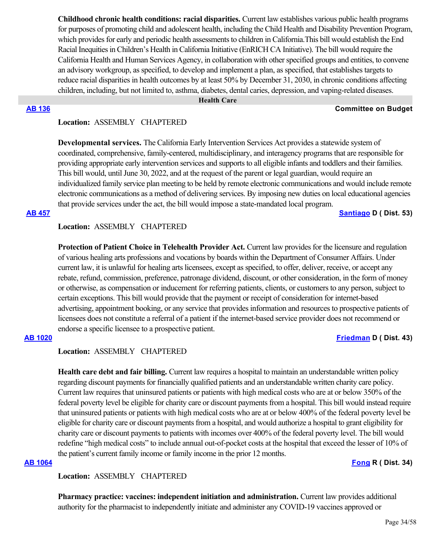**Childhood chronic health conditions: racial disparities.** Current law establishes various public health programs for purposes of promoting child and adolescent health, including the Child Health and Disability Prevention Program, which provides for early and periodic health assessments to children in California.This bill would establish the End Racial Inequities in Children's Health in California Initiative (EnRICH CA Initiative). The bill would require the California Health and Human Services Agency, in collaboration with other specified groups and entities, to convene an advisory workgroup, as specified, to develop and implement a plan, as specified, that establishes targets to reduce racial disparities in health outcomes by at least 50% by December 31, 2030, in chronic conditions affecting children, including, but not limited to, asthma, diabetes, dental caries, depression, and vaping-related diseases.

 **Health Care**

#### **[AB 136](https://ctweb.capitoltrack.com/public/publishbillinfo.aspx?bi=7MkbjgWdSz6NV3omxNtY7zX7kqQsQOnXcWtTdoXtrlEEGaUX8zsiAUTW81cXaepg) Committee on Budget**

### **Location:**  ASSEMBLY CHAPTERED

**Developmental services.** The California Early Intervention Services Act provides a statewide system of coordinated, comprehensive, family-centered, multidisciplinary, and interagency programs that are responsible for providing appropriate early intervention services and supports to all eligible infants and toddlers and their families. This bill would, until June 30, 2022, and at the request of the parent or legal guardian, would require an individualized family service plan meeting to be held by remote electronic communications and would include remote electronic communications as a method of delivering services. By imposing new duties on local educational agencies that provide services under the act, the bill would impose a state-mandated local program.

**[AB 457](https://ctweb.capitoltrack.com/public/publishbillinfo.aspx?bi=vix9L6cURM18Q1gu5PaNkvMfByD%2BMRelRas42Qb6q2HFxbgD5BJUBDaaLGvOqGrc) [Santiago](https://a53.asmdc.org/) D ( Dist. 53)**

### **Location:**  ASSEMBLY CHAPTERED

**Protection of Patient Choice in Telehealth Provider Act.** Current law provides for the licensure and regulation of various healing arts professions and vocations by boards within the Department of Consumer Affairs. Under current law, it is unlawful for healing arts licensees, except as specified, to offer, deliver, receive, or accept any rebate, refund, commission, preference, patronage dividend, discount, or other consideration, in the form of money or otherwise, as compensation or inducement for referring patients, clients, or customers to any person, subject to certain exceptions. This bill would provide that the payment or receipt of consideration for internet-based advertising, appointment booking, or any service that provides information and resources to prospective patients of licensees does not constitute a referral of a patient if the internet-based service provider does not recommend or endorse a specific licensee to a prospective patient.

### **[AB 1020](https://ctweb.capitoltrack.com/public/publishbillinfo.aspx?bi=FksiXDGaR8JBH3cQ9QP2oAxjtpLBXC8f6oZhyDOmHgSboHmwGJhihXaB9QxXjur9) [Friedman](https://a43.asmdc.org/) D ( Dist. 43)**

## **Location:**  ASSEMBLY CHAPTERED

**Health care debt and fair billing.** Current law requires a hospital to maintain an understandable written policy regarding discount payments for financially qualified patients and an understandable written charity care policy. Current law requires that uninsured patients or patients with high medical costs who are at or below 350% of the federal poverty level be eligible for charity care or discount payments from a hospital. This bill would instead require that uninsured patients or patients with high medical costs who are at or below 400% of the federal poverty level be eligible for charity care or discount payments from a hospital, and would authorize a hospital to grant eligibility for charity care or discount payments to patients with incomes over 400% of the federal poverty level. The bill would redefine "high medical costs" to include annual out-of-pocket costs at the hospital that exceed the lesser of 10% of the patient's current family income or family income in the prior 12 months.

**[AB 1064](https://ctweb.capitoltrack.com/public/publishbillinfo.aspx?bi=Z%2Ftesw%2BweRcVUAkMkrQDKcixOfs6i%2BBy4Y7JagU7jpCpzyL000VRmAJk5IHYnnnp) [Fong](https://ad34.asmrc.org/) R ( Dist. 34)**

**Location:**  ASSEMBLY CHAPTERED

**Pharmacy practice: vaccines: independent initiation and administration.** Current law provides additional authority for the pharmacist to independently initiate and administer any COVID-19 vaccines approved or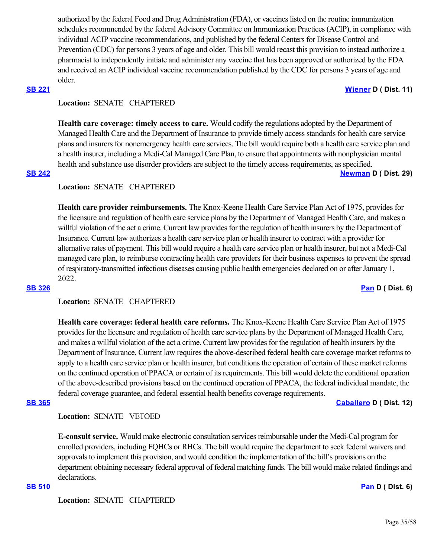authorized by the federal Food and Drug Administration (FDA), or vaccines listed on the routine immunization schedules recommended by the federal Advisory Committee on Immunization Practices (ACIP), in compliance with individual ACIP vaccine recommendations, and published by the federal Centers for Disease Control and Prevention (CDC) for persons 3 years of age and older. This bill would recast this provision to instead authorize a pharmacist to independently initiate and administer any vaccine that has been approved or authorized by the FDA and received an ACIP individual vaccine recommendation published by the CDC for persons 3 years of age and older.

### **[SB 221](https://ctweb.capitoltrack.com/public/publishbillinfo.aspx?bi=02TFkTROZGiyWjpXik422PRKImIGCHGHyiKXSdkpVTu0ELATlU2nGQva7qCChyTP) [Wiener](http://sd11.senate.ca.gov/) D ( Dist. 11)**

## **Location:**  SENATE CHAPTERED

**Health care coverage: timely access to care.** Would codify the regulations adopted by the Department of Managed Health Care and the Department of Insurance to provide timely access standards for health care service plans and insurers for nonemergency health care services. The bill would require both a health care service plan and a health insurer, including a Medi-Cal Managed Care Plan, to ensure that appointments with nonphysician mental health and substance use disorder providers are subject to the timely access requirements, as specified. **[SB 242](https://ctweb.capitoltrack.com/public/publishbillinfo.aspx?bi=Mk7tCVceyzDHdP3rovclLi%2FI5qua4pNVAdienSsb%2FPgYPzNUj2xX1a1hwek93db6) [Newman](https://sd29.senate.ca.gov/) D ( Dist. 29)**

## **Location:**  SENATE CHAPTERED

**Health care provider reimbursements.** The Knox-Keene Health Care Service Plan Act of 1975, provides for the licensure and regulation of health care service plans by the Department of Managed Health Care, and makes a willful violation of the act a crime. Current law provides for the regulation of health insurers by the Department of Insurance. Current law authorizes a health care service plan or health insurer to contract with a provider for alternative rates of payment. This bill would require a health care service plan or health insurer, but not a Medi-Cal managed care plan, to reimburse contracting health care providers for their business expenses to prevent the spread of respiratory-transmitted infectious diseases causing public health emergencies declared on or after January 1, 2022.

## **[SB 326](https://ctweb.capitoltrack.com/public/publishbillinfo.aspx?bi=rB1Y6WTBXDGv7UE69YA8YDgjzroTVr5CXCMxvhqDq24FJBc1jq%2FUUtqLOrkUOp5c) [Pan](http://sd06.senate.ca.gov/) D ( Dist. 6)**

## **Location:**  SENATE CHAPTERED

**Health care coverage: federal health care reforms.** The Knox-Keene Health Care Service Plan Act of 1975 provides for the licensure and regulation of health care service plans by the Department of Managed Health Care, and makes a willful violation of the act a crime. Current law provides for the regulation of health insurers by the Department of Insurance. Current law requires the above-described federal health care coverage market reforms to apply to a health care service plan or health insurer, but conditions the operation of certain of these market reforms on the continued operation of PPACA or certain of its requirements. This bill would delete the conditional operation of the above-described provisions based on the continued operation of PPACA, the federal individual mandate, the federal coverage guarantee, and federal essential health benefits coverage requirements.

**[SB 365](https://ctweb.capitoltrack.com/public/publishbillinfo.aspx?bi=Sp90Z7k4CLT9ez%2B8S064t8vLxns45VHZvsoADXYVhJjzsL29FncAQzMz74irR3%2FM) [Caballero](https://sd12.senate.ca.gov/) D ( Dist. 12)**

**Location:**  SENATE VETOED

**E-consult service.** Would make electronic consultation services reimbursable under the Medi-Cal program for enrolled providers, including FQHCs or RHCs. The bill would require the department to seek federal waivers and approvals to implement this provision, and would condition the implementation of the bill's provisions on the department obtaining necessary federal approval of federal matching funds. The bill would make related findings and declarations.

#### **[SB 510](https://ctweb.capitoltrack.com/public/publishbillinfo.aspx?bi=yqXr%2BymIRJekVPNaMqU6maySQjqzaERMo0fGL8TgIB%2FGkq9z3DbzbdQyayr2gwxH) [Pan](http://sd06.senate.ca.gov/) D ( Dist. 6)**

**Location:**  SENATE CHAPTERED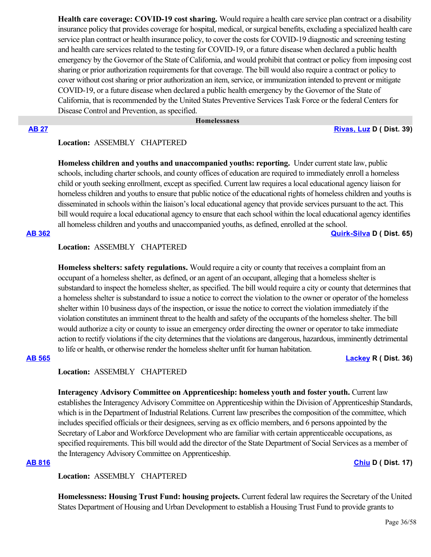**Health care coverage: COVID-19 cost sharing.** Would require a health care service plan contract or a disability insurance policy that provides coverage for hospital, medical, or surgical benefits, excluding a specialized health care service plan contract or health insurance policy, to cover the costs for COVID-19 diagnostic and screening testing and health care services related to the testing for COVID-19, or a future disease when declared a public health emergency by the Governor of the State of California, and would prohibit that contract or policy from imposing cost sharing or prior authorization requirements for that coverage. The bill would also require a contract or policy to cover without cost sharing or prior authorization an item, service, or immunization intended to prevent or mitigate COVID-19, or a future disease when declared a public health emergency by the Governor of the State of California, that is recommended by the United States Preventive Services Task Force or the federal Centers for Disease Control and Prevention, as specified.

## **Homelessness**

## **[AB 27](https://ctweb.capitoltrack.com/public/publishbillinfo.aspx?bi=x4XyyqXGhwGnYdhJXQdtKNyhgckctlG%2Bra6aa3YuPUvHwdfX8p9BiyraOIqLrT45) [Rivas, Luz](https://a39.asmdc.org/) D ( Dist. 39)**

## **Location:**  ASSEMBLY CHAPTERED

**Homeless children and youths and unaccompanied youths: reporting.** Under current state law, public schools, including charter schools, and county offices of education are required to immediately enroll a homeless child or youth seeking enrollment, except as specified. Current law requires a local educational agency liaison for homeless children and youths to ensure that public notice of the educational rights of homeless children and youths is disseminated in schools within the liaison's local educational agency that provide services pursuant to the act. This bill would require a local educational agency to ensure that each school within the local educational agency identifies all homeless children and youths and unaccompanied youths, as defined, enrolled at the school.

**[AB 362](https://ctweb.capitoltrack.com/public/publishbillinfo.aspx?bi=0UOH2z55mkkQNFGLyebwgEsWtO4oFxII98EnpQ8%2BSyMdoCwEEhOFxUaL3NKOPqdg) [Quirk-Silva](https://a65.asmdc.org/) D ( Dist. 65)**

## **Location:**  ASSEMBLY CHAPTERED

**Homeless shelters: safety regulations.** Would require a city or county that receives a complaint from an occupant of a homeless shelter, as defined, or an agent of an occupant, alleging that a homeless shelter is substandard to inspect the homeless shelter, as specified. The bill would require a city or county that determines that a homeless shelter is substandard to issue a notice to correct the violation to the owner or operator of the homeless shelter within 10 business days of the inspection, or issue the notice to correct the violation immediately if the violation constitutes an imminent threat to the health and safety of the occupants of the homeless shelter. The bill would authorize a city or county to issue an emergency order directing the owner or operator to take immediate action to rectify violations if the city determines that the violations are dangerous, hazardous, imminently detrimental to life or health, or otherwise render the homeless shelter unfit for human habitation.

### **[AB 565](https://ctweb.capitoltrack.com/public/publishbillinfo.aspx?bi=3TjGdqIMVOGVAakbtrXlaJ13u5i3mNae81HK8Q%2BzmjQA9M8tT9K2GHQJffFNFziM) [Lackey](https://ad36.asmrc.org/) R ( Dist. 36)**

## **Location:**  ASSEMBLY CHAPTERED

**Interagency Advisory Committee on Apprenticeship: homeless youth and foster youth.** Current law establishes the Interagency Advisory Committee on Apprenticeship within the Division of Apprenticeship Standards, which is in the Department of Industrial Relations. Current law prescribes the composition of the committee, which includes specified officials or their designees, serving as ex officio members, and 6 persons appointed by the Secretary of Labor and Workforce Development who are familiar with certain apprenticeable occupations, as specified requirements. This bill would add the director of the State Department of Social Services as a member of the Interagency Advisory Committee on Apprenticeship.

## **[AB 816](https://ctweb.capitoltrack.com/public/publishbillinfo.aspx?bi=gq3GESPHAP8T73KPoWpI1Qx3THIUH3GTwK4VWzXtjomsK4Pk0IAN9MfS8BxFk88%2B) [Chiu](https://a17.asmdc.org/) D ( Dist. 17)**

## **Location:**  ASSEMBLY CHAPTERED

**Homelessness: Housing Trust Fund: housing projects.** Current federal law requires the Secretary of the United States Department of Housing and Urban Development to establish a Housing Trust Fund to provide grants to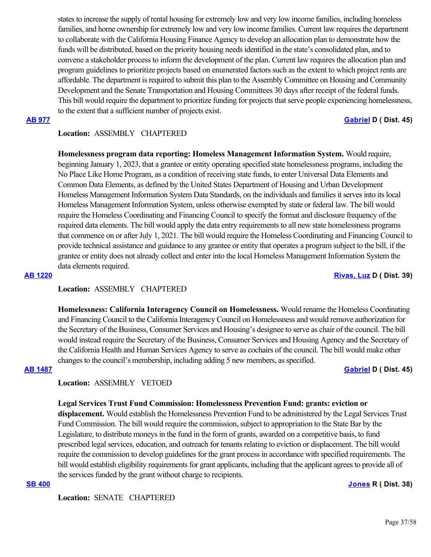states to increase the supply of rental housing for extremely low and very low income families, including homeless families, and home ownership for extremely low and very low income families. Current law requires the department to collaborate with the California Housing Finance Agency to develop an allocation plan to demonstrate how the funds will be distributed, based on the priority housing needs identified in the state's consolidated plan, and to convene a stakeholder process to inform the development of the plan. Current law requires the allocation plan and program guidelines to prioritize projects based on enumerated factors such as the extent to which project rents are affordable. The department is required to submit this plan to the Assembly Committee on Housing and Community Development and the Senate Transportation and Housing Committees 30 days after receipt of the federal funds. This bill would require the department to prioritize funding for projects that serve people experiencing homelessness, to the extent that a sufficient number of projects exist.

**[AB 977](https://ctweb.capitoltrack.com/public/publishbillinfo.aspx?bi=MPCQIzoVJSC8PsUZS2EeSds1uh459wwlwvqlh3a%2BX%2FcxtDNVYYjoWy5VCwT84CCP) [Gabriel](https://a45.asmdc.org/) D ( Dist. 45)**

## **Location:**  ASSEMBLY CHAPTERED

**Homelessness program data reporting: Homeless Management Information System.** Would require, beginning January 1, 2023, that a grantee or entity operating specified state homelessness programs, including the No Place Like Home Program, as a condition of receiving state funds, to enter Universal Data Elements and Common Data Elements, as defined by the United States Department of Housing and Urban Development Homeless Management Information System Data Standards, on the individuals and families it serves into its local Homeless Management Information System, unless otherwise exempted by state or federal law. The bill would require the Homeless Coordinating and Financing Council to specify the format and disclosure frequency of the required data elements. The bill would apply the data entry requirements to all new state homelessness programs that commence on or after July 1, 2021. The bill would require the Homeless Coordinating and Financing Council to provide technical assistance and guidance to any grantee or entity that operates a program subject to the bill, if the grantee or entity does not already collect and enter into the local Homeless Management Information System the data elements required.

#### **[AB 1220](https://ctweb.capitoltrack.com/public/publishbillinfo.aspx?bi=NFfE8zjqii2zfWOxTFKiz4xLNGcs6UIUkx8FkbvRHP9VDD4ZJbPbYUQxja35SeCB) [Rivas, Luz](https://a39.asmdc.org/) D ( Dist. 39)**

### **Location:**  ASSEMBLY CHAPTERED

**Homelessness: California Interagency Council on Homelessness.** Would rename the Homeless Coordinating and Financing Council to the California Interagency Council on Homelessness and would remove authorization for the Secretary of the Business, Consumer Services and Housing's designee to serve as chair of the council. The bill would instead require the Secretary of the Business, Consumer Services and Housing Agency and the Secretary of the California Health and Human Services Agency to serve as cochairs of the council. The bill would make other changes to the council's membership, including adding 5 new members, as specified.

### **[AB 1487](https://ctweb.capitoltrack.com/public/publishbillinfo.aspx?bi=cV3o%2F%2BWA22wLkH7n6QpyLiaNEEG3fOLgmz1%2FN7FPVU6XYbi4mdqJ%2FGuoP8tA%2Fs0q) [Gabriel](https://a45.asmdc.org/) D ( Dist. 45)**

# **Location:**  ASSEMBLY VETOED

### **Legal Services Trust Fund Commission: Homelessness Prevention Fund: grants: eviction or**

**displacement.** Would establish the Homelessness Prevention Fund to be administered by the Legal Services Trust Fund Commission. The bill would require the commission, subject to appropriation to the State Bar by the Legislature, to distribute moneys in the fund in the form of grants, awarded on a competitive basis, to fund prescribed legal services, education, and outreach for tenants relating to eviction or displacement. The bill would require the commission to develop guidelines for the grant process in accordance with specified requirements. The bill would establish eligibility requirements for grant applicants, including that the applicant agrees to provide all of the services funded by the grant without charge to recipients.

#### **[SB 400](https://ctweb.capitoltrack.com/public/publishbillinfo.aspx?bi=KHHI1SDAaCnBHMCZEhuUvwi94poNqFFUOeBcX%2F%2FH8aHVSq9X8z5e%2B38Q5Zut6gzL) [Jones](https://jones.cssrc.us/) R ( Dist. 38)**

**Location:**  SENATE CHAPTERED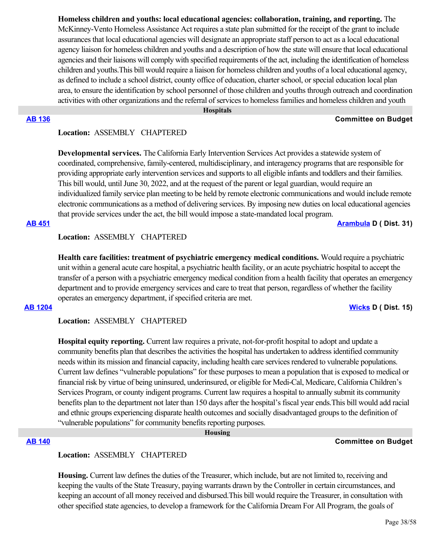**Homeless children and youths: local educational agencies: collaboration, training, and reporting.** The McKinney-Vento Homeless Assistance Act requires a state plan submitted for the receipt of the grant to include assurances that local educational agencies will designate an appropriate staff person to act as a local educational agency liaison for homeless children and youths and a description of how the state will ensure that local educational agencies and their liaisons will comply with specified requirements of the act, including the identification of homeless children and youths.This bill would require a liaison for homeless children and youths of a local educational agency, as defined to include a school district, county office of education, charter school, or special education local plan area, to ensure the identification by school personnel of those children and youths through outreach and coordination activities with other organizations and the referral of services to homeless families and homeless children and youth

#### **Hospitals**

#### **[AB 136](https://ctweb.capitoltrack.com/public/publishbillinfo.aspx?bi=7MkbjgWdSz6NV3omxNtY7zX7kqQsQOnXcWtTdoXtrlEEGaUX8zsiAUTW81cXaepg) Committee on Budget**

### **Location:**  ASSEMBLY CHAPTERED

**Developmental services.** The California Early Intervention Services Act provides a statewide system of coordinated, comprehensive, family-centered, multidisciplinary, and interagency programs that are responsible for providing appropriate early intervention services and supports to all eligible infants and toddlers and their families. This bill would, until June 30, 2022, and at the request of the parent or legal guardian, would require an individualized family service plan meeting to be held by remote electronic communications and would include remote electronic communications as a method of delivering services. By imposing new duties on local educational agencies that provide services under the act, the bill would impose a state-mandated local program.

**[AB 451](https://ctweb.capitoltrack.com/public/publishbillinfo.aspx?bi=SFAJPBlL5u1%2FlSU7v%2BQEoAIIhRHeOzGNhOVLD9SDSHF%2FLWipTp4VD44e5DOUoszy) [Arambula](https://a31.asmdc.org/) D ( Dist. 31)**

### **Location:**  ASSEMBLY CHAPTERED

**Health care facilities: treatment of psychiatric emergency medical conditions.** Would require a psychiatric unit within a general acute care hospital, a psychiatric health facility, or an acute psychiatric hospital to accept the transfer of a person with a psychiatric emergency medical condition from a health facility that operates an emergency department and to provide emergency services and care to treat that person, regardless of whether the facility operates an emergency department, if specified criteria are met.

### **[AB 1204](https://ctweb.capitoltrack.com/public/publishbillinfo.aspx?bi=kD%2Blnd9p0dQXAe5vrQOp4dvCwls4fZqVXCsL7QF5NB%2B4bRWfcryOr0p5%2BUMK1xOm) [Wicks](https://a15.asmdc.org/) D ( Dist. 15)**

**Location:**  ASSEMBLY CHAPTERED

**Hospital equity reporting.** Current law requires a private, not-for-profit hospital to adopt and update a community benefits plan that describes the activities the hospital has undertaken to address identified community needs within its mission and financial capacity, including health care services rendered to vulnerable populations. Current law defines "vulnerable populations" for these purposes to mean a population that is exposed to medical or financial risk by virtue of being uninsured, underinsured, or eligible for Medi-Cal, Medicare, California Children's Services Program, or county indigent programs. Current law requires a hospital to annually submit its community benefits plan to the department not later than 150 days after the hospital's fiscal year ends.This bill would add racial and ethnic groups experiencing disparate health outcomes and socially disadvantaged groups to the definition of "vulnerable populations" for community benefits reporting purposes.

 **Housing**

## **[AB 140](https://ctweb.capitoltrack.com/public/publishbillinfo.aspx?bi=LTBIiSikiinVcDDvJ%2BveoixPV8k2I5p1Ww9BaNx%2F8QTE%2FDZcf3kjCrIggWmHSp0F) Committee on Budget**

#### **Location:**  ASSEMBLY CHAPTERED

**Housing.** Current law defines the duties of the Treasurer, which include, but are not limited to, receiving and keeping the vaults of the State Treasury, paying warrants drawn by the Controller in certain circumstances, and keeping an account of all money received and disbursed.This bill would require the Treasurer, in consultation with other specified state agencies, to develop a framework for the California Dream For All Program, the goals of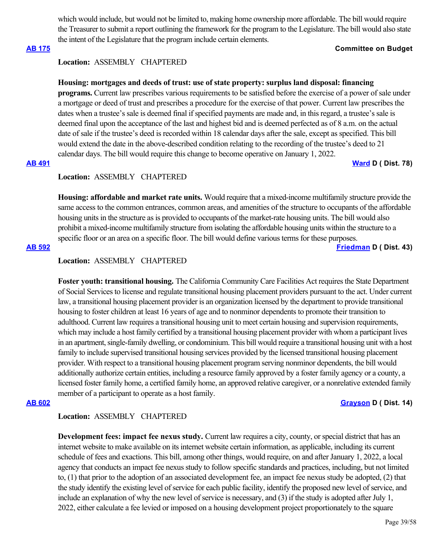which would include, but would not be limited to, making home ownership more affordable. The bill would require the Treasurer to submit a report outlining the framework for the program to the Legislature. The bill would also state the intent of the Legislature that the program include certain elements.

## **[AB 175](https://ctweb.capitoltrack.com/public/publishbillinfo.aspx?bi=X%2B6C1FX7Nv96BoogD8fT2T1Vq89lplA54uFH9USaIjLq4XPgcDMBYxqTQBYvOgv3) Committee on Budget**

## **Location:**  ASSEMBLY CHAPTERED

## **Housing: mortgages and deeds of trust: use of state property: surplus land disposal: financing**

**programs.** Current law prescribes various requirements to be satisfied before the exercise of a power of sale under a mortgage or deed of trust and prescribes a procedure for the exercise of that power. Current law prescribes the dates when a trustee's sale is deemed final if specified payments are made and, in this regard, a trustee's sale is deemed final upon the acceptance of the last and highest bid and is deemed perfected as of 8 a.m. on the actual date of sale if the trustee's deed is recorded within 18 calendar days after the sale, except as specified. This bill would extend the date in the above-described condition relating to the recording of the trustee's deed to 21 calendar days. The bill would require this change to become operative on January 1, 2022.

### **[AB 491](https://ctweb.capitoltrack.com/public/publishbillinfo.aspx?bi=nE8RUE87Hr9CR9Lydw9ztqPSYXh7RtrPImwn%2FHGglE%2FPV61KaqTraIUYEo%2Bd5%2FN%2B) [Ward](https://a78.asmdc.org/) D ( Dist. 78)**

## **Location:**  ASSEMBLY CHAPTERED

**Housing: affordable and market rate units.** Would require that a mixed-income multifamily structure provide the same access to the common entrances, common areas, and amenities of the structure to occupants of the affordable housing units in the structure as is provided to occupants of the market-rate housing units. The bill would also prohibit a mixed-income multifamily structure from isolating the affordable housing units within the structure to a specific floor or an area on a specific floor. The bill would define various terms for these purposes.

**[AB 592](https://ctweb.capitoltrack.com/public/publishbillinfo.aspx?bi=fQ%2Fu6nhAfFAWzM%2BGOEj49VgevlzkYPBiDE00kfhBC7M%2BMmhClpgGKgt5T9nRXJoP) [Friedman](https://a43.asmdc.org/) D ( Dist. 43)**

## **Location:**  ASSEMBLY CHAPTERED

**Foster youth: transitional housing.** The California Community Care Facilities Act requires the State Department of Social Services to license and regulate transitional housing placement providers pursuant to the act. Under current law, a transitional housing placement provider is an organization licensed by the department to provide transitional housing to foster children at least 16 years of age and to nonminor dependents to promote their transition to adulthood. Current law requires a transitional housing unit to meet certain housing and supervision requirements, which may include a host family certified by a transitional housing placement provider with whom a participant lives in an apartment, single-family dwelling, or condominium. This bill would require a transitional housing unit with a host family to include supervised transitional housing services provided by the licensed transitional housing placement provider. With respect to a transitional housing placement program serving nonminor dependents, the bill would additionally authorize certain entities, including a resource family approved by a foster family agency or a county, a licensed foster family home, a certified family home, an approved relative caregiver, or a nonrelative extended family member of a participant to operate as a host family.

### **[AB 602](https://ctweb.capitoltrack.com/public/publishbillinfo.aspx?bi=hDF0dG3q70h5etCzF0PFkboQPAlzbvGNPqTUfAx8UmRydUE9IuCSh7zMZCeBGSzB) [Grayson](https://a14.asmdc.org/) D ( Dist. 14)**

### **Location:**  ASSEMBLY CHAPTERED

**Development fees: impact fee nexus study.** Current law requires a city, county, or special district that has an internet website to make available on its internet website certain information, as applicable, including its current schedule of fees and exactions. This bill, among other things, would require, on and after January 1, 2022, a local agency that conducts an impact fee nexus study to follow specific standards and practices, including, but not limited to, (1) that prior to the adoption of an associated development fee, an impact fee nexus study be adopted, (2) that the study identify the existing level of service for each public facility, identify the proposed new level of service, and include an explanation of why the new level of service is necessary, and (3) if the study is adopted after July 1, 2022, either calculate a fee levied or imposed on a housing development project proportionately to the square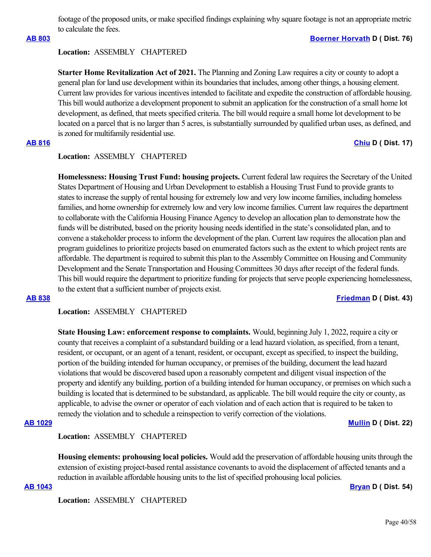footage of the proposed units, or make specified findings explaining why square footage is not an appropriate metric to calculate the fees.

### **[AB 803](https://ctweb.capitoltrack.com/public/publishbillinfo.aspx?bi=Tdd8bsbeiUELQyyYw%2BsWoO2qTWTYgplr52s9YEDa783emScti0UsRWWIX%2FJhh6qb) [Boerner Horvath](https://a76.asmdc.org/) D ( Dist. 76)**

### **Location:**  ASSEMBLY CHAPTERED

**Starter Home Revitalization Act of 2021.** The Planning and Zoning Law requires a city or county to adopt a general plan for land use development within its boundaries that includes, among other things, a housing element. Current law provides for various incentives intended to facilitate and expedite the construction of affordable housing. This bill would authorize a development proponent to submit an application for the construction of a small home lot development, as defined, that meets specified criteria. The bill would require a small home lot development to be located on a parcel that is no larger than 5 acres, is substantially surrounded by qualified urban uses, as defined, and is zoned for multifamily residential use.

## **[AB 816](https://ctweb.capitoltrack.com/public/publishbillinfo.aspx?bi=gq3GESPHAP8T73KPoWpI1Qx3THIUH3GTwK4VWzXtjomsK4Pk0IAN9MfS8BxFk88%2B) [Chiu](https://a17.asmdc.org/) D ( Dist. 17)**

## **Location:**  ASSEMBLY CHAPTERED

**Homelessness: Housing Trust Fund: housing projects.** Current federal law requires the Secretary of the United States Department of Housing and Urban Development to establish a Housing Trust Fund to provide grants to states to increase the supply of rental housing for extremely low and very low income families, including homeless families, and home ownership for extremely low and very low income families. Current law requires the department to collaborate with the California Housing Finance Agency to develop an allocation plan to demonstrate how the funds will be distributed, based on the priority housing needs identified in the state's consolidated plan, and to convene a stakeholder process to inform the development of the plan. Current law requires the allocation plan and program guidelines to prioritize projects based on enumerated factors such as the extent to which project rents are affordable. The department is required to submit this plan to the Assembly Committee on Housing and Community Development and the Senate Transportation and Housing Committees 30 days after receipt of the federal funds. This bill would require the department to prioritize funding for projects that serve people experiencing homelessness, to the extent that a sufficient number of projects exist.

### **[AB 838](https://ctweb.capitoltrack.com/public/publishbillinfo.aspx?bi=Brkey8VtQoOavWLWDZaTRHt%2BXG22Hf%2Byt%2Frm7NaMxEbP3SbR00W7tGhDSxswVqY7) [Friedman](https://a43.asmdc.org/) D ( Dist. 43)**

**Location:**  ASSEMBLY CHAPTERED

**State Housing Law: enforcement response to complaints.** Would, beginning July 1, 2022, require a city or county that receives a complaint of a substandard building or a lead hazard violation, as specified, from a tenant, resident, or occupant, or an agent of a tenant, resident, or occupant, except as specified, to inspect the building, portion of the building intended for human occupancy, or premises of the building, document the lead hazard violations that would be discovered based upon a reasonably competent and diligent visual inspection of the property and identify any building, portion of a building intended for human occupancy, or premises on which such a building is located that is determined to be substandard, as applicable. The bill would require the city or county, as applicable, to advise the owner or operator of each violation and of each action that is required to be taken to remedy the violation and to schedule a reinspection to verify correction of the violations.

### **[AB 1029](https://ctweb.capitoltrack.com/public/publishbillinfo.aspx?bi=Nia9gqfh7C%2BtS%2FVln1QQzZyxuJdQdJa2mnIz8VDSVEwB%2FVAnrft1A8mPJioqitz2) [Mullin](https://a22.asmdc.org/) D ( Dist. 22)**

## **Location:**  ASSEMBLY CHAPTERED

**Housing elements: prohousing local policies.** Would add the preservation of affordable housing units through the extension of existing project-based rental assistance covenants to avoid the displacement of affected tenants and a reduction in available affordable housing units to the list of specified prohousing local policies.

**[AB 1043](https://ctweb.capitoltrack.com/public/publishbillinfo.aspx?bi=V%2FUIXIEJNWB4wbV1L6YWuKtJ93EHMrAJ7I2UpHuHthbUzMmcHkoLfJiHnlz9b3xx) [Bryan](https://a54.asmdc.org/) D ( Dist. 54)**

**Location:**  ASSEMBLY CHAPTERED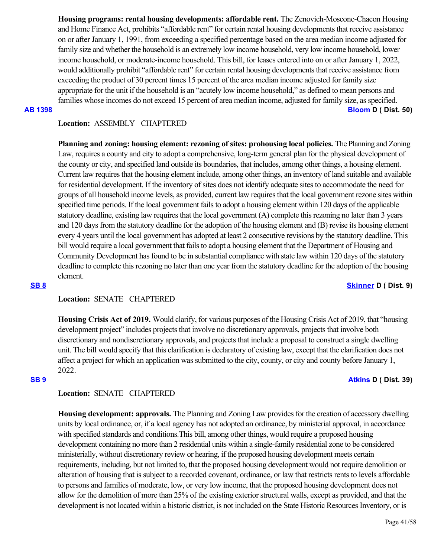**Housing programs: rental housing developments: affordable rent.** The Zenovich-Moscone-Chacon Housing and Home Finance Act, prohibits "affordable rent" for certain rental housing developments that receive assistance on or after January 1, 1991, from exceeding a specified percentage based on the area median income adjusted for family size and whether the household is an extremely low income household, very low income household, lower income household, or moderate-income household. This bill, for leases entered into on or after January 1, 2022, would additionally prohibit "affordable rent" for certain rental housing developments that receive assistance from exceeding the product of 30 percent times 15 percent of the area median income adjusted for family size appropriate for the unit if the household is an "acutely low income household," as defined to mean persons and families whose incomes do not exceed 15 percent of area median income, adjusted for family size, as specified. **[AB 1398](https://ctweb.capitoltrack.com/public/publishbillinfo.aspx?bi=8gkNeR2i1XVQU8rLDJBwupkDBk19i41j%2BQzgmwiOHZgLpTFVUVAOgVn5QZ5FVV33) [Bloom](https://a50.asmdc.org/) D ( Dist. 50)**

## **Location:**  ASSEMBLY CHAPTERED

**Planning and zoning: housing element: rezoning of sites: prohousing local policies.** The Planning and Zoning Law, requires a county and city to adopt a comprehensive, long-term general plan for the physical development of the county or city, and specified land outside its boundaries, that includes, among other things, a housing element. Current law requires that the housing element include, among other things, an inventory of land suitable and available for residential development. If the inventory of sites does not identify adequate sites to accommodate the need for groups of all household income levels, as provided, current law requires that the local government rezone sites within specified time periods. If the local government fails to adopt a housing element within 120 days of the applicable statutory deadline, existing law requires that the local government (A) complete this rezoning no later than 3 years and 120 days from the statutory deadline for the adoption of the housing element and (B) revise its housing element every 4 years until the local government has adopted at least 2 consecutive revisions by the statutory deadline. This bill would require a local government that fails to adopt a housing element that the Department of Housing and Community Development has found to be in substantial compliance with state law within 120 days of the statutory deadline to complete this rezoning no later than one year from the statutory deadline for the adoption of the housing element.

## **[SB 8](https://ctweb.capitoltrack.com/public/publishbillinfo.aspx?bi=KCtI9WQoEAQDmEE2VLlzGALHWMammoBzi14An%2BdqBaQK1%2FOploWFXBq%2B6f3qFstA) [Skinner](http://sd09.senate.ca.gov/) D ( Dist. 9)**

## **Location:**  SENATE CHAPTERED

**Housing Crisis Act of 2019.** Would clarify, for various purposes of the Housing Crisis Act of 2019, that "housing development project" includes projects that involve no discretionary approvals, projects that involve both discretionary and nondiscretionary approvals, and projects that include a proposal to construct a single dwelling unit. The bill would specify that this clarification is declaratory of existing law, except that the clarification does not affect a project for which an application was submitted to the city, county, or city and county before January 1, 2022.

### **[SB 9](https://ctweb.capitoltrack.com/public/publishbillinfo.aspx?bi=mIkar%2FhtVTeqIFNqniJJlD39byWiu7gCq2FAWNN%2BlbVeIAwV1OYB2KjgpgnG%2B%2Fj0) [Atkins](http://sd39.senate.ca.gov/) D ( Dist. 39)**

## **Location:**  SENATE CHAPTERED

**Housing development: approvals.** The Planning and Zoning Law provides for the creation of accessory dwelling units by local ordinance, or, if a local agency has not adopted an ordinance, by ministerial approval, in accordance with specified standards and conditions.This bill, among other things, would require a proposed housing development containing no more than 2 residential units within a single-family residential zone to be considered ministerially, without discretionary review or hearing, if the proposed housing development meets certain requirements, including, but not limited to, that the proposed housing development would not require demolition or alteration of housing that is subject to a recorded covenant, ordinance, or law that restricts rents to levels affordable to persons and families of moderate, low, or very low income, that the proposed housing development does not allow for the demolition of more than 25% of the existing exterior structural walls, except as provided, and that the development is not located within a historic district, is not included on the State Historic Resources Inventory, or is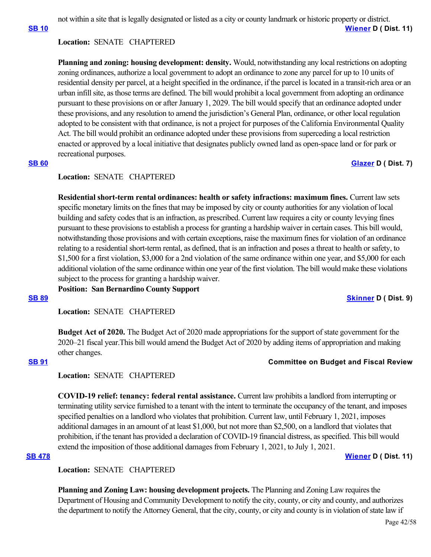not within a site that is legally designated or listed as a city or county landmark or historic property or district.

**[SB 10](https://ctweb.capitoltrack.com/public/publishbillinfo.aspx?bi=2W8UaHb2VoW73%2FsPXZrpP0TRvn5LYH%2BS9OLubpPADZ2EgLTzy%2BGOCuy1VYRGAhY1) [Wiener](http://sd11.senate.ca.gov/) D ( Dist. 11)**

## **Location:**  SENATE CHAPTERED

**Planning and zoning: housing development: density.** Would, notwithstanding any local restrictions on adopting zoning ordinances, authorize a local government to adopt an ordinance to zone any parcel for up to 10 units of residential density per parcel, at a height specified in the ordinance, if the parcel is located in a transit-rich area or an urban infill site, as those terms are defined. The bill would prohibit a local government from adopting an ordinance pursuant to these provisions on or after January 1, 2029. The bill would specify that an ordinance adopted under these provisions, and any resolution to amend the jurisdiction's General Plan, ordinance, or other local regulation adopted to be consistent with that ordinance, is not a project for purposes of the California Environmental Quality Act. The bill would prohibit an ordinance adopted under these provisions from superceding a local restriction enacted or approved by a local initiative that designates publicly owned land as open-space land or for park or recreational purposes.

## **[SB 60](https://ctweb.capitoltrack.com/public/publishbillinfo.aspx?bi=TPfGa%2F8lPJ%2BXVXT4VqzlY6jFfW3YNvcg6rr4YbJoBumSQwySw3Qhis9bv1tnXJMw) [Glazer](http://sd07.senate.ca.gov/) D** ( Dist. 7)

## **Location:**  SENATE CHAPTERED

**Residential short-term rental ordinances: health or safety infractions: maximum fines.** Current law sets specific monetary limits on the fines that may be imposed by city or county authorities for any violation of local building and safety codes that is an infraction, as prescribed. Current law requires a city or county levying fines pursuant to these provisions to establish a process for granting a hardship waiver in certain cases. This bill would, notwithstanding those provisions and with certain exceptions, raise the maximum fines for violation of an ordinance relating to a residential short-term rental, as defined, that is an infraction and poses a threat to health or safety, to \$1,500 for a first violation, \$3,000 for a 2nd violation of the same ordinance within one year, and \$5,000 for each additional violation of the same ordinance within one year of the first violation. The bill would make these violations subject to the process for granting a hardship waiver.

**Position: San Bernardino County Support**

**[SB 89](https://ctweb.capitoltrack.com/public/publishbillinfo.aspx?bi=nxGIq7HyV6U4bOoP5ftadl98WgWh3bZ4pwzw43AHRpX5riVTKtwEWMf7EQkCQB0Y) [Skinner](http://sd09.senate.ca.gov/) D ( Dist. 9)**

**Location:**  SENATE CHAPTERED

**Budget Act of 2020.** The Budget Act of 2020 made appropriations for the support of state government for the 2020–21 fiscal year.This bill would amend the Budget Act of 2020 by adding items of appropriation and making other changes.

## **[SB 91](https://ctweb.capitoltrack.com/public/publishbillinfo.aspx?bi=170cS8rpcG5BGVOmWgIYrQdXq4cvJe8cdhIsZrVb3XKP3120bDgOOy2mACP6VFwX) Committee on Budget and Fiscal Review**

**Location:**  SENATE CHAPTERED

**COVID-19 relief: tenancy: federal rental assistance.** Current law prohibits a landlord from interrupting or terminating utility service furnished to a tenant with the intent to terminate the occupancy of the tenant, and imposes specified penalties on a landlord who violates that prohibition. Current law, until February 1, 2021, imposes additional damages in an amount of at least \$1,000, but not more than \$2,500, on a landlord that violates that prohibition, if the tenant has provided a declaration of COVID-19 financial distress, as specified. This bill would extend the imposition of those additional damages from February 1, 2021, to July 1, 2021.

# **[SB 478](https://ctweb.capitoltrack.com/public/publishbillinfo.aspx?bi=J7PEN77%2BN7IbyI5nBqINBTwLxql8J9U4xIrboE3VEYIEu6T8jy1dHWET7x%2BL15S8) [Wiener](http://sd11.senate.ca.gov/) D ( Dist. 11)**

## **Location:**  SENATE CHAPTERED

**Planning and Zoning Law: housing development projects.** The Planning and Zoning Law requires the Department of Housing and Community Development to notify the city, county, or city and county, and authorizes the department to notify the Attorney General, that the city, county, or city and county is in violation of state law if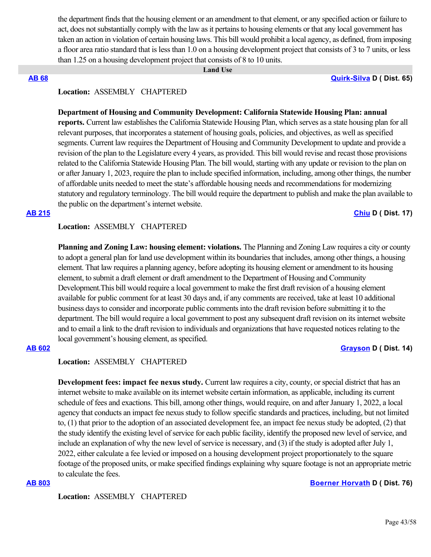the department finds that the housing element or an amendment to that element, or any specified action or failure to act, does not substantially comply with the law as it pertains to housing elements or that any local government has taken an action in violation of certain housing laws. This bill would prohibit a local agency, as defined, from imposing a floor area ratio standard that is less than 1.0 on a housing development project that consists of 3 to 7 units, or less than 1.25 on a housing development project that consists of 8 to 10 units.

#### **Land Use**

**[AB 68](https://ctweb.capitoltrack.com/public/publishbillinfo.aspx?bi=2Nx1DN5jLRYVhs97LWjvLJCJshdkfYHDcdYMSjZCfuwymT1yrZxeaFhSO08dn5O%2F) [Quirk-Silva](https://a65.asmdc.org/) D ( Dist. 65)**

## **Location:**  ASSEMBLY CHAPTERED

### **Department of Housing and Community Development: California Statewide Housing Plan: annual**

**reports.** Current law establishes the California Statewide Housing Plan, which serves as a state housing plan for all relevant purposes, that incorporates a statement of housing goals, policies, and objectives, as well as specified segments. Current law requires the Department of Housing and Community Development to update and provide a revision of the plan to the Legislature every 4 years, as provided. This bill would revise and recast those provisions related to the California Statewide Housing Plan. The bill would, starting with any update or revision to the plan on or after January 1, 2023, require the plan to include specified information, including, among other things, the number of affordable units needed to meet the state's affordable housing needs and recommendations for modernizing statutory and regulatory terminology. The bill would require the department to publish and make the plan available to the public on the department's internet website.

#### **[AB 215](https://ctweb.capitoltrack.com/public/publishbillinfo.aspx?bi=njx6zTeur3aGoUbZG1qRnVVfs%2F2pFA2mjftReRH22ms2zWR%2BpKflSN5HM3Epr3di) [Chiu](https://a17.asmdc.org/) D ( Dist. 17)**

#### **Location:**  ASSEMBLY CHAPTERED

**Planning and Zoning Law: housing element: violations.** The Planning and Zoning Law requires a city or county to adopt a general plan for land use development within its boundaries that includes, among other things, a housing element. That law requires a planning agency, before adopting its housing element or amendment to its housing element, to submit a draft element or draft amendment to the Department of Housing and Community Development.This bill would require a local government to make the first draft revision of a housing element available for public comment for at least 30 days and, if any comments are received, take at least 10 additional business days to consider and incorporate public comments into the draft revision before submitting it to the department. The bill would require a local government to post any subsequent draft revision on its internet website and to email a link to the draft revision to individuals and organizations that have requested notices relating to the local government's housing element, as specified.

## **[AB 602](https://ctweb.capitoltrack.com/public/publishbillinfo.aspx?bi=hDF0dG3q70h5etCzF0PFkboQPAlzbvGNPqTUfAx8UmRydUE9IuCSh7zMZCeBGSzB) [Grayson](https://a14.asmdc.org/) D ( Dist. 14)**

## **Location:**  ASSEMBLY CHAPTERED

**Development fees: impact fee nexus study.** Current law requires a city, county, or special district that has an internet website to make available on its internet website certain information, as applicable, including its current schedule of fees and exactions. This bill, among other things, would require, on and after January 1, 2022, a local agency that conducts an impact fee nexus study to follow specific standards and practices, including, but not limited to, (1) that prior to the adoption of an associated development fee, an impact fee nexus study be adopted, (2) that the study identify the existing level of service for each public facility, identify the proposed new level of service, and include an explanation of why the new level of service is necessary, and (3) if the study is adopted after July 1, 2022, either calculate a fee levied or imposed on a housing development project proportionately to the square footage of the proposed units, or make specified findings explaining why square footage is not an appropriate metric to calculate the fees.

### **[AB 803](https://ctweb.capitoltrack.com/public/publishbillinfo.aspx?bi=Tdd8bsbeiUELQyyYw%2BsWoO2qTWTYgplr52s9YEDa783emScti0UsRWWIX%2FJhh6qb) [Boerner Horvath](https://a76.asmdc.org/) D ( Dist. 76)**

**Location:**  ASSEMBLY CHAPTERED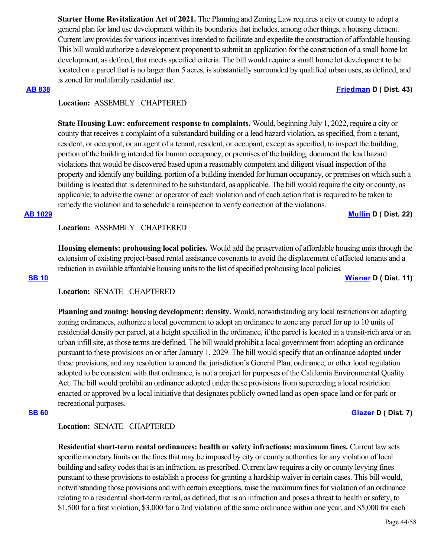**Starter Home Revitalization Act of 2021.** The Planning and Zoning Law requires a city or county to adopt a general plan for land use development within its boundaries that includes, among other things, a housing element. Current law provides for various incentives intended to facilitate and expedite the construction of affordable housing. This bill would authorize a development proponent to submit an application for the construction of a small home lot development, as defined, that meets specified criteria. The bill would require a small home lot development to be located on a parcel that is no larger than 5 acres, is substantially surrounded by qualified urban uses, as defined, and is zoned for multifamily residential use.

### **[AB 838](https://ctweb.capitoltrack.com/public/publishbillinfo.aspx?bi=Brkey8VtQoOavWLWDZaTRHt%2BXG22Hf%2Byt%2Frm7NaMxEbP3SbR00W7tGhDSxswVqY7) [Friedman](https://a43.asmdc.org/) D ( Dist. 43)**

## **Location:**  ASSEMBLY CHAPTERED

**State Housing Law: enforcement response to complaints.** Would, beginning July 1, 2022, require a city or county that receives a complaint of a substandard building or a lead hazard violation, as specified, from a tenant, resident, or occupant, or an agent of a tenant, resident, or occupant, except as specified, to inspect the building, portion of the building intended for human occupancy, or premises of the building, document the lead hazard violations that would be discovered based upon a reasonably competent and diligent visual inspection of the property and identify any building, portion of a building intended for human occupancy, or premises on which such a building is located that is determined to be substandard, as applicable. The bill would require the city or county, as applicable, to advise the owner or operator of each violation and of each action that is required to be taken to remedy the violation and to schedule a reinspection to verify correction of the violations.

**[AB 1029](https://ctweb.capitoltrack.com/public/publishbillinfo.aspx?bi=Nia9gqfh7C%2BtS%2FVln1QQzZyxuJdQdJa2mnIz8VDSVEwB%2FVAnrft1A8mPJioqitz2) [Mullin](https://a22.asmdc.org/) D ( Dist. 22)**

### **Location:**  ASSEMBLY CHAPTERED

**Housing elements: prohousing local policies.** Would add the preservation of affordable housing units through the extension of existing project-based rental assistance covenants to avoid the displacement of affected tenants and a reduction in available affordable housing units to the list of specified prohousing local policies.

#### **[SB 10](https://ctweb.capitoltrack.com/public/publishbillinfo.aspx?bi=2W8UaHb2VoW73%2FsPXZrpP0TRvn5LYH%2BS9OLubpPADZ2EgLTzy%2BGOCuy1VYRGAhY1) [Wiener](http://sd11.senate.ca.gov/) D ( Dist. 11)**

# **Location:**  SENATE CHAPTERED

**Planning and zoning: housing development: density.** Would, notwithstanding any local restrictions on adopting zoning ordinances, authorize a local government to adopt an ordinance to zone any parcel for up to 10 units of residential density per parcel, at a height specified in the ordinance, if the parcel is located in a transit-rich area or an urban infill site, as those terms are defined. The bill would prohibit a local government from adopting an ordinance pursuant to these provisions on or after January 1, 2029. The bill would specify that an ordinance adopted under these provisions, and any resolution to amend the jurisdiction's General Plan, ordinance, or other local regulation adopted to be consistent with that ordinance, is not a project for purposes of the California Environmental Quality Act. The bill would prohibit an ordinance adopted under these provisions from superceding a local restriction enacted or approved by a local initiative that designates publicly owned land as open-space land or for park or recreational purposes.

### **[SB 60](https://ctweb.capitoltrack.com/public/publishbillinfo.aspx?bi=TPfGa%2F8lPJ%2BXVXT4VqzlY6jFfW3YNvcg6rr4YbJoBumSQwySw3Qhis9bv1tnXJMw) [Glazer](http://sd07.senate.ca.gov/) D** ( Dist. 7)

## **Location:**  SENATE CHAPTERED

**Residential short-term rental ordinances: health or safety infractions: maximum fines.** Current law sets specific monetary limits on the fines that may be imposed by city or county authorities for any violation of local building and safety codes that is an infraction, as prescribed. Current law requires a city or county levying fines pursuant to these provisions to establish a process for granting a hardship waiver in certain cases. This bill would, notwithstanding those provisions and with certain exceptions, raise the maximum fines for violation of an ordinance relating to a residential short-term rental, as defined, that is an infraction and poses a threat to health or safety, to \$1,500 for a first violation, \$3,000 for a 2nd violation of the same ordinance within one year, and \$5,000 for each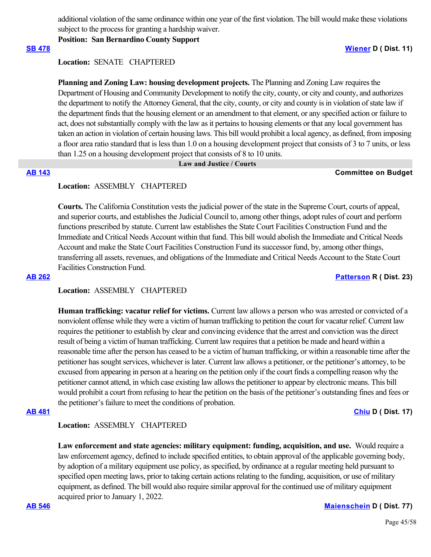additional violation of the same ordinance within one year of the first violation. The bill would make these violations subject to the process for granting a hardship waiver.

**Position: San Bernardino County Support**

## **[SB 478](https://ctweb.capitoltrack.com/public/publishbillinfo.aspx?bi=J7PEN77%2BN7IbyI5nBqINBTwLxql8J9U4xIrboE3VEYIEu6T8jy1dHWET7x%2BL15S8) [Wiener](http://sd11.senate.ca.gov/) D ( Dist. 11)**

**Location:**  SENATE CHAPTERED

**Planning and Zoning Law: housing development projects.** The Planning and Zoning Law requires the Department of Housing and Community Development to notify the city, county, or city and county, and authorizes the department to notify the Attorney General, that the city, county, or city and county is in violation of state law if the department finds that the housing element or an amendment to that element, or any specified action or failure to act, does not substantially comply with the law as it pertains to housing elements or that any local government has taken an action in violation of certain housing laws. This bill would prohibit a local agency, as defined, from imposing a floor area ratio standard that is less than 1.0 on a housing development project that consists of 3 to 7 units, or less than 1.25 on a housing development project that consists of 8 to 10 units.

# **Law and Justice / Courts**

### **[AB 143](https://ctweb.capitoltrack.com/public/publishbillinfo.aspx?bi=gyX8lwsP%2F9vTssif54SzDQmXO%2Fr6ctDN%2B0sjSMsP5jBaig%2BA7wAXMhmd4%2BZBYlmY) Committee on Budget**

## **Location:**  ASSEMBLY CHAPTERED

**Courts.** The California Constitution vests the judicial power of the state in the Supreme Court, courts of appeal, and superior courts, and establishes the Judicial Council to, among other things, adopt rules of court and perform functions prescribed by statute. Current law establishes the State Court Facilities Construction Fund and the Immediate and Critical Needs Account within that fund. This bill would abolish the Immediate and Critical Needs Account and make the State Court Facilities Construction Fund its successor fund, by, among other things, transferring all assets, revenues, and obligations of the Immediate and Critical Needs Account to the State Court Facilities Construction Fund.

### **[AB 262](https://ctweb.capitoltrack.com/public/publishbillinfo.aspx?bi=y0TbKDW5ooqRbDaLWP3uvH36FCi4y%2FGD0vLrEqEapJGzcNdVmKdbeG4O57RgDWul) [Patterson](https://ad23.asmrc.org/) R ( Dist. 23)**

## **Location:**  ASSEMBLY CHAPTERED

**Human trafficking: vacatur relief for victims.** Current law allows a person who was arrested or convicted of a nonviolent offense while they were a victim of human trafficking to petition the court for vacatur relief. Current law requires the petitioner to establish by clear and convincing evidence that the arrest and conviction was the direct result of being a victim of human trafficking. Current law requires that a petition be made and heard within a reasonable time after the person has ceased to be a victim of human trafficking, or within a reasonable time after the petitioner has sought services, whichever is later. Current law allows a petitioner, or the petitioner's attorney, to be excused from appearing in person at a hearing on the petition only if the court finds a compelling reason why the petitioner cannot attend, in which case existing law allows the petitioner to appear by electronic means. This bill would prohibit a court from refusing to hear the petition on the basis of the petitioner's outstanding fines and fees or the petitioner's failure to meet the conditions of probation.

#### **[AB 481](https://ctweb.capitoltrack.com/public/publishbillinfo.aspx?bi=xlbNmHSPTN1HLIssSzgUhTorsZ0V65CWQr543X5Y9UwUSUh4eNXWy6o0Trvm4yhM) [Chiu](https://a17.asmdc.org/) D ( Dist. 17)**

## **Location:**  ASSEMBLY CHAPTERED

**Law enforcement and state agencies: military equipment: funding, acquisition, and use.** Would require a law enforcement agency, defined to include specified entities, to obtain approval of the applicable governing body, by adoption of a military equipment use policy, as specified, by ordinance at a regular meeting held pursuant to specified open meeting laws, prior to taking certain actions relating to the funding, acquisition, or use of military equipment, as defined. The bill would also require similar approval for the continued use of military equipment acquired prior to January 1, 2022.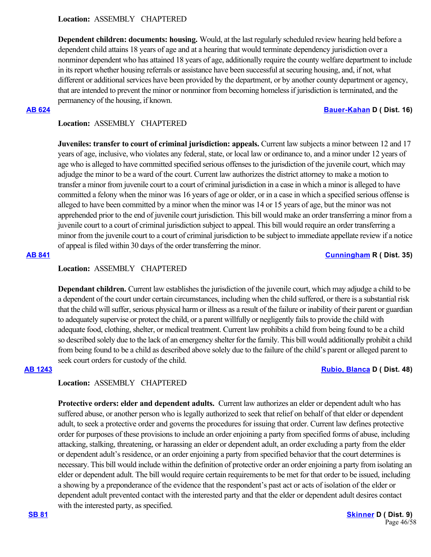**Dependent children: documents: housing.** Would, at the last regularly scheduled review hearing held before a dependent child attains 18 years of age and at a hearing that would terminate dependency jurisdiction over a nonminor dependent who has attained 18 years of age, additionally require the county welfare department to include in its report whether housing referrals or assistance have been successful at securing housing, and, if not, what different or additional services have been provided by the department, or by another county department or agency, that are intended to prevent the minor or nonminor from becoming homeless if jurisdiction is terminated, and the permanency of the housing, if known.

### **[AB 624](https://ctweb.capitoltrack.com/public/publishbillinfo.aspx?bi=3VP1UUSIaFHihVELx4RpFEh6XzMxGGslNRtf8%2Fhexo%2BQ71vtSmjSRj6RRiwV3VAm) [Bauer-Kahan](https://a16.asmdc.org/) D ( Dist. 16)**

## **Location:**  ASSEMBLY CHAPTERED

**Juveniles: transfer to court of criminal jurisdiction: appeals.** Current law subjects a minor between 12 and 17 years of age, inclusive, who violates any federal, state, or local law or ordinance to, and a minor under 12 years of age who is alleged to have committed specified serious offenses to the jurisdiction of the juvenile court, which may adjudge the minor to be a ward of the court. Current law authorizes the district attorney to make a motion to transfer a minor from juvenile court to a court of criminal jurisdiction in a case in which a minor is alleged to have committed a felony when the minor was 16 years of age or older, or in a case in which a specified serious offense is alleged to have been committed by a minor when the minor was 14 or 15 years of age, but the minor was not apprehended prior to the end of juvenile court jurisdiction. This bill would make an order transferring a minor from a juvenile court to a court of criminal jurisdiction subject to appeal. This bill would require an order transferring a minor from the juvenile court to a court of criminal jurisdiction to be subject to immediate appellate review if a notice of appeal is filed within 30 days of the order transferring the minor.

## **[AB 841](https://ctweb.capitoltrack.com/public/publishbillinfo.aspx?bi=STQyvr5UN9ogDE0GYAaB%2FnFoY2a9y6Lchm0mKvsgCD6%2FqlS%2Fjk67RO58K%2FIdL46A) [Cunningham](https://ad35.asmrc.org/) R ( Dist. 35)**

## **Location:**  ASSEMBLY CHAPTERED

**Dependant children.** Current law establishes the jurisdiction of the juvenile court, which may adjudge a child to be a dependent of the court under certain circumstances, including when the child suffered, or there is a substantial risk that the child will suffer, serious physical harm or illness as a result of the failure or inability of their parent or guardian to adequately supervise or protect the child, or a parent willfully or negligently fails to provide the child with adequate food, clothing, shelter, or medical treatment. Current law prohibits a child from being found to be a child so described solely due to the lack of an emergency shelter for the family. This bill would additionally prohibit a child from being found to be a child as described above solely due to the failure of the child's parent or alleged parent to seek court orders for custody of the child.

## **[AB 1243](https://ctweb.capitoltrack.com/public/publishbillinfo.aspx?bi=CRN7dkk4DBv%2BMJYuYNQPOzNg%2FLSfMFDrHETIKIg77vuCZ2EBOYOtKOu46ykKWjXi) [Rubio, Blanca](https://a48.asmdc.org/) D ( Dist. 48)**

## **Location:**  ASSEMBLY CHAPTERED

**Protective orders: elder and dependent adults.** Current law authorizes an elder or dependent adult who has suffered abuse, or another person who is legally authorized to seek that relief on behalf of that elder or dependent adult, to seek a protective order and governs the procedures for issuing that order. Current law defines protective order for purposes of these provisions to include an order enjoining a party from specified forms of abuse, including attacking, stalking, threatening, or harassing an elder or dependent adult, an order excluding a party from the elder or dependent adult's residence, or an order enjoining a party from specified behavior that the court determines is necessary. This bill would include within the definition of protective order an order enjoining a party from isolating an elder or dependent adult. The bill would require certain requirements to be met for that order to be issued, including a showing by a preponderance of the evidence that the respondent's past act or acts of isolation of the elder or dependent adult prevented contact with the interested party and that the elder or dependent adult desires contact with the interested party, as specified.

**[SB 81](https://ctweb.capitoltrack.com/public/publishbillinfo.aspx?bi=lRndb6fGjwSlXVwNfEvnkqBYteB4A28MZzLkAoQV2KkukCoQHSQziCLlSfMPwL08) SB 81 SB 81 C** ( Dist. 9) Page 46/58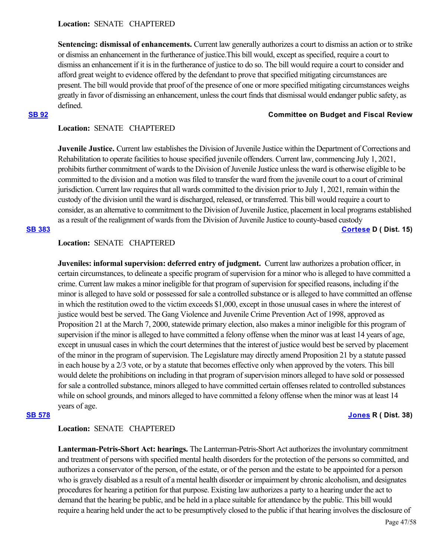**Sentencing: dismissal of enhancements.** Current law generally authorizes a court to dismiss an action or to strike or dismiss an enhancement in the furtherance of justice.This bill would, except as specified, require a court to dismiss an enhancement if it is in the furtherance of justice to do so. The bill would require a court to consider and afford great weight to evidence offered by the defendant to prove that specified mitigating circumstances are present. The bill would provide that proof of the presence of one or more specified mitigating circumstances weighs greatly in favor of dismissing an enhancement, unless the court finds that dismissal would endanger public safety, as defined.

### **[SB 92](https://ctweb.capitoltrack.com/public/publishbillinfo.aspx?bi=JfJdKyjV4lhXZ2btoyQbFuA4eoRjbLJl5HwRydvUT2cUEyV8%2BoSRX99KhmEW6cyi) Committee on Budget and Fiscal Review**

## **Location:**  SENATE CHAPTERED

**Juvenile Justice.** Current law establishes the Division of Juvenile Justice within the Department of Corrections and Rehabilitation to operate facilities to house specified juvenile offenders. Current law, commencing July 1, 2021, prohibits further commitment of wards to the Division of Juvenile Justice unless the ward is otherwise eligible to be committed to the division and a motion was filed to transfer the ward from the juvenile court to a court of criminal jurisdiction. Current law requires that all wards committed to the division prior to July 1, 2021, remain within the custody of the division until the ward is discharged, released, or transferred. This bill would require a court to consider, as an alternative to commitment to the Division of Juvenile Justice, placement in local programs established as a result of the realignment of wards from the Division of Juvenile Justice to county-based custody **[SB 383](https://ctweb.capitoltrack.com/public/publishbillinfo.aspx?bi=6oGKNhxFj%2F4XlHtEnb%2Fgn7dk7qu9vSTVAaKm1BEQ6a78zt2sFozhxY9asFU3CzrT) [Cortese](http://sd15.senate.ca.gov/) D ( Dist. 15)**

## **Location:**  SENATE CHAPTERED

**Juveniles: informal supervision: deferred entry of judgment.** Current law authorizes a probation officer, in certain circumstances, to delineate a specific program of supervision for a minor who is alleged to have committed a crime. Current law makes a minor ineligible for that program of supervision for specified reasons, including if the minor is alleged to have sold or possessed for sale a controlled substance or is alleged to have committed an offense in which the restitution owed to the victim exceeds \$1,000, except in those unusual cases in where the interest of justice would best be served. The Gang Violence and Juvenile Crime Prevention Act of 1998, approved as Proposition 21 at the March 7, 2000, statewide primary election, also makes a minor ineligible for this program of supervision if the minor is alleged to have committed a felony offense when the minor was at least 14 years of age, except in unusual cases in which the court determines that the interest of justice would best be served by placement of the minor in the program of supervision. The Legislature may directly amend Proposition 21 by a statute passed in each house by a 2/3 vote, or by a statute that becomes effective only when approved by the voters. This bill would delete the prohibitions on including in that program of supervision minors alleged to have sold or possessed for sale a controlled substance, minors alleged to have committed certain offenses related to controlled substances while on school grounds, and minors alleged to have committed a felony offense when the minor was at least 14 years of age.

### **[SB 578](https://ctweb.capitoltrack.com/public/publishbillinfo.aspx?bi=eOYqZtxGPsud86GZnbsGfqcDWe9no%2BWOkqhNpVvqoVDQKURNteTIzkLTNg%2BUZ5pZ) [Jones](https://jones.cssrc.us/) R ( Dist. 38)**

## **Location:**  SENATE CHAPTERED

**Lanterman-Petris-Short Act: hearings.** The Lanterman-Petris-Short Act authorizes the involuntary commitment and treatment of persons with specified mental health disorders for the protection of the persons so committed, and authorizes a conservator of the person, of the estate, or of the person and the estate to be appointed for a person who is gravely disabled as a result of a mental health disorder or impairment by chronic alcoholism, and designates procedures for hearing a petition for that purpose. Existing law authorizes a party to a hearing under the act to demand that the hearing be public, and be held in a place suitable for attendance by the public. This bill would require a hearing held under the act to be presumptively closed to the public if that hearing involves the disclosure of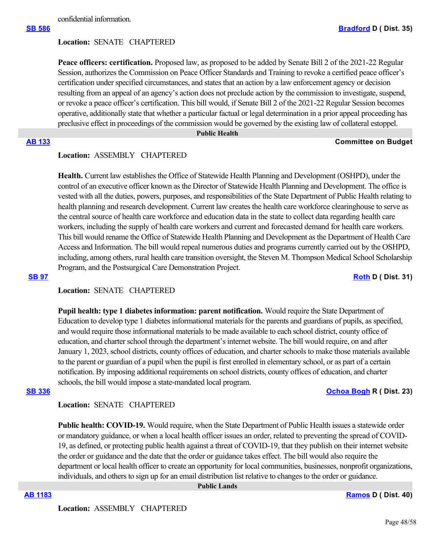confidential information.

### **Location:**  SENATE CHAPTERED

**Peace officers: certification.** Proposed law, as proposed to be added by Senate Bill 2 of the 2021-22 Regular Session, authorizes the Commission on Peace Officer Standards and Training to revoke a certified peace officer's certification under specified circumstances, and states that an action by a law enforcement agency or decision resulting from an appeal of an agency's action does not preclude action by the commission to investigate, suspend, or revoke a peace officer's certification. This bill would, if Senate Bill 2 of the 2021-22 Regular Session becomes operative, additionally state that whether a particular factual or legal determination in a prior appeal proceeding has preclusive effect in proceedings of the commission would be governed by the existing law of collateral estoppel.

#### **Public Health**

#### **[AB 133](https://ctweb.capitoltrack.com/public/publishbillinfo.aspx?bi=l2i%2FtQ7Po3AxGWz9R2iAsfNJwrNM%2F90dI145r1YwOT3QaXmjvEUeS2NBFIwpdfdf) Committee on Budget**

## **Location:**  ASSEMBLY CHAPTERED

**Health.** Current law establishes the Office of Statewide Health Planning and Development (OSHPD), under the control of an executive officer known as the Director of Statewide Health Planning and Development. The office is vested with all the duties, powers, purposes, and responsibilities of the State Department of Public Health relating to health planning and research development. Current law creates the health care workforce clearinghouse to serve as the central source of health care workforce and education data in the state to collect data regarding health care workers, including the supply of health care workers and current and forecasted demand for health care workers. This bill would rename the Office of Statewide Health Planning and Development as the Department of Health Care Access and Information. The bill would repeal numerous duties and programs currently carried out by the OSHPD, including, among others, rural health care transition oversight, the Steven M. Thompson Medical School Scholarship Program, and the Postsurgical Care Demonstration Project.

### **[SB 97](https://ctweb.capitoltrack.com/public/publishbillinfo.aspx?bi=O9nHo4x86tQqyowZHr2eN38IqDOt5Ay9gnoGrgU2dG95v%2FkhlUQhTExB5%2FP7kofh) [Roth](http://sd31.senate.ca.gov/)** D ( Dist. 31)

## **Location:**  SENATE CHAPTERED

**Pupil health: type 1 diabetes information: parent notification.** Would require the State Department of Education to develop type 1 diabetes informational materials for the parents and guardians of pupils, as specified, and would require those informational materials to be made available to each school district, county office of education, and charter school through the department's internet website. The bill would require, on and after January 1, 2023, school districts, county offices of education, and charter schools to make those materials available to the parent or guardian of a pupil when the pupil is first enrolled in elementary school, or as part of a certain notification. By imposing additional requirements on school districts, county offices of education, and charter schools, the bill would impose a state-mandated local program.

### **[SB 336](https://ctweb.capitoltrack.com/public/publishbillinfo.aspx?bi=niZ0CSE40hnqV3OTVAREG%2FOJwt2hEIHd7VoaQUsluFJ%2FklldssIh3Cd8G3VTCwo3) [Ochoa Bogh](https://ochoa-bogh.cssrc.us/) R ( Dist. 23)**

### **Location:**  SENATE CHAPTERED

**Public health: COVID-19.** Would require, when the State Department of Public Health issues a statewide order or mandatory guidance, or when a local health officer issues an order, related to preventing the spread of COVID-19, as defined, or protecting public health against a threat of COVID-19, that they publish on their internet website the order or guidance and the date that the order or guidance takes effect. The bill would also require the department or local health officer to create an opportunity for local communities, businesses, nonprofit organizations, individuals, and others to sign up for an email distribution list relative to changes to the order or guidance.

 **Public Lands**

**[AB 1183](https://ctweb.capitoltrack.com/public/publishbillinfo.aspx?bi=8sxP%2BN2IV379khTlN2v3h3E8OcjcvSekdleRbpmAfaS4tiTsBm7Q2HSMW9f2Z65D) [Ramos](https://a40.asmdc.org/) D ( Dist. 40)**

**Location:**  ASSEMBLY CHAPTERED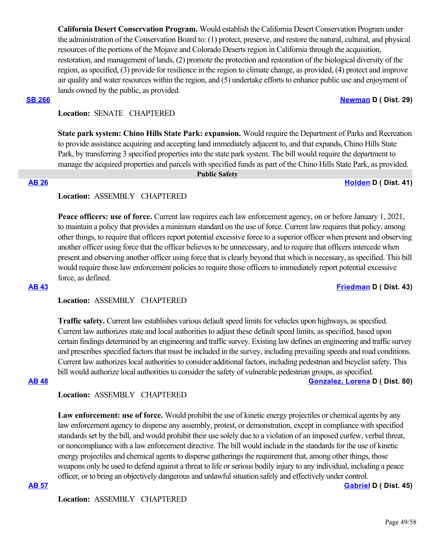**California Desert Conservation Program.** Would establish the California Desert Conservation Program under the administration of the Conservation Board to: (1) protect, preserve, and restore the natural, cultural, and physical resources of the portions of the Mojave and Colorado Deserts region in California through the acquisition, restoration, and management of lands, (2) promote the protection and restoration of the biological diversity of the region, as specified, (3) provide for resilience in the region to climate change, as provided, (4) protect and improve air quality and water resources within the region, and (5) undertake efforts to enhance public use and enjoyment of lands owned by the public, as provided.

### **[SB 266](https://ctweb.capitoltrack.com/public/publishbillinfo.aspx?bi=4VP7cveFsR8P8MFYu%2B1sfXlUQ6MzDlHps2kKrKLJSWMaL5d2ZN4UfGDDNqasl%2Brk) [Newman](https://sd29.senate.ca.gov/) D ( Dist. 29)**

## **Location:**  SENATE CHAPTERED

**State park system: Chino Hills State Park: expansion.** Would require the Department of Parks and Recreation to provide assistance acquiring and accepting land immediately adjacent to, and that expands, Chino Hills State Park, by transferring 3 specified properties into the state park system. The bill would require the department to manage the acquired properties and parcels with specified funds as part of the Chino Hills State Park, as provided.

 **Public Safety**

### **[AB 26](https://ctweb.capitoltrack.com/public/publishbillinfo.aspx?bi=QajVk%2B%2B3uqhJ%2FELP1oZEB4Dd1L9zqaYTBBnHT%2FX7aGxIsqycLpYwC%2Fp3dZsNWwq6) [Holden](https://a41.asmdc.org/) D ( Dist. 41)**

## **Location:**  ASSEMBLY CHAPTERED

Peace officers: use of force. Current law requires each law enforcement agency, on or before January 1, 2021, to maintain a policy that provides a minimum standard on the use of force. Current law requires that policy, among other things, to require that officers report potential excessive force to a superior officer when present and observing another officer using force that the officer believes to be unnecessary, and to require that officers intercede when present and observing another officer using force that is clearly beyond that which is necessary, as specified. This bill would require those law enforcement policies to require those officers to immediately report potential excessive force, as defined.

### **[AB 43](https://ctweb.capitoltrack.com/public/publishbillinfo.aspx?bi=0bhPTSM827vuBRR2brGMkA%2BbMM78NshDnDR4K4ulp8uhWKnFDVdcW4oQJzwaB%2Bkj) [Friedman](https://a43.asmdc.org/) D ( Dist. 43)**

## **Location:**  ASSEMBLY CHAPTERED

**Traffic safety.** Current law establishes various default speed limits for vehicles upon highways, as specified. Current law authorizes state and local authorities to adjust these default speed limits, as specified, based upon certain findings determined by an engineering and traffic survey. Existing law defines an engineering and traffic survey and prescribes specified factors that must be included in the survey, including prevailing speeds and road conditions. Current law authorizes local authorities to consider additional factors, including pedestrian and bicyclist safety. This bill would authorize local authorities to consider the safety of vulnerable pedestrian groups, as specified. **[AB 48](https://ctweb.capitoltrack.com/public/publishbillinfo.aspx?bi=TmRq5ZWdAfmmrGmDbKpylX%2Fw9NSVUuXA70OElO7wa2G%2BlRdeqbSyfwVWySb2RPPQ) [Gonzalez, Lorena](https://a80.asmdc.org/) D ( Dist. 80)**

## **Location:**  ASSEMBLY CHAPTERED

**Law enforcement: use of force.** Would prohibit the use of kinetic energy projectiles or chemical agents by any law enforcement agency to disperse any assembly, protest, or demonstration, except in compliance with specified standards set by the bill, and would prohibit their use solely due to a violation of an imposed curfew, verbal threat, or noncompliance with a law enforcement directive. The bill would include in the standards for the use of kinetic energy projectiles and chemical agents to disperse gatherings the requirement that, among other things, those weapons only be used to defend against a threat to life or serious bodily injury to any individual, including a peace officer, or to bring an objectively dangerous and unlawful situation safely and effectively under control. **[AB 57](https://ctweb.capitoltrack.com/public/publishbillinfo.aspx?bi=qYF6SZxjm6pxZTT7D3pzzJyjeSwS0dfR935n23u%2Fo0IGBAafihbEsIdV9iznsV4d) [Gabriel](https://a45.asmdc.org/) D ( Dist. 45)**

**Location:**  ASSEMBLY CHAPTERED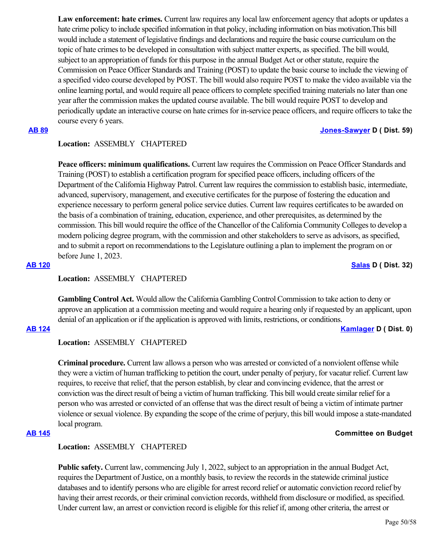Law enforcement: hate crimes. Current law requires any local law enforcement agency that adopts or updates a hate crime policy to include specified information in that policy, including information on bias motivation.This bill would include a statement of legislative findings and declarations and require the basic course curriculum on the topic of hate crimes to be developed in consultation with subject matter experts, as specified. The bill would, subject to an appropriation of funds for this purpose in the annual Budget Act or other statute, require the Commission on Peace Officer Standards and Training (POST) to update the basic course to include the viewing of a specified video course developed by POST. The bill would also require POST to make the video available via the online learning portal, and would require all peace officers to complete specified training materials no later than one year after the commission makes the updated course available. The bill would require POST to develop and periodically update an interactive course on hate crimes for in-service peace officers, and require officers to take the course every 6 years.

## **[AB 89](https://ctweb.capitoltrack.com/public/publishbillinfo.aspx?bi=Pj4LhiFHTdWPgL3IzWdGRRATnugepVEd%2FZJaN4ZNo8w1Ll0B5pIYlmiOU59UPXKD) [Jones-Sawyer](https://a59.asmdc.org/) D ( Dist. 59)**

## **Location:**  ASSEMBLY CHAPTERED

**Peace officers: minimum qualifications.** Current law requires the Commission on Peace Officer Standards and Training (POST) to establish a certification program for specified peace officers, including officers of the Department of the California Highway Patrol. Current law requires the commission to establish basic, intermediate, advanced, supervisory, management, and executive certificates for the purpose of fostering the education and experience necessary to perform general police service duties. Current law requires certificates to be awarded on the basis of a combination of training, education, experience, and other prerequisites, as determined by the commission. This bill would require the office of the Chancellor of the California Community Colleges to develop a modern policing degree program, with the commission and other stakeholders to serve as advisors, as specified, and to submit a report on recommendations to the Legislature outlining a plan to implement the program on or before June 1, 2023.

### **[AB 120](https://ctweb.capitoltrack.com/public/publishbillinfo.aspx?bi=lBeShfC6Efpro8Mge4qRXsQ%2BGEx8LAbDcPv%2F4O03cjohYqco2mh%2Brj3DsmI7njyw) [Salas](https://a32.asmdc.org/) D ( Dist. 32)**

## **Location:**  ASSEMBLY CHAPTERED

**Gambling Control Act.** Would allow the California Gambling Control Commission to take action to deny or approve an application at a commission meeting and would require a hearing only if requested by an applicant, upon denial of an application or if the application is approved with limits, restrictions, or conditions.

## **[AB 124](https://ctweb.capitoltrack.com/public/publishbillinfo.aspx?bi=78mCYVfua%2BZI3OAwAGqHcnahKS0q9Av0vkiJ8pKILGEssk1bJngDMeUjUScZtn6D) [Kamlager](https://a54.asmdc.org/) D ( Dist. 0)**

## **Location:**  ASSEMBLY CHAPTERED

**Criminal procedure.** Current law allows a person who was arrested or convicted of a nonviolent offense while they were a victim of human trafficking to petition the court, under penalty of perjury, for vacatur relief. Current law requires, to receive that relief, that the person establish, by clear and convincing evidence, that the arrest or conviction was the direct result of being a victim of human trafficking. This bill would create similar relief for a person who was arrested or convicted of an offense that was the direct result of being a victim of intimate partner violence or sexual violence. By expanding the scope of the crime of perjury, this bill would impose a state-mandated local program.

### **[AB 145](https://ctweb.capitoltrack.com/public/publishbillinfo.aspx?bi=oFjQzrtrRgF52VBlUKp5cn4GRwRGle7W%2B5hXuZB5hpxEc4A9zxoMQ3U1%2BdSwkDD8) Committee on Budget**

## **Location:**  ASSEMBLY CHAPTERED

**Public safety.** Current law, commencing July 1, 2022, subject to an appropriation in the annual Budget Act, requires the Department of Justice, on a monthly basis, to review the records in the statewide criminal justice databases and to identify persons who are eligible for arrest record relief or automatic conviction record relief by having their arrest records, or their criminal conviction records, withheld from disclosure or modified, as specified. Under current law, an arrest or conviction record is eligible for this relief if, among other criteria, the arrest or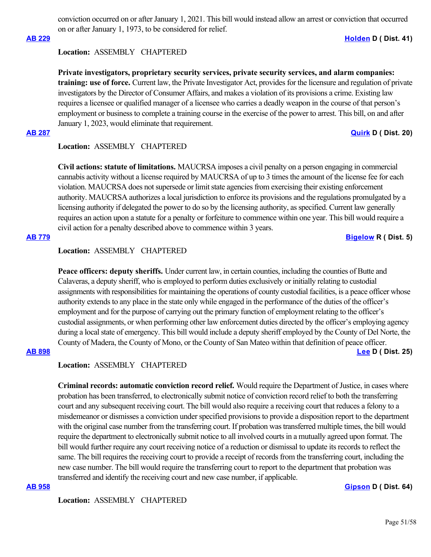conviction occurred on or after January 1, 2021. This bill would instead allow an arrest or conviction that occurred on or after January 1, 1973, to be considered for relief.

### **[AB 229](https://ctweb.capitoltrack.com/public/publishbillinfo.aspx?bi=EujA9FmXoL2ZlwhcAByCU0FBAah09n8ZdAOsa3K6LFYltFQc1vzDgRSOvTAdg8j0) [Holden](https://a41.asmdc.org/) D ( Dist. 41)**

### **Location:**  ASSEMBLY CHAPTERED

**Private investigators, proprietary security services, private security services, and alarm companies: training: use of force.** Current law, the Private Investigator Act, provides for the licensure and regulation of private investigators by the Director of Consumer Affairs, and makes a violation of its provisions a crime. Existing law requires a licensee or qualified manager of a licensee who carries a deadly weapon in the course of that person's employment or business to complete a training course in the exercise of the power to arrest. This bill, on and after January 1, 2023, would eliminate that requirement.

#### **[AB 287](https://ctweb.capitoltrack.com/public/publishbillinfo.aspx?bi=RkGyJL4Gbu8bVK3KHAY%2FE3f3S%2FTgYJ07yTw1N394Dv9wl2C80I%2FCy7K6KkRiw4Us) [Quirk](https://a20.asmdc.org/) D ( Dist. 20)**

### **Location:**  ASSEMBLY CHAPTERED

**Civil actions: statute of limitations.** MAUCRSA imposes a civil penalty on a person engaging in commercial cannabis activity without a license required by MAUCRSA of up to 3 times the amount of the license fee for each violation. MAUCRSA does not supersede or limit state agencies from exercising their existing enforcement authority. MAUCRSA authorizes a local jurisdiction to enforce its provisions and the regulations promulgated by a licensing authority if delegated the power to do so by the licensing authority, as specified. Current law generally requires an action upon a statute for a penalty or forfeiture to commence within one year. This bill would require a civil action for a penalty described above to commence within 3 years.

### **[AB 779](https://ctweb.capitoltrack.com/public/publishbillinfo.aspx?bi=UKV0iTP2tLeKLMXYq4GoIzi4mtaiIBSJdjemJgExRwOQ%2Fox1DYHS8OwqVwVCeSf1) [Bigelow](https://ad05.asmrc.org/) R ( Dist. 5)**

### **Location:**  ASSEMBLY CHAPTERED

**Peace officers: deputy sheriffs.** Under current law, in certain counties, including the counties of Butte and Calaveras, a deputy sheriff, who is employed to perform duties exclusively or initially relating to custodial assignments with responsibilities for maintaining the operations of county custodial facilities, is a peace officer whose authority extends to any place in the state only while engaged in the performance of the duties of the officer's employment and for the purpose of carrying out the primary function of employment relating to the officer's custodial assignments, or when performing other law enforcement duties directed by the officer's employing agency during a local state of emergency. This bill would include a deputy sheriff employed by the County of Del Norte, the County of Madera, the County of Mono, or the County of San Mateo within that definition of peace officer.

## **[AB 898](https://ctweb.capitoltrack.com/public/publishbillinfo.aspx?bi=ehFAoMYrUexAiEqFI%2BvfEk2Fgzb41LBhWqQYaitn4cojM4%2FTgTXOvOLwJ26eQ3X8) [Lee](https://a25.asmdc.org/) D ( Dist. 25)**

## **Location:**  ASSEMBLY CHAPTERED

**Criminal records: automatic conviction record relief.** Would require the Department of Justice, in cases where probation has been transferred, to electronically submit notice of conviction record relief to both the transferring court and any subsequent receiving court. The bill would also require a receiving court that reduces a felony to a misdemeanor or dismisses a conviction under specified provisions to provide a disposition report to the department with the original case number from the transferring court. If probation was transferred multiple times, the bill would require the department to electronically submit notice to all involved courts in a mutually agreed upon format. The bill would further require any court receiving notice of a reduction or dismissal to update its records to reflect the same. The bill requires the receiving court to provide a receipt of records from the transferring court, including the new case number. The bill would require the transferring court to report to the department that probation was transferred and identify the receiving court and new case number, if applicable.

**[AB 958](https://ctweb.capitoltrack.com/public/publishbillinfo.aspx?bi=eW6xuCEVq6pX4wsYqX6kIOG8ps67HgsDhB%2BdlbmUl%2FYv7zKq459OLfbr51xk3Ed8) [Gipson](https://a64.asmdc.org/) D ( Dist. 64)**

**Location:**  ASSEMBLY CHAPTERED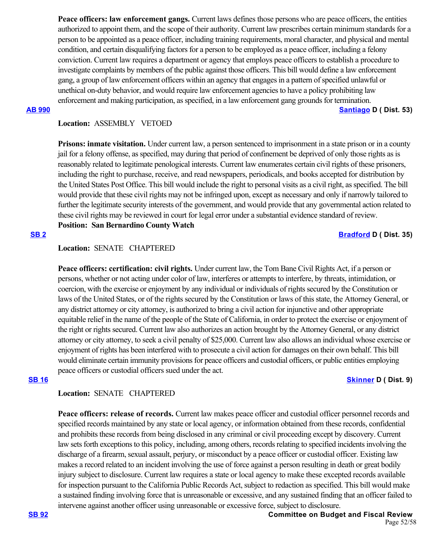**Peace officers: law enforcement gangs.** Current laws defines those persons who are peace officers, the entities authorized to appoint them, and the scope of their authority. Current law prescribes certain minimum standards for a person to be appointed as a peace officer, including training requirements, moral character, and physical and mental condition, and certain disqualifying factors for a person to be employed as a peace officer, including a felony conviction. Current law requires a department or agency that employs peace officers to establish a procedure to investigate complaints by members of the public against those officers. This bill would define a law enforcement gang, a group of law enforcement officers within an agency that engages in a pattern of specified unlawful or unethical on-duty behavior, and would require law enforcement agencies to have a policy prohibiting law enforcement and making participation, as specified, in a law enforcement gang grounds for termination.

**[AB 990](https://ctweb.capitoltrack.com/public/publishbillinfo.aspx?bi=JI%2FTEjsF6JwnUpoXTaGAZ9XW1i3Elsz1DfQ5jCf8ryoIgfVfCxwTrIz09gerE2n6) [Santiago](https://a53.asmdc.org/) D ( Dist. 53)**

## **Location:**  ASSEMBLY VETOED

**Prisons: inmate visitation.** Under current law, a person sentenced to imprisonment in a state prison or in a county jail for a felony offense, as specified, may during that period of confinement be deprived of only those rights as is reasonably related to legitimate penological interests. Current law enumerates certain civil rights of these prisoners, including the right to purchase, receive, and read newspapers, periodicals, and books accepted for distribution by the United States Post Office. This bill would include the right to personal visits as a civil right, as specified. The bill would provide that these civil rights may not be infringed upon, except as necessary and only if narrowly tailored to further the legitimate security interests of the government, and would provide that any governmental action related to these civil rights may be reviewed in court for legal error under a substantial evidence standard of review. **Position: San Bernardino County Watch**

### **[SB 2](https://ctweb.capitoltrack.com/public/publishbillinfo.aspx?bi=SBFep5Ic5cne7a4TLfBBhqkueSkVJnaRbx%2F%2BHoo1anJa5EZJB28txDrDRKNPKIvf) [Bradford](http://sd35.senate.ca.gov/) D ( Dist. 35)**

## **Location:**  SENATE CHAPTERED

**Peace officers: certification: civil rights.** Under current law, the Tom Bane Civil Rights Act, if a person or persons, whether or not acting under color of law, interferes or attempts to interfere, by threats, intimidation, or coercion, with the exercise or enjoyment by any individual or individuals of rights secured by the Constitution or laws of the United States, or of the rights secured by the Constitution or laws of this state, the Attorney General, or any district attorney or city attorney, is authorized to bring a civil action for injunctive and other appropriate equitable relief in the name of the people of the State of California, in order to protect the exercise or enjoyment of the right or rights secured. Current law also authorizes an action brought by the Attorney General, or any district attorney or city attorney, to seek a civil penalty of \$25,000. Current law also allows an individual whose exercise or enjoyment of rights has been interfered with to prosecute a civil action for damages on their own behalf. This bill would eliminate certain immunity provisions for peace officers and custodial officers, or public entities employing peace officers or custodial officers sued under the act.

## **[SB 16](https://ctweb.capitoltrack.com/public/publishbillinfo.aspx?bi=yCmu4aqG3O865C2bBsWVZ0zqQIa%2BGFN2LxUKcBNympGuyGJ7gH5FQJ76dzzBfesj) [Skinner](http://sd09.senate.ca.gov/) D ( Dist. 9)**

### **Location:**  SENATE CHAPTERED

Peace officers: release of records. Current law makes peace officer and custodial officer personnel records and specified records maintained by any state or local agency, or information obtained from these records, confidential and prohibits these records from being disclosed in any criminal or civil proceeding except by discovery. Current law sets forth exceptions to this policy, including, among others, records relating to specified incidents involving the discharge of a firearm, sexual assault, perjury, or misconduct by a peace officer or custodial officer. Existing law makes a record related to an incident involving the use of force against a person resulting in death or great bodily injury subject to disclosure. Current law requires a state or local agency to make these excepted records available for inspection pursuant to the California Public Records Act, subject to redaction as specified. This bill would make a sustained finding involving force that is unreasonable or excessive, and any sustained finding that an officer failed to intervene against another officer using unreasonable or excessive force, subject to disclosure.

**[SB 92](https://ctweb.capitoltrack.com/public/publishbillinfo.aspx?bi=JfJdKyjV4lhXZ2btoyQbFuA4eoRjbLJl5HwRydvUT2cUEyV8%2BoSRX99KhmEW6cyi) Committee on Budget and Fiscal Review** Page 52/58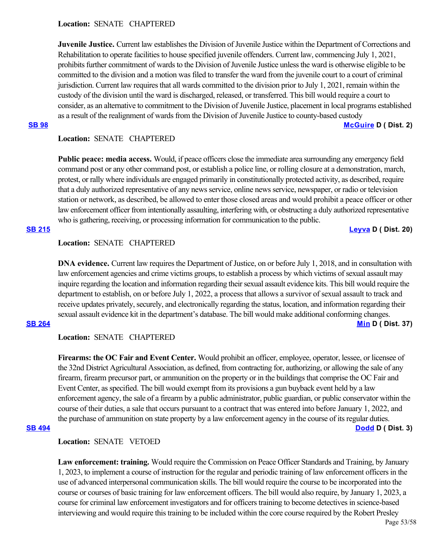### **Location:**  SENATE CHAPTERED

**Juvenile Justice.** Current law establishes the Division of Juvenile Justice within the Department of Corrections and Rehabilitation to operate facilities to house specified juvenile offenders. Current law, commencing July 1, 2021, prohibits further commitment of wards to the Division of Juvenile Justice unless the ward is otherwise eligible to be committed to the division and a motion was filed to transfer the ward from the juvenile court to a court of criminal jurisdiction. Current law requires that all wards committed to the division prior to July 1, 2021, remain within the custody of the division until the ward is discharged, released, or transferred. This bill would require a court to consider, as an alternative to commitment to the Division of Juvenile Justice, placement in local programs established as a result of the realignment of wards from the Division of Juvenile Justice to county-based custody **[SB 98](https://ctweb.capitoltrack.com/public/publishbillinfo.aspx?bi=VDBpo0QTBnT3%2FQLK5BZeGJIjtkpltImR%2Baz12vUpN2YwA1ilQ1wGeYeuW3%2FImmOz) [McGuire](http://sd02.senate.ca.gov/) D ( Dist. 2)**

## **Location:**  SENATE CHAPTERED

**Public peace: media access.** Would, if peace officers close the immediate area surrounding any emergency field command post or any other command post, or establish a police line, or rolling closure at a demonstration, march, protest, or rally where individuals are engaged primarily in constitutionally protected activity, as described, require that a duly authorized representative of any news service, online news service, newspaper, or radio or television station or network, as described, be allowed to enter those closed areas and would prohibit a peace officer or other law enforcement officer from intentionally assaulting, interfering with, or obstructing a duly authorized representative who is gathering, receiving, or processing information for communication to the public.

### **[SB 215](https://ctweb.capitoltrack.com/public/publishbillinfo.aspx?bi=I082Y6HJkwvhFRs5ip3vqIWtvDqe3joj%2Bx2f4847h6Ouz3459PVqkJJKedU52MAn) [Leyva](http://sd20.senate.ca.gov/) D ( Dist. 20)**

## **Location:**  SENATE CHAPTERED

**DNA evidence.** Current law requires the Department of Justice, on or before July 1, 2018, and in consultation with law enforcement agencies and crime victims groups, to establish a process by which victims of sexual assault may inquire regarding the location and information regarding their sexual assault evidence kits. This bill would require the department to establish, on or before July 1, 2022, a process that allows a survivor of sexual assault to track and receive updates privately, securely, and electronically regarding the status, location, and information regarding their sexual assault evidence kit in the department's database. The bill would make additional conforming changes. **[SB 264](https://ctweb.capitoltrack.com/public/publishbillinfo.aspx?bi=VqkAA29GSv4i%2F4Vz53AXVe%2FlcS%2BGM6tx0clZ9SEKCi5d3pQP3N5UA1CUfiS%2BZUsU) [Min](https://sd37.senate.ca.gov/) D ( Dist. 37)**

## **Location:**  SENATE CHAPTERED

**Firearms: the OC Fair and Event Center.** Would prohibit an officer, employee, operator, lessee, or licensee of the 32nd District Agricultural Association, as defined, from contracting for, authorizing, or allowing the sale of any firearm, firearm precursor part, or ammunition on the property or in the buildings that comprise the OC Fair and Event Center, as specified. The bill would exempt from its provisions a gun buyback event held by a law enforcement agency, the sale of a firearm by a public administrator, public guardian, or public conservator within the course of their duties, a sale that occurs pursuant to a contract that was entered into before January 1, 2022, and the purchase of ammunition on state property by a law enforcement agency in the course of its regular duties. **[SB 494](https://ctweb.capitoltrack.com/public/publishbillinfo.aspx?bi=XR1SbJxfBF68Ro5wGW7Lc2ZcvtE%2Fa5MTslC9AKtNiyhHY%2BiLLT7zSyeF94d2QPGo) [Dodd](http://sd03.senate.ca.gov/) D ( Dist. 3)**

## **Location:**  SENATE VETOED

**Law enforcement: training.** Would require the Commission on Peace Officer Standards and Training, by January 1, 2023, to implement a course of instruction for the regular and periodic training of law enforcement officers in the use of advanced interpersonal communication skills. The bill would require the course to be incorporated into the course or courses of basic training for law enforcement officers. The bill would also require, by January 1, 2023, a course for criminal law enforcement investigators and for officers training to become detectives in science-based interviewing and would require this training to be included within the core course required by the Robert Presley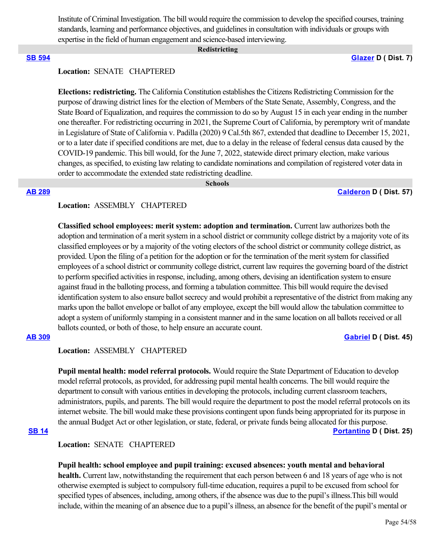Institute of Criminal Investigation. The bill would require the commission to develop the specified courses, training standards, learning and performance objectives, and guidelines in consultation with individuals or groups with expertise in the field of human engagement and science-based interviewing.

#### **Redistricting**

**[SB 594](https://ctweb.capitoltrack.com/public/publishbillinfo.aspx?bi=kOfI7Aw8HK%2F1P5ifWgmLakhdJE1c559hKvxsm2J%2F%2BQrIn6mAZx%2FhjUblUgIFWO7c) [Glazer](http://sd07.senate.ca.gov/) D ( Dist. 7)**

## **Location:**  SENATE CHAPTERED

**Elections: redistricting.** The California Constitution establishes the Citizens Redistricting Commission for the purpose of drawing district lines for the election of Members of the State Senate, Assembly, Congress, and the State Board of Equalization, and requires the commission to do so by August 15 in each year ending in the number one thereafter. For redistricting occurring in 2021, the Supreme Court of California, by peremptory writ of mandate in Legislature of State of California v. Padilla (2020) 9 Cal.5th 867, extended that deadline to December 15, 2021, or to a later date if specified conditions are met, due to a delay in the release of federal census data caused by the COVID-19 pandemic. This bill would, for the June 7, 2022, statewide direct primary election, make various changes, as specified, to existing law relating to candidate nominations and compilation of registered voter data in order to accommodate the extended state redistricting deadline.

# **Schools**

**[AB 289](https://ctweb.capitoltrack.com/public/publishbillinfo.aspx?bi=B8zqAENDk5pcxUUJanAPltM9jU%2FwNOuI2dF2DYjzAR3P04kW0t%2ByJ%2BY7ETBGQniN) [Calderon](https://a57.asmdc.org/) D ( Dist. 57)**

### **Location:**  ASSEMBLY CHAPTERED

**Classified school employees: merit system: adoption and termination.** Current law authorizes both the adoption and termination of a merit system in a school district or community college district by a majority vote of its classified employees or by a majority of the voting electors of the school district or community college district, as provided. Upon the filing of a petition for the adoption or for the termination of the merit system for classified employees of a school district or community college district, current law requires the governing board of the district to perform specified activities in response, including, among others, devising an identification system to ensure against fraud in the balloting process, and forming a tabulation committee. This bill would require the devised identification system to also ensure ballot secrecy and would prohibit a representative of the district from making any marks upon the ballot envelope or ballot of any employee, except the bill would allow the tabulation committee to adopt a system of uniformly stamping in a consistent manner and in the same location on all ballots received or all ballots counted, or both of those, to help ensure an accurate count.

## **[AB 309](https://ctweb.capitoltrack.com/public/publishbillinfo.aspx?bi=UgOs8yJRyRazw%2FgGOVSrBKJMX8OrQgikV%2BZ%2FQkQSXtSawo7YyeSfOElxZFNYSoG9) [Gabriel](https://a45.asmdc.org/) D ( Dist. 45)**

## **Location:**  ASSEMBLY CHAPTERED

**Pupil mental health: model referral protocols.** Would require the State Department of Education to develop model referral protocols, as provided, for addressing pupil mental health concerns. The bill would require the department to consult with various entities in developing the protocols, including current classroom teachers, administrators, pupils, and parents. The bill would require the department to post the model referral protocols on its internet website. The bill would make these provisions contingent upon funds being appropriated for its purpose in the annual Budget Act or other legislation, or state, federal, or private funds being allocated for this purpose. **[SB 14](https://ctweb.capitoltrack.com/public/publishbillinfo.aspx?bi=wk2VpWnO0AiHat9%2F2no5JL%2BVp%2BaAH1o1Vz%2FRLkCi0o0GRgzfKCTNUjkeQzXLscBh) [Portantino](http://sd25.senate.ca.gov/) D ( Dist. 25)**

## **Location:**  SENATE CHAPTERED

**Pupil health: school employee and pupil training: excused absences: youth mental and behavioral health.** Current law, notwithstanding the requirement that each person between 6 and 18 years of age who is not otherwise exempted is subject to compulsory full-time education, requires a pupil to be excused from school for specified types of absences, including, among others, if the absence was due to the pupil's illness.This bill would include, within the meaning of an absence due to a pupil's illness, an absence for the benefit of the pupil's mental or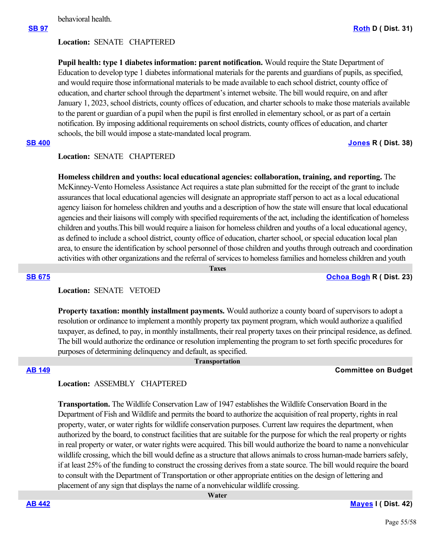behavioral health.

## **Location:**  SENATE CHAPTERED

**Pupil health: type 1 diabetes information: parent notification.** Would require the State Department of Education to develop type 1 diabetes informational materials for the parents and guardians of pupils, as specified, and would require those informational materials to be made available to each school district, county office of education, and charter school through the department's internet website. The bill would require, on and after January 1, 2023, school districts, county offices of education, and charter schools to make those materials available to the parent or guardian of a pupil when the pupil is first enrolled in elementary school, or as part of a certain notification. By imposing additional requirements on school districts, county offices of education, and charter schools, the bill would impose a state-mandated local program.

## **[SB 400](https://ctweb.capitoltrack.com/public/publishbillinfo.aspx?bi=KHHI1SDAaCnBHMCZEhuUvwi94poNqFFUOeBcX%2F%2FH8aHVSq9X8z5e%2B38Q5Zut6gzL) [Jones](https://jones.cssrc.us/) R ( Dist. 38)**

## **Location:**  SENATE CHAPTERED

**Homeless children and youths: local educational agencies: collaboration, training, and reporting.** The McKinney-Vento Homeless Assistance Act requires a state plan submitted for the receipt of the grant to include assurances that local educational agencies will designate an appropriate staff person to act as a local educational agency liaison for homeless children and youths and a description of how the state will ensure that local educational agencies and their liaisons will comply with specified requirements of the act, including the identification of homeless children and youths.This bill would require a liaison for homeless children and youths of a local educational agency, as defined to include a school district, county office of education, charter school, or special education local plan area, to ensure the identification by school personnel of those children and youths through outreach and coordination activities with other organizations and the referral of services to homeless families and homeless children and youth

 **Taxes**

### **[SB 675](https://ctweb.capitoltrack.com/public/publishbillinfo.aspx?bi=YlOr%2B9UFiD%2F8tPpX%2FbyJgm%2BJXuO3%2BKrPfbhEVZyN0ycgV9d3l6Ww0mqwlpqKB70s) [Ochoa Bogh](https://ochoa-bogh.cssrc.us/) R ( Dist. 23)**

## **Location:**  SENATE VETOED

**Property taxation: monthly installment payments.** Would authorize a county board of supervisors to adopt a resolution or ordinance to implement a monthly property tax payment program, which would authorize a qualified taxpayer, as defined, to pay, in monthly installments, their real property taxes on their principal residence, as defined. The bill would authorize the ordinance or resolution implementing the program to set forth specific procedures for purposes of determining delinquency and default, as specified.

### **Transportation**

## **[AB 149](https://ctweb.capitoltrack.com/public/publishbillinfo.aspx?bi=ZlW3RcLCpbA1eMOmvhe1%2FV7Kkks58L4sYbAKSv0oEHR3GvH%2Fjw3KwBDPtsxcEbza) Committee on Budget**

## **Location:**  ASSEMBLY CHAPTERED

**Transportation.** The Wildlife Conservation Law of 1947 establishes the Wildlife Conservation Board in the Department of Fish and Wildlife and permits the board to authorize the acquisition of real property, rights in real property, water, or water rights for wildlife conservation purposes. Current law requires the department, when authorized by the board, to construct facilities that are suitable for the purpose for which the real property or rights in real property or water, or water rights were acquired. This bill would authorize the board to name a nonvehicular wildlife crossing, which the bill would define as a structure that allows animals to cross human-made barriers safely, if at least 25% of the funding to construct the crossing derives from a state source. The bill would require the board to consult with the Department of Transportation or other appropriate entities on the design of lettering and placement of any sign that displays the name of a nonvehicular wildlife crossing.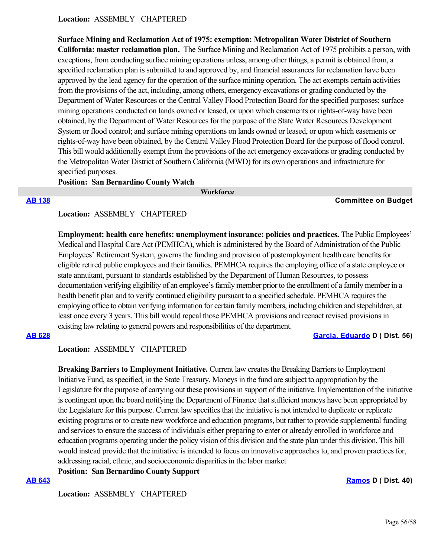### **Location:**  ASSEMBLY CHAPTERED

**Surface Mining and Reclamation Act of 1975: exemption: Metropolitan Water District of Southern California: master reclamation plan.**  The Surface Mining and Reclamation Act of 1975 prohibits a person, with exceptions, from conducting surface mining operations unless, among other things, a permit is obtained from, a specified reclamation plan is submitted to and approved by, and financial assurances for reclamation have been approved by the lead agency for the operation of the surface mining operation. The act exempts certain activities from the provisions of the act, including, among others, emergency excavations or grading conducted by the Department of Water Resources or the Central Valley Flood Protection Board for the specified purposes; surface mining operations conducted on lands owned or leased, or upon which easements or rights-of-way have been obtained, by the Department of Water Resources for the purpose of the State Water Resources Development System or flood control; and surface mining operations on lands owned or leased, or upon which easements or rights-of-way have been obtained, by the Central Valley Flood Protection Board for the purpose of flood control. This bill would additionally exempt from the provisions of the act emergency excavations or grading conducted by the Metropolitan Water District of Southern California (MWD) for its own operations and infrastructure for specified purposes.

### **Position: San Bernardino County Watch**

 **Workforce**

#### **[AB 138](https://ctweb.capitoltrack.com/public/publishbillinfo.aspx?bi=TNom9pbApZwigkd2v3LVMA8TZWkCfimLlPaE81QsZhdbty9bQxIcFthPhVX3Og6D) Committee on Budget**

**Location:**  ASSEMBLY CHAPTERED

**Employment: health care benefits: unemployment insurance: policies and practices.** The Public Employees' Medical and Hospital Care Act (PEMHCA), which is administered by the Board of Administration of the Public Employees' Retirement System, governs the funding and provision of postemployment health care benefits for eligible retired public employees and their families. PEMHCA requires the employing office of a state employee or state annuitant, pursuant to standards established by the Department of Human Resources, to possess documentation verifying eligibility of an employee's family member prior to the enrollment of a family member in a health benefit plan and to verify continued eligibility pursuant to a specified schedule. PEMHCA requires the employing office to obtain verifying information for certain family members, including children and stepchildren, at least once every 3 years. This bill would repeal those PEMHCA provisions and reenact revised provisions in existing law relating to general powers and responsibilities of the department.

### **[AB 628](https://ctweb.capitoltrack.com/public/publishbillinfo.aspx?bi=NeTN%2FSSzCWNl6uEYKaYMbLTu0VjO12HuHLJdn%2BoASUAAIR0cn8RWylMnmAjicrv%2B) [Garcia, Eduardo](https://a56.asmdc.org/) D ( Dist. 56)**

**Location:**  ASSEMBLY CHAPTERED

**Breaking Barriers to Employment Initiative.** Current law creates the Breaking Barriers to Employment Initiative Fund, as specified, in the State Treasury. Moneys in the fund are subject to appropriation by the Legislature for the purpose of carrying out these provisions in support of the initiative. Implementation of the initiative is contingent upon the board notifying the Department of Finance that sufficient moneys have been appropriated by the Legislature for this purpose. Current law specifies that the initiative is not intended to duplicate or replicate existing programs or to create new workforce and education programs, but rather to provide supplemental funding and services to ensure the success of individuals either preparing to enter or already enrolled in workforce and education programs operating under the policy vision of this division and the state plan under this division. This bill would instead provide that the initiative is intended to focus on innovative approaches to, and proven practices for, addressing racial, ethnic, and socioeconomic disparities in the labor market

**Position: San Bernardino County Support**

**[AB 643](https://ctweb.capitoltrack.com/public/publishbillinfo.aspx?bi=uhrRWRtJ7qlaazozLBeAROxf8P8F%2BRPlKR6h2pPf%2Bqj8MPlm%2FfQfh0OzBNwkIWKd) [Ramos](https://a40.asmdc.org/) D ( Dist. 40)**

**Location:**  ASSEMBLY CHAPTERED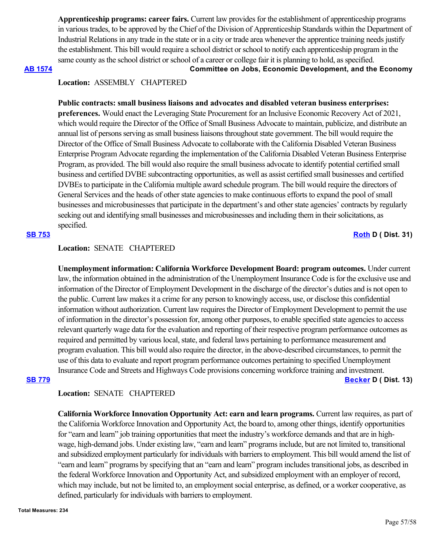**Apprenticeship programs: career fairs.** Current law provides for the establishment of apprenticeship programs in various trades, to be approved by the Chief of the Division of Apprenticeship Standards within the Department of Industrial Relations in any trade in the state or in a city or trade area whenever the apprentice training needs justify the establishment. This bill would require a school district or school to notify each apprenticeship program in the same county as the school district or school of a career or college fair it is planning to hold, as specified.

**[AB 1574](https://ctweb.capitoltrack.com/public/publishbillinfo.aspx?bi=WcNAX1VhC7eJFt1rotfqgYPspurjOdTMl3t5zVn47enChV1Cb2%2BU3D4Jjb2TJdKh) Committee on Jobs, Economic Development, and the Economy**

## **Location:**  ASSEMBLY CHAPTERED

**Public contracts: small business liaisons and advocates and disabled veteran business enterprises: preferences.** Would enact the Leveraging State Procurement for an Inclusive Economic Recovery Act of 2021, which would require the Director of the Office of Small Business Advocate to maintain, publicize, and distribute an annual list of persons serving as small business liaisons throughout state government. The bill would require the Director of the Office of Small Business Advocate to collaborate with the California Disabled Veteran Business Enterprise Program Advocate regarding the implementation of the California Disabled Veteran Business Enterprise Program, as provided. The bill would also require the small business advocate to identify potential certified small business and certified DVBE subcontracting opportunities, as well as assist certified small businesses and certified DVBEs to participate in the California multiple award schedule program. The bill would require the directors of General Services and the heads of other state agencies to make continuous efforts to expand the pool of small businesses and microbusinesses that participate in the department's and other state agencies' contracts by regularly seeking out and identifying small businesses and microbusinesses and including them in their solicitations, as specified.

## **[SB 753](https://ctweb.capitoltrack.com/public/publishbillinfo.aspx?bi=sbZ2Wx9f5wvvUvpZZdrbTEo7lg55tWNXvKklYx5RyS%2BD%2FnwkgihHqVlpn5py2OhE) [Roth](http://sd31.senate.ca.gov/) D ( Dist. 31)**

## **Location:**  SENATE CHAPTERED

**Unemployment information: California Workforce Development Board: program outcomes.** Under current law, the information obtained in the administration of the Unemployment Insurance Code is for the exclusive use and information of the Director of Employment Development in the discharge of the director's duties and is not open to the public. Current law makes it a crime for any person to knowingly access, use, or disclose this confidential information without authorization. Current law requires the Director of Employment Development to permit the use of information in the director's possession for, among other purposes, to enable specified state agencies to access relevant quarterly wage data for the evaluation and reporting of their respective program performance outcomes as required and permitted by various local, state, and federal laws pertaining to performance measurement and program evaluation. This bill would also require the director, in the above-described circumstances, to permit the use of this data to evaluate and report program performance outcomes pertaining to specified Unemployment Insurance Code and Streets and Highways Code provisions concerning workforce training and investment. **[SB 779](https://ctweb.capitoltrack.com/public/publishbillinfo.aspx?bi=AdzRn1R4yXmkbmfWNuElAQg6r03KuJtKd9mRRwoKCUw8wDIcMfpEoyExCU3ybqF2) [Becker](http://sd13.senate.ca.gov/) D ( Dist. 13)**

## **Location:**  SENATE CHAPTERED

**California Workforce Innovation Opportunity Act: earn and learn programs.** Current law requires, as part of the California Workforce Innovation and Opportunity Act, the board to, among other things, identify opportunities for "earn and learn" job training opportunities that meet the industry's workforce demands and that are in highwage, high-demand jobs. Under existing law, "earn and learn" programs include, but are not limited to, transitional and subsidized employment particularly for individuals with barriers to employment. This bill would amend the list of "earn and learn" programs by specifying that an "earn and learn" program includes transitional jobs, as described in the federal Workforce Innovation and Opportunity Act, and subsidized employment with an employer of record, which may include, but not be limited to, an employment social enterprise, as defined, or a worker cooperative, as defined, particularly for individuals with barriers to employment.